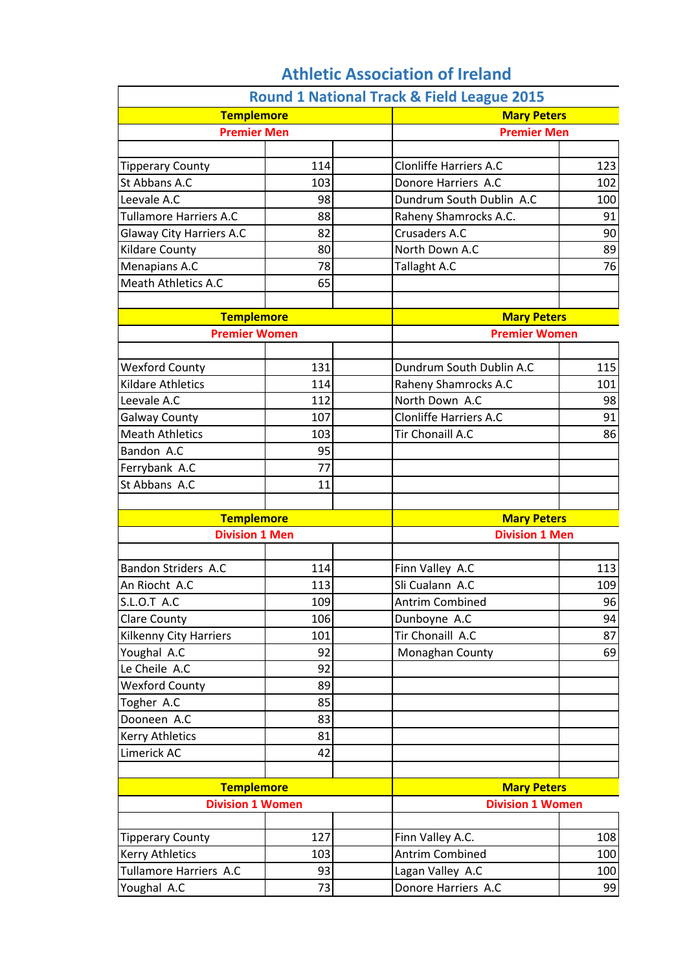|                                 |     | <b>Round 1 National Track &amp; Field League 2015</b> |     |
|---------------------------------|-----|-------------------------------------------------------|-----|
| <b>Templemore</b>               |     | <b>Mary Peters</b>                                    |     |
| <b>Premier Men</b>              |     | <b>Premier Men</b>                                    |     |
|                                 |     |                                                       |     |
| <b>Tipperary County</b>         | 114 | <b>Clonliffe Harriers A.C</b>                         | 123 |
| St Abbans A.C                   | 103 | Donore Harriers A.C                                   | 102 |
| Leevale A.C                     | 98  | Dundrum South Dublin A.C                              | 100 |
| <b>Tullamore Harriers A.C</b>   | 88  | Raheny Shamrocks A.C.                                 | 91  |
| <b>Glaway City Harriers A.C</b> | 82  | Crusaders A.C                                         | 90  |
| <b>Kildare County</b>           | 80  | North Down A.C                                        | 89  |
| Menapians A.C                   | 78  | Tallaght A.C                                          | 76  |
| <b>Meath Athletics A.C</b>      | 65  |                                                       |     |
| <b>Templemore</b>               |     |                                                       |     |
| <b>Premier Women</b>            |     | <b>Mary Peters</b><br><b>Premier Women</b>            |     |
|                                 |     |                                                       |     |
| <b>Wexford County</b>           | 131 | Dundrum South Dublin A.C                              | 115 |
| <b>Kildare Athletics</b>        | 114 | Raheny Shamrocks A.C                                  | 101 |
| Leevale A.C                     | 112 | North Down A.C                                        | 98  |
| <b>Galway County</b>            | 107 | <b>Clonliffe Harriers A.C</b>                         | 91  |
| <b>Meath Athletics</b>          | 103 | Tir Chonaill A.C                                      | 86  |
| Bandon A.C                      | 95  |                                                       |     |
| Ferrybank A.C                   | 77  |                                                       |     |
| St Abbans A.C                   | 11  |                                                       |     |
|                                 |     |                                                       |     |
| <b>Templemore</b>               |     | <b>Mary Peters</b>                                    |     |
| <b>Division 1 Men</b>           |     | <b>Division 1 Men</b>                                 |     |
| <b>Bandon Striders A.C</b>      | 114 | Finn Valley A.C                                       | 113 |
| An Riocht A.C                   | 113 | Sli Cualann A.C                                       | 109 |
| <b>S.L.O.T A.C</b>              | 109 | <b>Antrim Combined</b>                                | 96  |
| <b>Clare County</b>             | 106 | Dunboyne A.C                                          | 94  |
| <b>Kilkenny City Harriers</b>   | 101 | Tir Chonaill A.C                                      | 87  |
| Youghal A.C                     | 92  | Monaghan County                                       | 69  |
| Le Cheile A.C                   | 92  |                                                       |     |
| <b>Wexford County</b>           | 89  |                                                       |     |
| Togher A.C                      | 85  |                                                       |     |
| Dooneen A.C                     | 83  |                                                       |     |
| <b>Kerry Athletics</b>          | 81  |                                                       |     |
| Limerick AC                     | 42  |                                                       |     |
|                                 |     |                                                       |     |
| <b>Templemore</b>               |     | <b>Mary Peters</b>                                    |     |
| <b>Division 1 Women</b>         |     | <b>Division 1 Women</b>                               |     |
|                                 |     |                                                       |     |
| <b>Tipperary County</b>         | 127 | Finn Valley A.C.                                      | 108 |
| <b>Kerry Athletics</b>          | 103 | <b>Antrim Combined</b>                                | 100 |
| Tullamore Harriers A.C          | 93  | Lagan Valley A.C                                      | 100 |
| Youghal A.C                     | 73  | Donore Harriers A.C                                   | 99  |

## **Athletic Association of Ireland**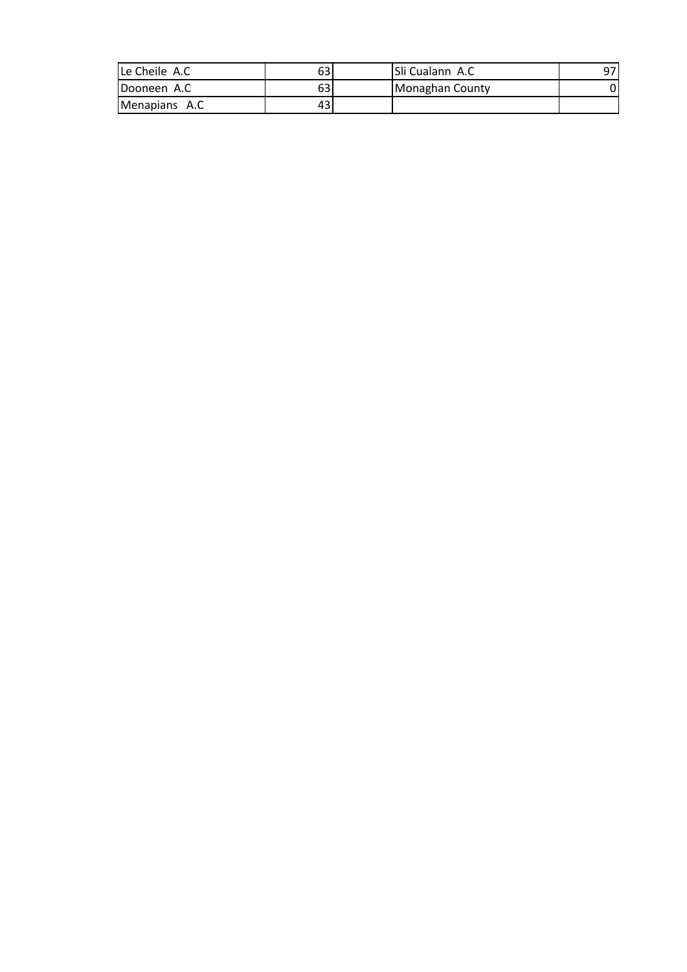| Le Cheile A.C         | 63 | ISli Cualann A.C | 97 |
|-----------------------|----|------------------|----|
| Dooneen A.C           | 63 | Monaghan County  |    |
| <b>IMenapians A.C</b> | 43 |                  |    |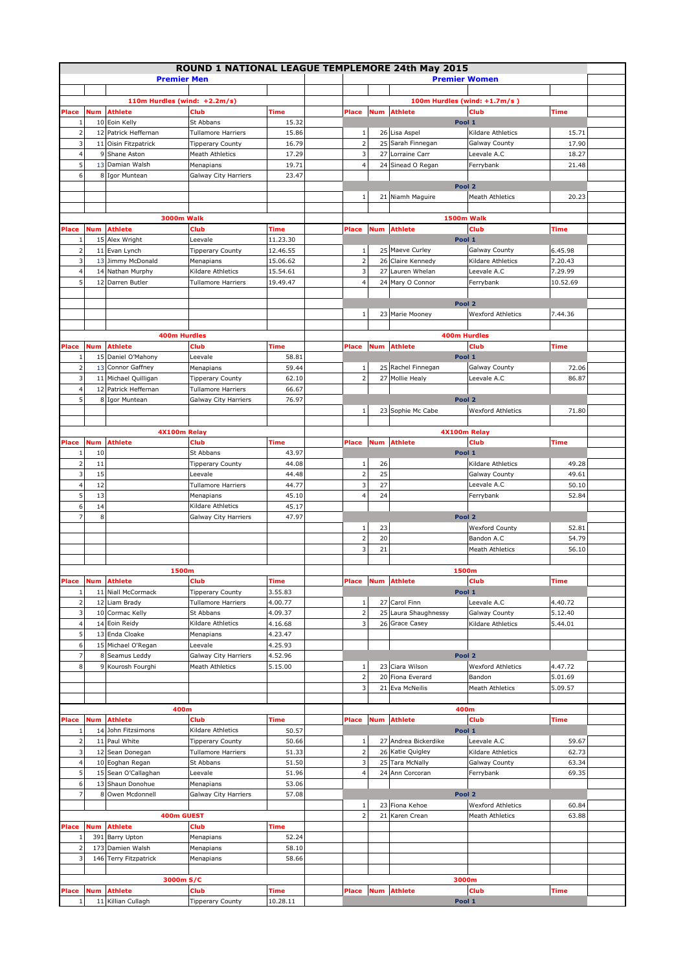|                     |     |                                 | ROUND 1 NATIONAL LEAGUE TEMPLEMORE 24th May 2015 |                |       |                         |            |                                 |                                  |             |  |
|---------------------|-----|---------------------------------|--------------------------------------------------|----------------|-------|-------------------------|------------|---------------------------------|----------------------------------|-------------|--|
|                     |     | <b>Premier Men</b>              |                                                  |                |       |                         |            | <b>Premier Women</b>            |                                  |             |  |
|                     |     |                                 |                                                  |                |       |                         |            |                                 |                                  |             |  |
|                     |     | 110m Hurdles (wind: $+2.2m/s$ ) |                                                  |                |       |                         |            | 100m Hurdles (wind: $+1.7m/s$ ) |                                  |             |  |
| Place               | Num | <b>Athlete</b>                  | <b>Club</b>                                      | Time           | Place |                         | <b>Num</b> | <b>Athlete</b>                  | <b>Club</b>                      | <b>Time</b> |  |
|                     |     | 10 Eoin Kelly                   | St Abbans                                        | 15.32          |       |                         |            | Pool 1                          |                                  |             |  |
| $\overline{2}$      |     | 12 Patrick Heffernan            | <b>Tullamore Harriers</b>                        | 15.86          |       | 1                       |            | 26 Lisa Aspel                   | Kildare Athletics                | 15.71       |  |
| 3                   |     | 11 Oisin Fitzpatrick            | <b>Tipperary County</b>                          | 16.79          |       | $\mathsf{2}$            |            | 25 Sarah Finnegan               | <b>Galway County</b>             | 17.90       |  |
| $\overline{4}$      | 9   | Shane Aston                     | Meath Athletics                                  | 17.29          |       | $\overline{\mathbf{3}}$ |            | 27 Lorraine Carr                | Leevale A.C                      | 18.27       |  |
| 5                   | 13  | Damian Walsh                    |                                                  |                |       | $\overline{4}$          |            | 24 Sinead O Regan               | Ferrybank                        |             |  |
| 6                   |     |                                 | Menapians                                        | 19.71<br>23.47 |       |                         |            |                                 |                                  | 21.48       |  |
|                     |     | 8 Igor Muntean                  | Galway City Harriers                             |                |       |                         |            |                                 |                                  |             |  |
|                     |     |                                 |                                                  |                |       |                         |            | Pool 2                          |                                  |             |  |
|                     |     |                                 |                                                  |                |       | 1                       |            | 21 Niamh Maguire                | <b>Meath Athletics</b>           | 20.23       |  |
|                     |     |                                 |                                                  |                |       |                         |            |                                 |                                  |             |  |
|                     |     | <b>3000m Walk</b>               |                                                  |                |       |                         |            | <b>1500m Walk</b>               |                                  |             |  |
| Place               | Num | <b>Athlete</b>                  | Club                                             | Time           | Place |                         | <b>Num</b> | <b>Athlete</b>                  | Club                             | Time        |  |
| -1                  |     | 15 Alex Wright                  | Leevale                                          | 11.23.30       |       |                         |            | Pool 1                          |                                  |             |  |
| $\overline{2}$<br>3 |     | 11 Evan Lynch                   | <b>Tipperary County</b>                          | 12.46.55       |       | 1<br>$\overline{2}$     |            | 25 Maeve Curley                 | Galway County                    | 6.45.98     |  |
|                     |     | 13 Jimmy McDonald               | Menapians<br>Kildare Athletics                   | 15.06.62       |       |                         |            | 26 Claire Kennedy               | Kildare Athletics<br>Leevale A.C | 7.20.43     |  |
| $\overline{4}$      |     | 14 Nathan Murphy                |                                                  | 15.54.61       |       | 3                       |            | 27 Lauren Whelan                |                                  | 7.29.99     |  |
| 5                   |     | 12 Darren Butler                | <b>Tullamore Harriers</b>                        | 19.49.47       |       | $\overline{4}$          |            | 24 Mary O Connor                | Ferrybank                        | 10.52.69    |  |
|                     |     |                                 |                                                  |                |       |                         |            |                                 |                                  |             |  |
|                     |     |                                 |                                                  |                |       |                         |            | Pool 2                          |                                  |             |  |
|                     |     |                                 |                                                  |                |       | $1\,$                   |            | 23 Marie Mooney                 | <b>Wexford Athletics</b>         | 7.44.36     |  |
|                     |     |                                 |                                                  |                |       |                         |            |                                 |                                  |             |  |
|                     |     | <b>400m Hurdles</b>             |                                                  |                |       |                         |            | 400m Hurdles                    |                                  |             |  |
| Place               | Num | <b>Athlete</b>                  | Club                                             | Time           | Place |                         | Num        | <b>Athlete</b>                  | Club                             | Time        |  |
| -1                  |     | 15 Daniel O'Mahony              | Leevale                                          | 58.81          |       |                         |            | Pool 1                          |                                  |             |  |
| $\overline{2}$      |     | 13 Connor Gaffney               | Menapians                                        | 59.44          |       | $\,1\,$                 |            | 25 Rachel Finnegan              | <b>Galway County</b>             | 72.06       |  |
| 3                   |     | 11 Michael Quilligan            | <b>Tipperary County</b>                          | 62.10          |       | $\overline{2}$          |            | 27 Mollie Healy                 | Leevale A.C                      | 86.87       |  |
| $\overline{4}$      |     | 12 Patrick Heffernan            | <b>Tullamore Harriers</b>                        | 66.67          |       |                         |            |                                 |                                  |             |  |
| 5                   |     | 8 Igor Muntean                  | Galway City Harriers                             | 76.97          |       |                         |            | Pool 2                          |                                  |             |  |
|                     |     |                                 |                                                  |                |       | $\,1\,$                 |            | 23 Sophie Mc Cabe               | <b>Wexford Athletics</b>         | 71.80       |  |
|                     |     |                                 |                                                  |                |       |                         |            |                                 |                                  |             |  |
|                     |     | 4X100m Relay                    |                                                  |                |       |                         |            | 4X100m Relay                    |                                  |             |  |
| Place               | Num | Athlete                         | Club                                             | Time           | Place |                         | <b>Num</b> | <b>Athlete</b>                  | Club                             | Time        |  |
| -1                  | 10  |                                 | St Abbans                                        | 43.97          |       |                         |            | Pool 1                          |                                  |             |  |
| $\overline{2}$      | 11  |                                 | <b>Tipperary County</b>                          | 44.08          |       | $\mathbf{1}$            | 26         |                                 | Kildare Athletics                | 49.28       |  |
| 3                   | 15  |                                 | Leevale                                          | 44.48          |       | $\mathbf 2$             | 25         |                                 | Galway County                    | 49.61       |  |
| $\overline{4}$      | 12  |                                 | <b>Tullamore Harriers</b>                        | 44.77          |       | 3                       | 27         |                                 | Leevale A.C                      | 50.10       |  |
| 5                   | 13  |                                 | Menapians                                        | 45.10          |       | $\overline{4}$          | 24         |                                 | Ferrybank                        | 52.84       |  |
| 6                   | 14  |                                 | Kildare Athletics                                | 45.17          |       |                         |            |                                 |                                  |             |  |
| $\overline{7}$      | 8   |                                 | Galway City Harriers                             | 47.97          |       |                         |            | Pool 2                          |                                  |             |  |
|                     |     |                                 |                                                  |                |       | $\mathbf{1}$            | 23         |                                 | <b>Wexford County</b>            | 52.81       |  |
|                     |     |                                 |                                                  |                |       | $\overline{2}$          | 20         |                                 | Bandon A.C                       | 54.79       |  |
|                     |     |                                 |                                                  |                |       | 3                       | 21         |                                 | <b>Meath Athletics</b>           | 56.10       |  |
|                     |     |                                 |                                                  |                |       |                         |            |                                 |                                  |             |  |
|                     |     | 1500m                           |                                                  |                |       |                         |            | 1500m                           |                                  |             |  |
| Place               |     | <b>Num</b> Athlete              | Club                                             | Time           |       |                         |            | Place Num Athlete               | Club                             | <b>Time</b> |  |
| 1                   |     | 11 Niall McCormack              | <b>Tipperary County</b>                          | 3.55.83        |       |                         |            | Pool 1                          |                                  |             |  |
| $\overline{2}$      |     | 12 Liam Brady                   | Tullamore Harriers                               | 4.00.77        |       | 1                       |            | 27 Carol Finn                   | Leevale A.C                      | 4.40.72     |  |
| 3                   |     | 10 Cormac Kelly                 | St Abbans                                        | 4.09.37        |       | $\mathbf 2$             |            | 25 Laura Shaughnessy            | Galway County                    | 5.12.40     |  |
| $\overline{a}$      |     | 14 Eoin Reidy                   | Kildare Athletics                                | 4.16.68        |       | 3                       |            | 26 Grace Casey                  | Kildare Athletics                | 5.44.01     |  |
| 5                   |     | 13 Enda Cloake                  | Menapians                                        | 4.23.47        |       |                         |            |                                 |                                  |             |  |
| 6                   |     | 15 Michael O'Regan              | Leevale                                          | 4.25.93        |       |                         |            |                                 |                                  |             |  |
| $\overline{7}$      |     | 8 Seamus Leddy                  | Galway City Harriers                             | 4.52.96        |       |                         |            | Pool 2                          |                                  |             |  |
| 8                   |     | 9 Kourosh Fourghi               | Meath Athletics                                  | 5.15.00        |       | $\mathbf{1}$            |            | 23 Ciara Wilson                 | <b>Wexford Athletics</b>         | 4.47.72     |  |
|                     |     |                                 |                                                  |                |       | $\mathbf 2$             |            | 20 Fiona Everard                | Bandon                           | 5.01.69     |  |
|                     |     |                                 |                                                  |                |       | 3                       |            | 21 Eva McNeilis                 | Meath Athletics                  | 5.09.57     |  |
|                     |     |                                 |                                                  |                |       |                         |            |                                 |                                  |             |  |
|                     |     | 400m                            |                                                  |                |       |                         |            | 400m                            |                                  |             |  |
| Place               | Num | <b>Athlete</b>                  | Club                                             | Time           | Place |                         | Num        | <b>Athlete</b>                  | <b>Club</b>                      | Time        |  |
| 1                   |     | 14 John Fitzsimons              | Kildare Athletics                                | 50.57          |       |                         |            | Pool 1                          |                                  |             |  |
| $\overline{2}$      |     | 11 Paul White                   | Tipperary County                                 | 50.66          |       | 1                       |            | 27 Andrea Bickerdike            | Leevale A.C                      | 59.67       |  |
| 3                   |     | 12 Sean Donegan                 | <b>Tullamore Harriers</b>                        | 51.33          |       | $\mathsf{2}$            |            | 26 Katie Quigley                | Kildare Athletics                | 62.73       |  |
| $\overline{4}$      |     | 10 Eoghan Regan                 | St Abbans                                        | 51.50          |       | 3                       |            | 25 Tara McNally                 | Galway County                    | 63.34       |  |
| 5                   |     | 15 Sean O'Callaghan             | Leevale                                          | 51.96          |       | $\overline{4}$          |            | 24 Ann Corcoran                 | Ferrybank                        | 69.35       |  |
| 6                   |     | 13 Shaun Donohue                | Menapians                                        | 53.06          |       |                         |            |                                 |                                  |             |  |
| $\overline{7}$      |     | 8 Owen Mcdonnell                | Galway City Harriers                             | 57.08          |       |                         |            | Pool 2                          |                                  |             |  |
|                     |     |                                 |                                                  |                |       | 1                       |            | 23 Fiona Kehoe                  | <b>Wexford Athletics</b>         | 60.84       |  |
|                     |     | 400m GUEST                      |                                                  |                |       | $\overline{2}$          |            | 21 Karen Crean                  | Meath Athletics                  | 63.88       |  |
| Place               | Num | Athlete                         | Club                                             | Time           |       |                         |            |                                 |                                  |             |  |
| $\mathbf{1}$        | 391 | <b>Barry Upton</b>              | Menapians                                        | 52.24          |       |                         |            |                                 |                                  |             |  |
| $\overline{2}$      |     | 173 Damien Walsh                | Menapians                                        | 58.10          |       |                         |            |                                 |                                  |             |  |
| 3                   |     | 146 Terry Fitzpatrick           | Menapians                                        | 58.66          |       |                         |            |                                 |                                  |             |  |
|                     |     |                                 |                                                  |                |       |                         |            |                                 |                                  |             |  |
|                     |     | 3000m S/C                       |                                                  |                |       |                         |            | 3000m                           |                                  |             |  |
| Place               | Num | <b>Athlete</b>                  | Club                                             | Time           | Place |                         |            | <b>Num</b> Athlete              | <b>Club</b>                      | <b>Time</b> |  |
| $\mathbf{1}$        |     | 11 Killian Cullagh              | <b>Tipperary County</b>                          | 10.28.11       |       |                         |            | Pool 1                          |                                  |             |  |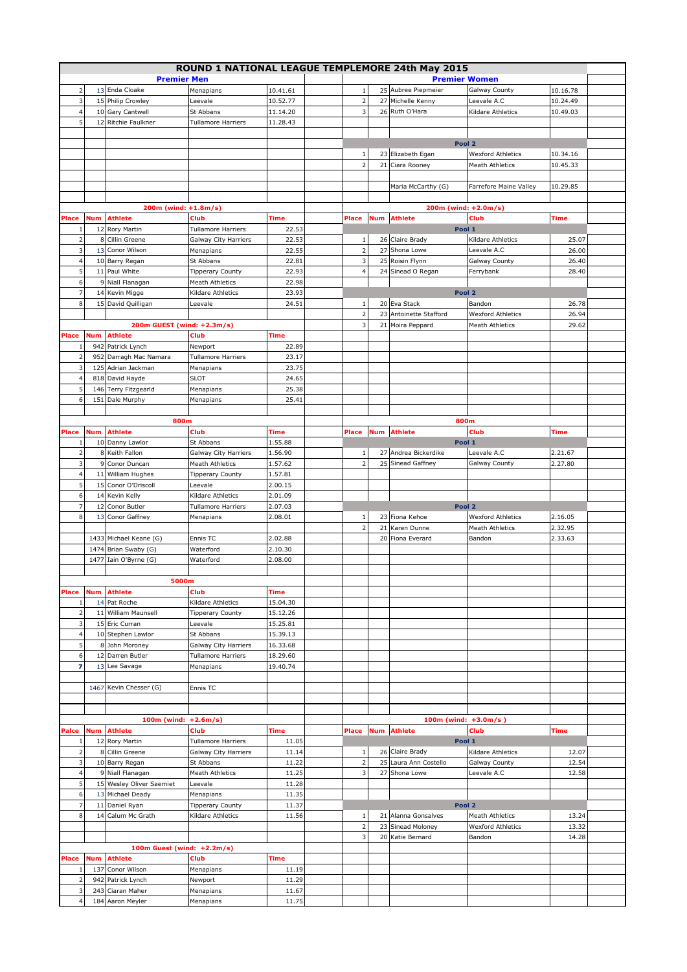|                         |            |                            | ROUND 1 NATIONAL LEAGUE TEMPLEMORE 24th May 2015 |          |                |            |                         |                          |             |  |
|-------------------------|------------|----------------------------|--------------------------------------------------|----------|----------------|------------|-------------------------|--------------------------|-------------|--|
|                         |            | <b>Premier Men</b>         |                                                  |          |                |            | <b>Premier Women</b>    |                          |             |  |
| $\overline{2}$          |            | 13 Enda Cloake             | Menapians                                        | 10.41.61 | 1              |            | 25 Aubree Piepmeier     | Galway County            | 10.16.78    |  |
|                         |            |                            |                                                  |          |                |            |                         |                          |             |  |
| 3                       |            | 15 Philip Crowley          | Leevale                                          | 10.52.77 | $\mathbf 2$    |            | 27 Michelle Kenny       | Leevale A.C              | 10.24.49    |  |
|                         |            | 10 Gary Cantwell           | St Abbans                                        | 11.14.20 | 3              |            | 26 Ruth O'Hara          | Kildare Athletics        | 10.49.03    |  |
| 5                       |            | 12 Ritchie Faulkner        | <b>Tullamore Harriers</b>                        | 11.28.43 |                |            |                         |                          |             |  |
|                         |            |                            |                                                  |          |                |            |                         |                          |             |  |
|                         |            |                            |                                                  |          |                |            | Pool 2                  |                          |             |  |
|                         |            |                            |                                                  |          | $\mathbf{1}$   |            | 23 Elizabeth Egan       | <b>Wexford Athletics</b> | 10.34.16    |  |
|                         |            |                            |                                                  |          | $\overline{2}$ | 21         | Ciara Rooney            | <b>Meath Athletics</b>   | 10.45.33    |  |
|                         |            |                            |                                                  |          |                |            |                         |                          |             |  |
|                         |            |                            |                                                  |          |                |            | Maria McCarthy (G)      | Farrefore Maine Valley   | 10.29.85    |  |
|                         |            |                            |                                                  |          |                |            |                         |                          |             |  |
|                         |            | 200m (wind: +1.8m/s)       |                                                  |          |                |            | 200m (wind: +2.0m/s)    |                          |             |  |
| Place                   | <b>Num</b> | <b>Athlete</b>             | Club                                             | Time     | <b>Place</b>   | <b>Num</b> | <b>Athlete</b>          | Club                     | <b>Time</b> |  |
| $\mathbf{1}$            |            | 12 Rory Martin             | <b>Tullamore Harriers</b>                        | 22.53    |                |            | Pool 1                  |                          |             |  |
| $\overline{2}$          |            | 8 Cillin Greene            | Galway City Harriers                             | 22.53    | $1\,$          |            | 26 Claire Brady         | Kildare Athletics        | 25.07       |  |
| 3                       |            | 13 Conor Wilson            | Menapians                                        | 22.55    | $\mathbf 2$    |            | 27 Shona Lowe           | Leevale A.C              | 26.00       |  |
| $\overline{4}$          |            | 10 Barry Regan             | St Abbans                                        | 22.81    | 3              |            | 25 Roisin Flynn         | Galway County            | 26.40       |  |
| 5                       |            | 11 Paul White              | <b>Tipperary County</b>                          | 22.93    | $\overline{4}$ |            | 24 Sinead O Regan       | Ferrybank                | 28.40       |  |
| 6                       | 9          | Niall Flanagan             | <b>Meath Athletics</b>                           | 22.98    |                |            |                         |                          |             |  |
| $\overline{7}$          |            | 14 Kevin Migge             | Kildare Athletics                                | 23.93    |                |            | Pool 2                  |                          |             |  |
| 8                       |            | 15 David Quilligan         | Leevale                                          | 24.51    | $\mathbf{1}$   |            | 20 Eva Stack            | Bandon                   | 26.78       |  |
|                         |            |                            |                                                  |          | $\mathbf 2$    |            | 23 Antoinette Stafford  | <b>Wexford Athletics</b> | 26.94       |  |
|                         |            | 200m GUEST (wind: +2.3m/s) |                                                  |          | 3              |            | 21 Moira Peppard        | <b>Meath Athletics</b>   | 29.62       |  |
| Place                   | <b>Num</b> | <b>Athlete</b>             | Club                                             | Time     |                |            |                         |                          |             |  |
| $\mathbf{1}$            | 942        | Patrick Lynch              | Newport                                          | 22.89    |                |            |                         |                          |             |  |
| $\overline{2}$          |            | 952 Darragh Mac Namara     | <b>Tullamore Harriers</b>                        | 23.17    |                |            |                         |                          |             |  |
| $\overline{3}$          |            | 125 Adrian Jackman         | Menapians                                        | 23.75    |                |            |                         |                          |             |  |
| $\overline{4}$          |            | 818 David Hayde            | <b>SLOT</b>                                      | 24.65    |                |            |                         |                          |             |  |
| 5                       |            | 146 Terry Fitzgearld       | Menapians                                        | 25.38    |                |            |                         |                          |             |  |
| 6                       | 151        | Dale Murphy                | Menapians                                        | 25.41    |                |            |                         |                          |             |  |
|                         |            |                            |                                                  |          |                |            |                         |                          |             |  |
|                         |            | 800m                       |                                                  |          |                |            | 800m                    |                          |             |  |
| Place                   | <b>Num</b> | <b>Athlete</b>             | Club                                             | Time     | <b>Place</b>   | <b>Num</b> | <b>Athlete</b>          | Club                     | Time        |  |
| $\mathbf{1}$            |            | 10 Danny Lawlor            | St Abbans                                        | 1.55.88  |                |            | Pool 1                  |                          |             |  |
| $\overline{2}$          |            | 8 Keith Fallon             | Galway City Harriers                             | 1.56.90  | 1              |            | 27 Andrea Bickerdike    | Leevale A.C              | 2.21.67     |  |
| 3                       |            | 9 Conor Duncan             | Meath Athletics                                  | 1.57.62  | $\overline{2}$ |            | 25 Sinead Gaffney       | Galway County            | 2.27.80     |  |
| $\overline{4}$          |            | 11 William Hughes          | Tipperary County                                 | 1.57.81  |                |            |                         |                          |             |  |
| 5                       |            | 15 Conor O'Driscoll        | Leevale                                          | 2.00.15  |                |            |                         |                          |             |  |
| 6                       |            | 14 Kevin Kelly             | Kildare Athletics                                | 2.01.09  |                |            |                         |                          |             |  |
| 7                       | 12         | Conor Butler               | <b>Tullamore Harriers</b>                        | 2.07.03  |                |            | Pool 2                  |                          |             |  |
| 8                       | 13         | Conor Gaffney              | Menapians                                        | 2.08.01  | $\,1\,$        |            | 23 Fiona Kehoe          | <b>Wexford Athletics</b> | 2.16.05     |  |
|                         |            |                            |                                                  |          | $\overline{2}$ |            | 21 Karen Dunne          | <b>Meath Athletics</b>   | 2.32.95     |  |
|                         |            | 1433 Michael Keane (G)     | Ennis TC                                         | 2.02.88  |                |            | 20 Fiona Everard        | Bandon                   | 2.33.63     |  |
|                         |            | 1474 Brian Swaby (G)       | Waterford                                        | 2.10.30  |                |            |                         |                          |             |  |
|                         | 1477       | Iain O'Byrne (G)           | Waterford                                        | 2.08.00  |                |            |                         |                          |             |  |
|                         |            |                            |                                                  |          |                |            |                         |                          |             |  |
|                         |            | 5000m                      |                                                  |          |                |            |                         |                          |             |  |
| Place                   | <b>Num</b> | <b>Athlete</b>             | Club                                             | Time     |                |            |                         |                          |             |  |
| $\mathbf{1}$            |            | 14 Pat Roche               | Kildare Athletics                                | 15.04.30 |                |            |                         |                          |             |  |
| $\overline{2}$          |            | 11 William Maunsell        | <b>Tipperary County</b>                          | 15.12.26 |                |            |                         |                          |             |  |
| 3                       |            | 15 Eric Curran             | Leevale                                          | 15.25.81 |                |            |                         |                          |             |  |
| $\overline{4}$          |            | 10 Stephen Lawlor          | St Abbans                                        | 15.39.13 |                |            |                         |                          |             |  |
| 5                       |            | 8 John Moroney             | <b>Galway City Harriers</b>                      | 16.33.68 |                |            |                         |                          |             |  |
| 6                       |            | 12 Darren Butler           | <b>Tullamore Harriers</b>                        | 18.29.60 |                |            |                         |                          |             |  |
| 7                       |            | 13 Lee Savage              | Menapians                                        | 19.40.74 |                |            |                         |                          |             |  |
|                         |            |                            |                                                  |          |                |            |                         |                          |             |  |
|                         |            | 1467 Kevin Chesser (G)     | Ennis TC                                         |          |                |            |                         |                          |             |  |
|                         |            |                            |                                                  |          |                |            |                         |                          |             |  |
|                         |            |                            |                                                  |          |                |            |                         |                          |             |  |
|                         |            | 100m (wind: $+2.6m/s$ )    |                                                  |          |                |            | 100m (wind: $+3.0m/s$ ) |                          |             |  |
| Palce                   | <b>Num</b> | <b>Athlete</b>             | Club                                             | Time     | Place          | Num        | <b>Athlete</b>          | Club                     | Time        |  |
| $\mathbf{1}$            |            | 12 Rory Martin             | <b>Tullamore Harriers</b>                        | 11.05    |                |            | Pool 1                  |                          |             |  |
| $\overline{2}$          |            | 8 Cillin Greene            | Galway City Harriers                             | 11.14    | 1              |            | 26 Claire Brady         | Kildare Athletics        | 12.07       |  |
| $\overline{3}$          |            | 10 Barry Regan             | St Abbans                                        | 11.22    | $\mathbf 2$    |            | 25 Laura Ann Costello   | Galway County            | 12.54       |  |
| $\overline{4}$          |            | 9 Niall Flanagan           | <b>Meath Athletics</b>                           | 11.25    | 3              |            | 27 Shona Lowe           | Leevale A.C              | 12.58       |  |
| 5                       |            | 15 Wesley Oliver Saemiet   | Leevale                                          | 11.28    |                |            |                         |                          |             |  |
| 6                       |            | 13 Michael Deady           | Menapians                                        | 11.35    |                |            |                         |                          |             |  |
| 7                       |            | 11 Daniel Ryan             | <b>Tipperary County</b>                          | 11.37    |                |            | Pool 2                  |                          |             |  |
| 8                       | 14         | Calum Mc Grath             | Kildare Athletics                                | 11.56    | $\mathbf{1}$   |            | 21 Alanna Gonsalves     | <b>Meath Athletics</b>   | 13.24       |  |
|                         |            |                            |                                                  |          | $\mathbf 2$    |            | 23 Sinead Moloney       | <b>Wexford Athletics</b> | 13.32       |  |
|                         |            |                            |                                                  |          | 3              |            | 20 Katie Bernard        | Bandon                   | 14.28       |  |
|                         |            | 100m Guest (wind: +2.2m/s) |                                                  |          |                |            |                         |                          |             |  |
| Place                   | Num        | <b>Athlete</b>             | Club                                             | Time     |                |            |                         |                          |             |  |
| $\mathbf{1}$            | 137        | Conor Wilson               | Menapians                                        | 11.19    |                |            |                         |                          |             |  |
| $\overline{2}$          |            | 942 Patrick Lynch          | Newport                                          | 11.29    |                |            |                         |                          |             |  |
| $\overline{\mathbf{3}}$ |            | 243 Ciaran Maher           | Menapians                                        | 11.67    |                |            |                         |                          |             |  |
| $\overline{4}$          |            | 184 Aaron Meyler           | Menapians                                        | 11.75    |                |            |                         |                          |             |  |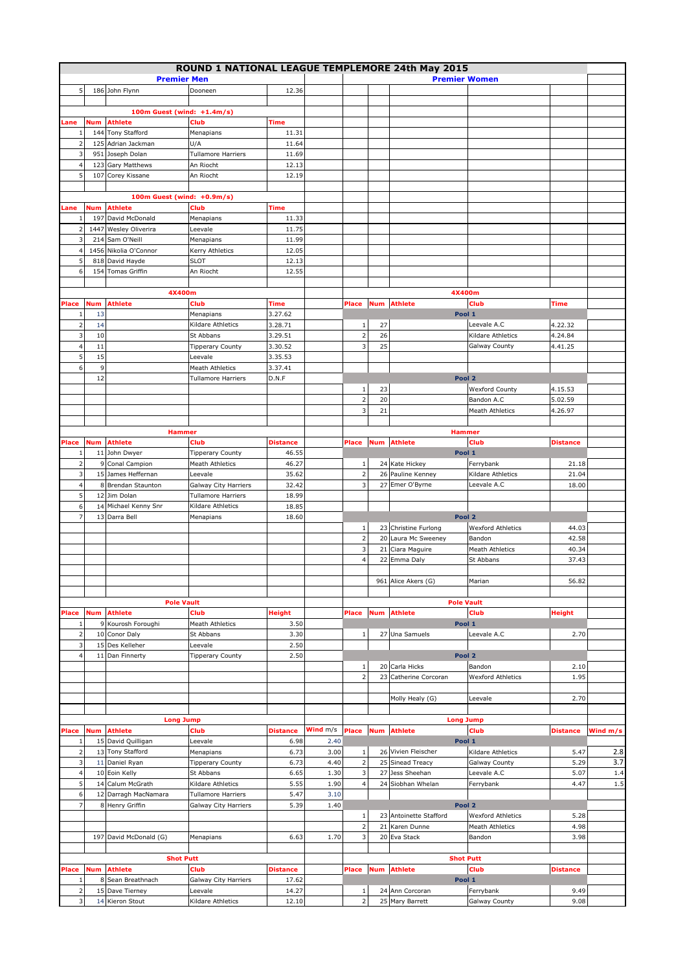|                         |            |                            |                           |                 |          |                         |            | ROUND 1 NATIONAL LEAGUE TEMPLEMORE 24th May 2015 |                          |                 |          |
|-------------------------|------------|----------------------------|---------------------------|-----------------|----------|-------------------------|------------|--------------------------------------------------|--------------------------|-----------------|----------|
|                         |            |                            |                           |                 |          |                         |            |                                                  |                          |                 |          |
|                         |            | <b>Premier Men</b>         |                           |                 |          |                         |            | <b>Premier Women</b>                             |                          |                 |          |
| 5                       |            | 186 John Flynn             | Dooneen                   | 12.36           |          |                         |            |                                                  |                          |                 |          |
|                         |            |                            |                           |                 |          |                         |            |                                                  |                          |                 |          |
|                         |            | 100m Guest (wind: +1.4m/s) |                           |                 |          |                         |            |                                                  |                          |                 |          |
| Lane                    | <b>Num</b> | <b>Athlete</b>             | Club                      | <b>Time</b>     |          |                         |            |                                                  |                          |                 |          |
| 1                       |            | 144 Tony Stafford          | Menapians                 | 11.31           |          |                         |            |                                                  |                          |                 |          |
|                         |            |                            |                           |                 |          |                         |            |                                                  |                          |                 |          |
| $\overline{2}$          |            | 125 Adrian Jackman         | U/A                       | 11.64           |          |                         |            |                                                  |                          |                 |          |
| 3                       |            | 951 Joseph Dolan           | <b>Tullamore Harriers</b> | 11.69           |          |                         |            |                                                  |                          |                 |          |
| 4                       | 123        | Gary Matthews              | An Riocht                 | 12.13           |          |                         |            |                                                  |                          |                 |          |
| 5                       |            | 107 Corey Kissane          | An Riocht                 | 12.19           |          |                         |            |                                                  |                          |                 |          |
|                         |            |                            |                           |                 |          |                         |            |                                                  |                          |                 |          |
|                         |            | 100m Guest (wind: +0.9m/s) |                           |                 |          |                         |            |                                                  |                          |                 |          |
|                         |            |                            |                           |                 |          |                         |            |                                                  |                          |                 |          |
| Lane                    | Num        | <b>Athlete</b>             | Club                      | Time            |          |                         |            |                                                  |                          |                 |          |
| 1                       |            | 197 David McDonald         | Menapians                 | 11.33           |          |                         |            |                                                  |                          |                 |          |
| $\overline{2}$          |            | 1447 Wesley Oliverira      | Leevale                   | 11.75           |          |                         |            |                                                  |                          |                 |          |
| 3                       |            | 214 Sam O'Neill            | Menapians                 | 11.99           |          |                         |            |                                                  |                          |                 |          |
| $\overline{4}$          |            | 1456 Nikolia O'Connor      | Kerry Athletics           | 12.05           |          |                         |            |                                                  |                          |                 |          |
| 5                       |            | 818 David Hayde            | <b>SLOT</b>               | 12.13           |          |                         |            |                                                  |                          |                 |          |
|                         |            |                            |                           |                 |          |                         |            |                                                  |                          |                 |          |
| 6                       |            | 154 Tomas Griffin          | An Riocht                 | 12.55           |          |                         |            |                                                  |                          |                 |          |
|                         |            |                            |                           |                 |          |                         |            |                                                  |                          |                 |          |
|                         |            | 4X400m                     |                           |                 |          |                         |            | 4X400m                                           |                          |                 |          |
| Place                   | Num        | <b>Athlete</b>             | Club                      | <b>Time</b>     |          | Place                   | <b>Num</b> | <b>Athlete</b>                                   | Club                     | Time            |          |
| $\mathbf{1}$            | 13         |                            | Menapians                 | 3.27.62         |          |                         |            | Pool 1                                           |                          |                 |          |
|                         |            |                            |                           |                 |          |                         |            |                                                  |                          |                 |          |
| $\overline{a}$          | 14         |                            | Kildare Athletics         | 3.28.71         |          | 1                       | 27         |                                                  | Leevale A.C              | 4.22.32         |          |
| 3                       | 10         |                            | St Abbans                 | 3.29.51         |          | $\overline{2}$          | 26         |                                                  | Kildare Athletics        | 4.24.84         |          |
| $\overline{a}$          | 11         |                            | <b>Tipperary County</b>   | 3.30.52         |          | 3                       | 25         |                                                  | Galway County            | 4.41.25         |          |
| 5                       | 15         |                            | Leevale                   | 3.35.53         |          |                         |            |                                                  |                          |                 |          |
| 6                       | 9          |                            | <b>Meath Athletics</b>    | 3.37.41         |          |                         |            |                                                  |                          |                 |          |
|                         | 12         |                            | <b>Tullamore Harriers</b> | D.N.F           |          |                         |            | Pool 2                                           |                          |                 |          |
|                         |            |                            |                           |                 |          |                         |            |                                                  |                          |                 |          |
|                         |            |                            |                           |                 |          | $\mathbf{1}$            | 23         |                                                  | <b>Wexford County</b>    | 4.15.53         |          |
|                         |            |                            |                           |                 |          | $\overline{2}$          | 20         |                                                  | Bandon A.C               | 5.02.59         |          |
|                         |            |                            |                           |                 |          | 3                       | 21         |                                                  | <b>Meath Athletics</b>   | 4.26.97         |          |
|                         |            |                            |                           |                 |          |                         |            |                                                  |                          |                 |          |
|                         |            |                            |                           |                 |          |                         |            |                                                  |                          |                 |          |
|                         |            | <b>Hammer</b>              |                           |                 |          |                         |            | <b>Hammer</b>                                    |                          |                 |          |
| Place                   | Num        | <b>Athlete</b>             | Club                      | <b>Distance</b> |          | Place                   | <b>Num</b> | <b>Athlete</b>                                   | Club                     | <b>Distance</b> |          |
| $\mathbf{1}$            |            | 11 John Dwyer              | <b>Tipperary County</b>   | 46.55           |          |                         |            | Pool 1                                           |                          |                 |          |
| $\overline{2}$          |            | 9 Conal Campion            | <b>Meath Athletics</b>    | 46.27           |          | $\mathbf{1}$            |            | 24 Kate Hickey                                   | Ferrybank                | 21.18           |          |
| 3                       |            | 15 James Heffernan         | Leevale                   | 35.62           |          | $\mathbf 2$             |            | 26 Pauline Kenney                                | Kildare Athletics        | 21.04           |          |
| $\overline{4}$          |            | 8 Brendan Staunton         | Galway City Harriers      | 32.42           |          | 3                       |            | 27 Emer O'Byrne                                  | Leevale A.C              | 18.00           |          |
|                         |            |                            |                           |                 |          |                         |            |                                                  |                          |                 |          |
| 5                       |            | 12 Jim Dolan               | Tullamore Harriers        | 18.99           |          |                         |            |                                                  |                          |                 |          |
| 6                       |            | 14 Michael Kenny Snr       | Kildare Athletics         | 18.85           |          |                         |            |                                                  |                          |                 |          |
| $\overline{7}$          |            | 13 Darra Bell              | Menapians                 | 18.60           |          |                         |            | Pool 2                                           |                          |                 |          |
|                         |            |                            |                           |                 |          | 1                       |            | 23 Christine Furlong                             | <b>Wexford Athletics</b> | 44.03           |          |
|                         |            |                            |                           |                 |          | $\overline{2}$          |            | 20 Laura Mc Sweeney                              | Bandon                   | 42.58           |          |
|                         |            |                            |                           |                 |          |                         |            |                                                  |                          |                 |          |
|                         |            |                            |                           |                 |          | 3                       |            | 21 Ciara Maguire                                 | <b>Meath Athletics</b>   | 40.34           |          |
|                         |            |                            |                           |                 |          | $\overline{4}$          |            | 22 Emma Daly                                     | St Abbans                | 37.43           |          |
|                         |            |                            |                           |                 |          |                         |            |                                                  |                          |                 |          |
|                         |            |                            |                           |                 |          |                         |            | 961 Alice Akers (G)                              | Marian                   | 56.82           |          |
|                         |            |                            |                           |                 |          |                         |            |                                                  |                          |                 |          |
|                         |            | <b>Pole Vault</b>          |                           |                 |          |                         |            | <b>Pole Vault</b>                                |                          |                 |          |
| Place                   | Num        | <b>Athlete</b>             | Club                      | <b>Height</b>   |          | Place                   | <b>Num</b> | <b>Athlete</b>                                   | Club                     | <b>Height</b>   |          |
| $\mathbf{1}$            |            | 9 Kourosh Foroughi         | <b>Meath Athletics</b>    | 3.50            |          |                         |            | Pool 1                                           |                          |                 |          |
|                         |            |                            |                           |                 |          |                         |            |                                                  |                          |                 |          |
| $\overline{2}$          |            | 10 Conor Daly              | St Abbans                 | 3.30            |          | $1\,$                   |            | 27 Una Samuels                                   | Leevale A.C              | 2.70            |          |
| $\overline{3}$          |            | 15 Des Kelleher            | Leevale                   | 2.50            |          |                         |            |                                                  |                          |                 |          |
| $\overline{4}$          |            | 11 Dan Finnerty            | <b>Tipperary County</b>   | 2.50            |          |                         |            | Pool 2                                           |                          |                 |          |
|                         |            |                            |                           |                 |          | $\,1\,$                 |            | 20 Carla Hicks                                   | Bandon                   | 2.10            |          |
|                         |            |                            |                           |                 |          | $\overline{2}$          |            | 23 Catherine Corcoran                            | <b>Wexford Athletics</b> | 1.95            |          |
|                         |            |                            |                           |                 |          |                         |            |                                                  |                          |                 |          |
|                         |            |                            |                           |                 |          |                         |            |                                                  |                          |                 |          |
|                         |            |                            |                           |                 |          |                         |            | Molly Healy (G)                                  | Leevale                  | 2.70            |          |
|                         |            |                            |                           |                 |          |                         |            |                                                  |                          |                 |          |
|                         |            | <b>Long Jump</b>           |                           |                 |          |                         |            | <b>Long Jump</b>                                 |                          |                 |          |
| Place                   | <b>Num</b> | <b>Athlete</b>             | Club                      | <b>Distance</b> | Wind m/s | Place                   | <b>Num</b> | <b>Athlete</b>                                   | Club                     | <b>Distance</b> | Wind m/s |
| 1                       |            | 15 David Quilligan         | Leevale                   | 6.98            | 2.40     |                         |            | Pool 1                                           |                          |                 |          |
| $\overline{2}$          |            | 13 Tony Stafford           | Menapians                 | 6.73            | 3.00     | $\mathbf 1$             |            | 26 Vivien Fleischer                              | Kildare Athletics        | 5.47            | 2.8      |
|                         |            |                            |                           |                 |          |                         |            |                                                  |                          |                 |          |
| 3                       |            | 11 Daniel Ryan             | <b>Tipperary County</b>   | 6.73            | 4.40     | $\mathbf 2$             |            | 25 Sinead Treacy                                 | Galway County            | 5.29            | 3.7      |
| $\overline{4}$          |            | 10 Eoin Kelly              | St Abbans                 | 6.65            | 1.30     | $\mathsf 3$             |            | 27 Jess Sheehan                                  | Leevale A.C              | 5.07            | 1.4      |
| 5                       |            | 14 Calum McGrath           | Kildare Athletics         | 5.55            | 1.90     | $\overline{\mathbf{4}}$ |            | 24 Siobhan Whelan                                | Ferrybank                | 4.47            | $1.5$    |
| 6                       |            | 12 Darragh MacNamara       | <b>Tullamore Harriers</b> | 5.47            | 3.10     |                         |            |                                                  |                          |                 |          |
| 7                       |            | 8 Henry Griffin            | Galway City Harriers      | 5.39            | 1.40     |                         |            | Pool 2                                           |                          |                 |          |
|                         |            |                            |                           |                 |          |                         |            |                                                  |                          |                 |          |
|                         |            |                            |                           |                 |          | $\,1\,$                 |            | 23 Antoinette Stafford                           | <b>Wexford Athletics</b> | 5.28            |          |
|                         |            |                            |                           |                 |          | $\mathbf 2$             | 21         | Karen Dunne                                      | <b>Meath Athletics</b>   | 4.98            |          |
|                         |            | 197 David McDonald (G)     | Menapians                 | 6.63            | 1.70     | $\mathsf 3$             |            | 20 Eva Stack                                     | Bandon                   | 3.98            |          |
|                         |            |                            |                           |                 |          |                         |            |                                                  |                          |                 |          |
|                         |            | <b>Shot Putt</b>           |                           |                 |          |                         |            | <b>Shot Putt</b>                                 |                          |                 |          |
|                         | Num        | <b>Athlete</b>             | Club                      | <b>Distance</b> |          | Place                   |            | <b>Athlete</b>                                   | <b>Club</b>              | <b>Distance</b> |          |
| Place                   |            |                            |                           |                 |          |                         | Num        |                                                  |                          |                 |          |
| 1                       |            | 8 Sean Breathnach          | Galway City Harriers      | 17.62           |          |                         |            | Pool 1                                           |                          |                 |          |
| $\overline{\mathbf{2}}$ |            | 15 Dave Tierney            | Leevale                   | 14.27           |          | $\mathbf{1}$            |            | 24 Ann Corcoran                                  | Ferrybank                | 9.49            |          |
| $\overline{3}$          |            | 14 Kieron Stout            | Kildare Athletics         | 12.10           |          | 2                       |            | 25 Mary Barrett                                  | Galway County            | 9.08            |          |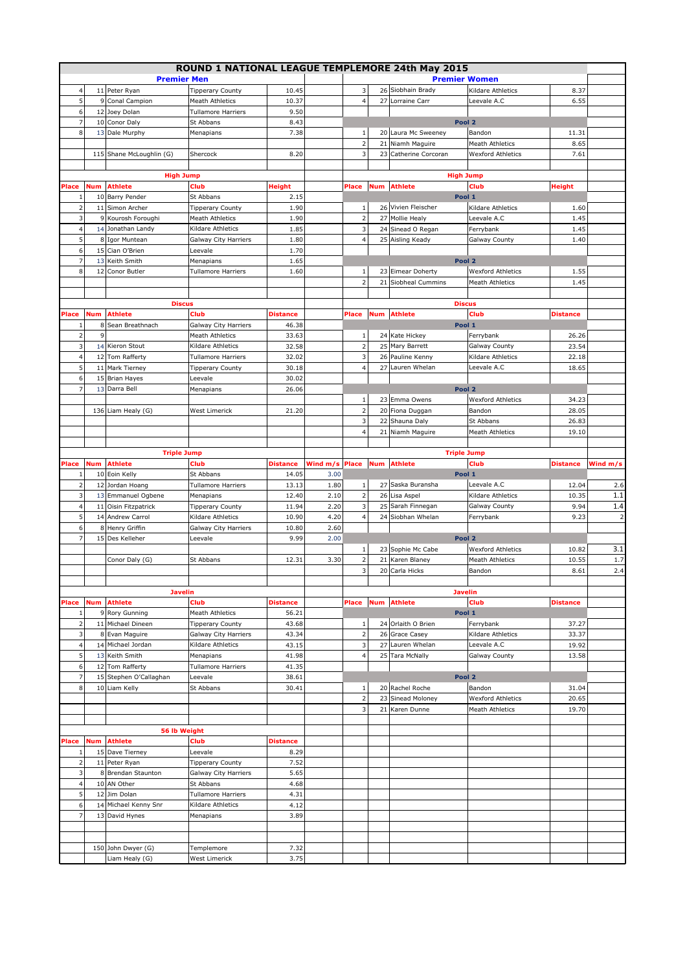|                |     |                                      |                           |                 |          |                         |     | ROUND 1 NATIONAL LEAGUE TEMPLEMORE 24th May 2015 |                          |                 |                |
|----------------|-----|--------------------------------------|---------------------------|-----------------|----------|-------------------------|-----|--------------------------------------------------|--------------------------|-----------------|----------------|
|                |     |                                      |                           |                 |          |                         |     |                                                  |                          |                 |                |
|                |     | <b>Premier Men</b>                   |                           |                 |          |                         |     | <b>Premier Women</b>                             |                          |                 |                |
| $\overline{4}$ |     | 11 Peter Ryan                        | <b>Tipperary County</b>   | 10.45           |          | 3                       |     | 26 Siobhain Brady                                | Kildare Athletics        | 8.37            |                |
| 5              |     | 9 Conal Campion                      | <b>Meath Athletics</b>    | 10.37           |          | $\overline{4}$          | 27  | Lorraine Carr                                    | Leevale A.C              | 6.55            |                |
| 6              |     | 12 Joey Dolan                        | <b>Tullamore Harriers</b> | 9.50            |          |                         |     |                                                  |                          |                 |                |
| 7              |     | 10 Conor Daly                        | St Abbans                 | 8.43            |          |                         |     | Pool 2                                           |                          |                 |                |
| 8              |     | 13 Dale Murphy                       | Menapians                 | 7.38            |          | $\mathbf{1}$            |     | 20 Laura Mc Sweeney                              | Bandon                   | 11.31           |                |
|                |     |                                      |                           |                 |          | $\overline{\mathbf{c}}$ |     | 21 Niamh Maguire                                 | <b>Meath Athletics</b>   | 8.65            |                |
|                |     | 115 Shane McLoughlin (G)             | Shercock                  | 8.20            |          | $\overline{\mathbf{3}}$ |     | 23 Catherine Corcoran                            | Wexford Athletics        | 7.61            |                |
|                |     |                                      |                           |                 |          |                         |     |                                                  |                          |                 |                |
|                |     |                                      |                           |                 |          |                         |     |                                                  |                          |                 |                |
|                |     | <b>High Jump</b>                     |                           |                 |          |                         |     | <b>High Jump</b>                                 |                          |                 |                |
| Place          | Num | <b>Athlete</b>                       | Club                      | Height          |          | Place                   | Num | <b>Athlete</b>                                   | Club                     | <b>Height</b>   |                |
| -1             |     | 10 Barry Pender                      | St Abbans                 | 2.15            |          |                         |     | Pool 1                                           |                          |                 |                |
| $\overline{2}$ |     | 11 Simon Archer                      | <b>Tipperary County</b>   | 1.90            |          | 1                       |     | 26 Vivien Fleischer                              | Kildare Athletics        | 1.60            |                |
| 3              |     | 9 Kourosh Foroughi                   | <b>Meath Athletics</b>    | 1.90            |          | $\overline{2}$          |     | 27 Mollie Healy                                  | Leevale A.C              | 1.45            |                |
| $\overline{4}$ |     | 14 Jonathan Landy                    | Kildare Athletics         | 1.85            |          | 3                       |     | 24 Sinead O Regan                                | Ferrybank                | 1.45            |                |
| 5              |     | 8 Igor Muntean                       |                           | 1.80            |          | $\overline{4}$          |     |                                                  |                          | 1.40            |                |
|                |     |                                      | Galway City Harriers      |                 |          |                         |     | 25 Aisling Keady                                 | Galway County            |                 |                |
| 6              |     | 15 Cian O'Brien                      | Leevale                   | 1.70            |          |                         |     |                                                  |                          |                 |                |
| $\overline{7}$ | 13  | Keith Smith                          | Menapians                 | 1.65            |          |                         |     | Pool 2                                           |                          |                 |                |
| 8              | 12  | Conor Butler                         | <b>Tullamore Harriers</b> | 1.60            |          | $\mathbf 1$             |     | 23 Eimear Doherty                                | <b>Wexford Athletics</b> | 1.55            |                |
|                |     |                                      |                           |                 |          | $\overline{2}$          |     | 21 Siobheal Cummins                              | <b>Meath Athletics</b>   | 1.45            |                |
|                |     |                                      |                           |                 |          |                         |     |                                                  |                          |                 |                |
|                |     | <b>Discus</b>                        |                           |                 |          |                         |     | <b>Discus</b>                                    |                          |                 |                |
| Place          | Num | <b>Athlete</b>                       | Club                      | <b>Distance</b> |          | Place                   | Num | <b>Athlete</b>                                   | Club                     | <b>Distance</b> |                |
| 1              | 8   | Sean Breathnach                      | Galway City Harriers      | 46.38           |          |                         |     | Pool 1                                           |                          |                 |                |
| $\overline{2}$ | 9   |                                      | Meath Athletics           | 33.63           |          | $\mathbf{1}$            |     | 24 Kate Hickey                                   |                          | 26.26           |                |
|                |     |                                      |                           |                 |          |                         |     |                                                  | Ferrybank                |                 |                |
| 3              |     | 14 Kieron Stout                      | Kildare Athletics         | 32.58           |          | $\overline{\mathbf{c}}$ |     | 25 Mary Barrett                                  | Galway County            | 23.54           |                |
| $\overline{4}$ |     | 12 Tom Rafferty                      | <b>Tullamore Harriers</b> | 32.02           |          | 3                       |     | 26 Pauline Kenny                                 | Kildare Athletics        | 22.18           |                |
| 5              |     | 11 Mark Tierney                      | <b>Tipperary County</b>   | 30.18           |          | $\overline{4}$          |     | 27 Lauren Whelan                                 | Leevale A.C              | 18.65           |                |
| 6              |     | 15 Brian Hayes                       | Leevale                   | 30.02           |          |                         |     |                                                  |                          |                 |                |
| $\overline{7}$ | 13  | Darra Bell                           | Menapians                 | 26.06           |          |                         |     | Pool 2                                           |                          |                 |                |
|                |     |                                      |                           |                 |          | $\mathbf{1}$            |     | 23 Emma Owens                                    | <b>Wexford Athletics</b> | 34.23           |                |
|                |     | 136 Liam Healy (G)                   | West Limerick             | 21.20           |          | $\overline{2}$          |     | 20 Fiona Duggan                                  | Bandon                   | 28.05           |                |
|                |     |                                      |                           |                 |          | 3                       | 22  | Shauna Daly                                      | St Abbans                | 26.83           |                |
|                |     |                                      |                           |                 |          |                         |     |                                                  |                          |                 |                |
|                |     |                                      |                           |                 |          | $\overline{4}$          |     | 21 Niamh Maguire                                 | <b>Meath Athletics</b>   | 19.10           |                |
|                |     |                                      |                           |                 |          |                         |     |                                                  |                          |                 |                |
|                |     | <b>Triple Jump</b>                   |                           |                 |          |                         |     | <b>Triple Jump</b>                               |                          |                 |                |
| Place          | Num | <b>Athlete</b>                       | Club                      | Distance        | Wind m/s | Place                   | Num | <b>Athlete</b>                                   | Club                     | <b>Distance</b> | Wind m/s       |
| -1             |     | 10 Eoin Kelly                        | St Abbans                 | 14.05           | 3.00     |                         |     | Pool 1                                           |                          |                 |                |
| $\overline{2}$ |     | 12 Jordan Hoang                      | <b>Tullamore Harriers</b> | 13.13           | 1.80     | $\,1\,$                 |     | 27 Saska Buransha                                | Leevale A.C              | 12.04           | 2.6            |
| 3              |     | 13 Emmanuel Ogbene                   | Menapians                 | 12.40           | 2.10     | $\mathbf 2$             |     | 26 Lisa Aspel                                    | Kildare Athletics        | 10.35           | 1.1            |
| $\overline{4}$ |     | 11 Oisin Fitzpatrick                 |                           | 11.94           | 2.20     | $\overline{\mathbf{3}}$ |     | 25 Sarah Finnegan                                |                          | 9.94            | 1.4            |
|                |     |                                      | <b>Tipperary County</b>   |                 |          |                         |     |                                                  | Galway County            |                 |                |
| 5              | 14  | <b>Andrew Carrol</b>                 | Kildare Athletics         | 10.90           | 4.20     | $\overline{a}$          |     | 24 Siobhan Whelan                                | Ferrybank                | 9.23            | $\overline{2}$ |
| 6              | 8   | Henry Griffin                        | Galway City Harriers      | 10.80           | 2.60     |                         |     |                                                  |                          |                 |                |
| 7              | 15  | Des Kelleher                         | Leevale                   | 9.99            | 2.00     |                         |     | Pool 2                                           |                          |                 |                |
|                |     |                                      |                           |                 |          | $\mathbf{1}$            |     | 23 Sophie Mc Cabe                                | <b>Wexford Athletics</b> | 10.82           | 3.1            |
|                |     | Conor Daly (G)                       | St Abbans                 | 12.31           | 3.30     | $\overline{2}$          | 21  | Karen Blaney                                     | Meath Athletics          | 10.55           | 1.7            |
|                |     |                                      |                           |                 |          | $\overline{\mathbf{3}}$ |     | 20 Carla Hicks                                   | Bandon                   | 8.61            | 2.4            |
|                |     |                                      |                           |                 |          |                         |     |                                                  |                          |                 |                |
|                |     | <b>Javelin</b>                       |                           |                 |          |                         |     | <b>Javelin</b>                                   |                          |                 |                |
|                |     |                                      |                           |                 |          |                         |     | <b>Athlete</b>                                   |                          |                 |                |
| Place          | Num | <b>Athlete</b>                       | Club                      | Distance        |          | Place                   | Num |                                                  | Club                     | <b>Distance</b> |                |
| $\mathbf{1}$   |     | 9 Rory Gunning                       | <b>Meath Athletics</b>    | 56.21           |          |                         |     | Pool 1                                           |                          |                 |                |
| $\overline{2}$ |     | 11 Michael Dineen                    | <b>Tipperary County</b>   | 43.68           |          | $\mathbf{1}$            |     | 24 Orlaith O Brien                               | Ferrybank                | 37.27           |                |
| 3              |     | 8 Evan Maguire                       | Galway City Harriers      | 43.34           |          | $\overline{2}$          |     | 26 Grace Casey                                   | Kildare Athletics        | 33.37           |                |
| $\overline{4}$ |     | 14 Michael Jordan                    | Kildare Athletics         | 43.15           |          | 3                       |     | 27 Lauren Whelan                                 | Leevale A.C              | 19.92           |                |
| 5              |     | 13 Keith Smith                       | Menapians                 | 41.98           |          | $\overline{a}$          |     | 25 Tara McNally                                  | Galway County            | 13.58           |                |
| 6              |     | 12 Tom Rafferty                      | <b>Tullamore Harriers</b> | 41.35           |          |                         |     |                                                  |                          |                 |                |
| $\overline{7}$ |     | 15 Stephen O'Callaghan               | Leevale                   | 38.61           |          |                         |     | Pool 2                                           |                          |                 |                |
|                |     |                                      |                           |                 |          |                         |     |                                                  |                          |                 |                |
| 8              |     | 10 Liam Kelly                        | St Abbans                 | 30.41           |          | $\mathbf{1}$            |     | 20 Rachel Roche                                  | Bandon                   | 31.04           |                |
|                |     |                                      |                           |                 |          | $\overline{2}$          |     | 23 Sinead Moloney                                | <b>Wexford Athletics</b> | 20.65           |                |
|                |     |                                      |                           |                 |          | 3                       |     | 21 Karen Dunne                                   | <b>Meath Athletics</b>   | 19.70           |                |
|                |     |                                      |                           |                 |          |                         |     |                                                  |                          |                 |                |
|                |     | 56 lb Weight                         |                           |                 |          |                         |     |                                                  |                          |                 |                |
| Place          | Num | Athlete                              | Club                      | Distance        |          |                         |     |                                                  |                          |                 |                |
| 1              |     | 15 Dave Tierney                      | Leevale                   | 8.29            |          |                         |     |                                                  |                          |                 |                |
| $\overline{2}$ |     | 11 Peter Ryan                        | <b>Tipperary County</b>   | 7.52            |          |                         |     |                                                  |                          |                 |                |
| 3              |     | 8 Brendan Staunton                   | Galway City Harriers      | 5.65            |          |                         |     |                                                  |                          |                 |                |
|                |     |                                      |                           |                 |          |                         |     |                                                  |                          |                 |                |
| $\overline{4}$ |     | 10 AN Other                          | St Abbans                 | 4.68            |          |                         |     |                                                  |                          |                 |                |
| 5 <sup>1</sup> |     | 12 Jim Dolan                         | <b>Tullamore Harriers</b> | 4.31            |          |                         |     |                                                  |                          |                 |                |
| 6              |     | 14 Michael Kenny Snr                 | Kildare Athletics         | 4.12            |          |                         |     |                                                  |                          |                 |                |
| $\overline{7}$ |     | 13 David Hynes                       | Menapians                 | 3.89            |          |                         |     |                                                  |                          |                 |                |
|                |     |                                      |                           |                 |          |                         |     |                                                  |                          |                 |                |
|                |     |                                      |                           |                 |          |                         |     |                                                  |                          |                 |                |
|                |     |                                      | Templemore                | 7.32            |          |                         |     |                                                  |                          |                 |                |
|                |     |                                      |                           |                 |          |                         |     |                                                  |                          |                 |                |
|                |     | 150 John Dwyer (G)<br>Liam Healy (G) | West Limerick             | 3.75            |          |                         |     |                                                  |                          |                 |                |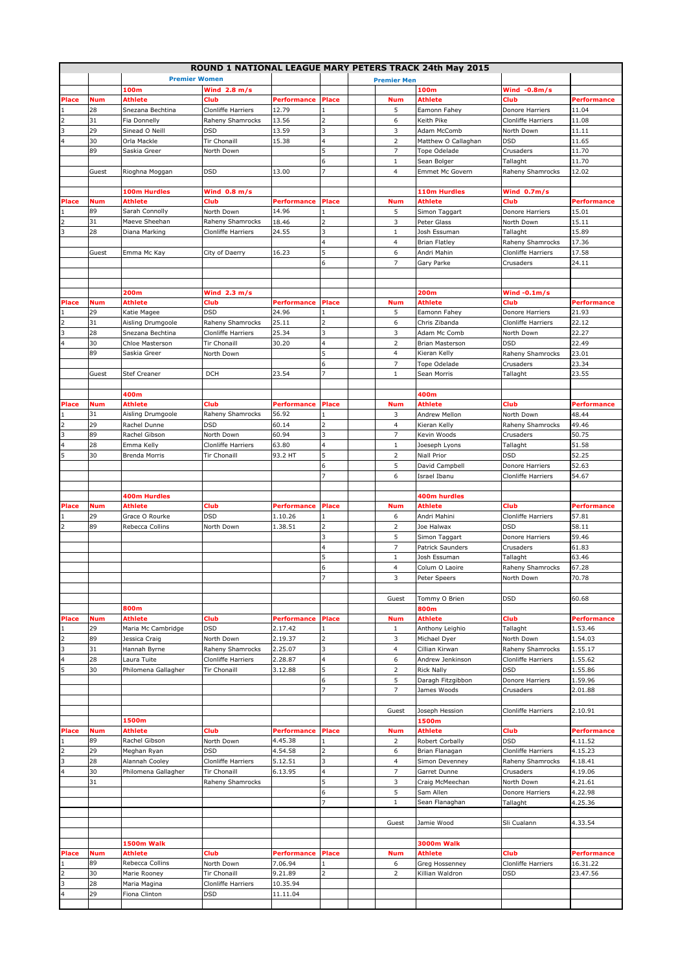|                          |            |                         |                        |                    |                         |                         | ROUND 1 NATIONAL LEAGUE MARY PETERS TRACK 24th May 2015 |                           |                    |
|--------------------------|------------|-------------------------|------------------------|--------------------|-------------------------|-------------------------|---------------------------------------------------------|---------------------------|--------------------|
|                          |            | <b>Premier Women</b>    |                        |                    |                         | <b>Premier Men</b>      |                                                         |                           |                    |
|                          |            | 100m                    | Wind $2.8 m/s$         |                    |                         |                         | 100m                                                    | Wind $-0.8m/s$            |                    |
| Place                    | <b>Num</b> | Athlete                 | Club                   | Performance        | Place                   | <b>Num</b>              | <b>Athlete</b>                                          | Club                      | <b>Performance</b> |
|                          | 28         | Snezana Bechtina        | Clonliffe Harriers     | 12.79              | $\mathbf{1}$            | 5                       | Eamonn Fahey                                            | Donore Harriers           | 11.04              |
|                          | 31         | Fia Donnelly            | Raheny Shamrocks       | 13.56              | 2                       | 6                       | Keith Pike                                              | <b>Clonliffe Harriers</b> | 11.08              |
| 3                        | 29         | Sinead O Neill          | <b>DSD</b>             | 13.59              | 3                       | 3                       | Adam McComb                                             | North Down                | 11.11              |
| 4                        | 30         | Orla Mackle             | <b>Tir Chonaill</b>    | 15.38              | $\overline{\mathbf{4}}$ | $\overline{2}$          | Matthew O Callaghan                                     | <b>DSD</b>                | 11.65              |
|                          | 89         | Saskia Greer            | North Down             |                    | 5                       | $\overline{7}$          | Tope Odelade                                            | Crusaders                 | 11.70              |
|                          |            |                         |                        |                    | $\boldsymbol{6}$        | $1\,$                   | Sean Bolger                                             | Tallaght                  | 11.70              |
|                          | Guest      | Rioghna Moggan          | <b>DSD</b>             | 13.00              | $\overline{7}$          | 4                       | Emmet Mc Govern                                         | Raheny Shamrocks          | 12.02              |
|                          |            |                         |                        |                    |                         |                         |                                                         |                           |                    |
| Place                    | <b>Num</b> | 100m Hurdles<br>Athlete | Wind $0.8 m/s$<br>Club | <b>Performance</b> | Place                   | <b>Num</b>              | 110m Hurdles<br><b>Athlete</b>                          | Wind 0.7m/s<br>Club       | <b>Performance</b> |
|                          | 89         | Sarah Connolly          | North Down             | 14.96              | 1                       | 5                       | Simon Taggart                                           | Donore Harriers           | 15.01              |
|                          | 31         | Maeve Sheehan           | Raheny Shamrocks       | 18.46              | $\overline{2}$          | 3                       | Peter Glass                                             | North Down                | 15.11              |
| 3                        | 28         | Diana Marking           | Clonliffe Harriers     | 24.55              | 3                       | $\mathbf{1}$            | Josh Essuman                                            | Tallaght                  | 15.89              |
|                          |            |                         |                        |                    | 4                       | 4                       | <b>Brian Flatley</b>                                    | Raheny Shamrocks          | 17.36              |
|                          | Guest      | Emma Mc Kay             | City of Daerry         | 16.23              | 5                       | 6                       | Andri Mahin                                             | Clonliffe Harriers        | 17.58              |
|                          |            |                         |                        |                    | 6                       | $\overline{7}$          | Gary Parke                                              | Crusaders                 | 24.11              |
|                          |            |                         |                        |                    |                         |                         |                                                         |                           |                    |
|                          |            |                         |                        |                    |                         |                         |                                                         |                           |                    |
|                          |            | 200m                    | Wind 2.3 m/s           |                    |                         |                         | 200m                                                    | Wind $-0.1m$ /s           |                    |
| Place                    | <b>Num</b> | Athlete                 | Club                   | Performance        | <b>Place</b>            | <b>Num</b>              | <b>Athlete</b>                                          | Club                      | <b>Performance</b> |
|                          | 29         | Katie Magee             | <b>DSD</b>             | 24.96              | $\mathbf{1}$            | 5                       | Eamonn Fahey                                            | Donore Harriers           | 21.93              |
|                          | 31         | Aisling Drumgoole       | Raheny Shamrocks       | 25.11              | $\overline{2}$          | 6                       | Chris Zibanda                                           | Clonliffe Harriers        | 22.12              |
| 3                        | 28         | Snezana Bechtina        | Clonliffe Harriers     | 25.34              | 3                       | 3                       | Adam Mc Comb                                            | North Down                | 22.27              |
| 4                        | 30         | Chloe Masterson         | Tir Chonaill           | 30.20              | 4                       | $\overline{2}$          | Brian Masterson                                         | DSD                       | 22.49              |
|                          | 89         | Saskia Greer            | North Down             |                    | 5                       | 4                       | Kieran Kelly                                            | Raheny Shamrocks          | 23.01              |
|                          |            |                         |                        |                    | 6                       | 7                       | Tope Odelade                                            | Crusaders                 | 23.34              |
|                          | Guest      | <b>Stef Creaner</b>     | <b>DCH</b>             | 23.54              | $\overline{7}$          | $\mathbf 1$             | Sean Morris                                             | Tallaght                  | 23.55              |
|                          |            |                         |                        |                    |                         |                         |                                                         |                           |                    |
|                          |            | 400m                    |                        |                    |                         |                         | 400m                                                    |                           |                    |
| Place                    | <b>Num</b> | Athlete                 | Club                   | <b>Performance</b> | Place                   | <b>Num</b>              | <b>Athlete</b>                                          | Club                      | <b>Performance</b> |
|                          | 31         | Aisling Drumgoole       | Raheny Shamrocks       | 56.92              | $\mathbf{1}$            | 3                       | Andrew Mellon                                           | North Down                | 48.44              |
| $\overline{\mathbf{z}}$  | 29         | Rachel Dunne            | <b>DSD</b>             | 60.14              | $\overline{2}$          | $\overline{\mathbf{4}}$ | Kieran Kelly                                            | Raheny Shamrocks          | 49.46              |
| 3                        | 89         | Rachel Gibson           | North Down             | 60.94              | $\overline{\mathbf{3}}$ | 7                       | Kevin Woods                                             | Crusaders                 | 50.75              |
| 4                        | 28         | Emma Kelly              | Clonliffe Harriers     | 63.80              | $\overline{\mathbf{4}}$ | $\mathbf 1$             | Joeseph Lyons                                           | Tallaght                  | 51.58              |
| 5                        | 30         | Brenda Morris           | <b>Tir Chonaill</b>    | 93.2 HT            | 5                       | $\overline{2}$          | <b>Niall Prior</b>                                      | <b>DSD</b>                | 52.25              |
|                          |            |                         |                        |                    | $6\phantom{a}$          | 5                       | David Campbell                                          | Donore Harriers           | 52.63              |
|                          |            |                         |                        |                    | $\overline{7}$          | 6                       | Israel Ibanu                                            | <b>Clonliffe Harriers</b> | 54.67              |
|                          |            |                         |                        |                    |                         |                         |                                                         |                           |                    |
|                          |            | 400m Hurdles            |                        |                    |                         |                         | 400m hurdles                                            |                           |                    |
| Place                    | <b>Num</b> | Athlete                 | Club                   | Performance        | <b>Place</b>            | <b>Num</b>              | Athlete                                                 | Club                      | <b>Performance</b> |
|                          | 29         | Grace O Rourke          | <b>DSD</b>             | 1.10.26            | $\mathbf{1}$            | 6                       | Andri Mahini                                            | Clonliffe Harriers        | 57.81              |
|                          | 89         | Rebecca Collins         | North Down             | 1.38.51            | $\overline{2}$          | $\overline{2}$          | Joe Halwax                                              | <b>DSD</b>                | 58.11              |
|                          |            |                         |                        |                    | 3                       | 5                       | Simon Taggart                                           | Donore Harriers           | 59.46              |
|                          |            |                         |                        |                    | $\overline{4}$          | $\overline{7}$          | Patrick Saunders                                        | Crusaders                 | 61.83              |
|                          |            |                         |                        |                    | 5                       | $\mathbf{1}$            | Josh Essuman                                            | Tallaght                  | 63.46              |
|                          |            |                         |                        |                    | 6                       | 4                       | Colum O Laoire                                          | Raheny Shamrocks          | 67.28              |
|                          |            |                         |                        |                    |                         | 3                       | Peter Speers                                            | North Down                | 70.78              |
|                          |            |                         |                        |                    |                         | Guest                   | Tommy O Brien                                           | DSD                       | 60.68              |
|                          |            | 800m                    |                        |                    |                         |                         | 800m                                                    |                           |                    |
| Place                    | <b>Num</b> | Athlete                 | Club                   | <b>Performance</b> | Place                   | <b>Num</b>              | Athlete                                                 | Club                      | <b>Performance</b> |
|                          | 29         | Maria Mc Cambridge      | <b>DSD</b>             | 2.17.42            | 1                       | $\mathbf{1}$            | Anthony Leighio                                         | Tallaght                  | 1.53.46            |
| $\overline{\phantom{a}}$ | 89         | Jessica Craig           | North Down             | 2.19.37            | $\overline{2}$          | 3                       | Michael Dyer                                            | North Down                | 1.54.03            |
| 3                        | 31         | Hannah Byrne            | Raheny Shamrocks       | 2.25.07            | 3                       | 4                       | Cillian Kirwan                                          | Raheny Shamrocks          | 1.55.17            |
| 4                        | 28         | Laura Tuite             | Clonliffe Harriers     | 2.28.87            | $\overline{4}$          | 6                       | Andrew Jenkinson                                        | Clonliffe Harriers        | 1.55.62            |
| 5                        | 30         | Philomena Gallagher     | Tir Chonaill           | 3.12.88            | 5                       | $\overline{2}$          | <b>Rick Nally</b>                                       | DSD                       | 1.55.86            |
|                          |            |                         |                        |                    | 6                       | 5                       | Daragh Fitzgibbon                                       | Donore Harriers           | 1.59.96            |
|                          |            |                         |                        |                    | $\overline{7}$          | 7                       | James Woods                                             | Crusaders                 | 2.01.88            |
|                          |            |                         |                        |                    |                         |                         |                                                         |                           |                    |
|                          |            |                         |                        |                    |                         | Guest                   | Joseph Hession                                          | Clonliffe Harriers        | 2.10.91            |
|                          |            | 1500m                   |                        |                    |                         |                         | 1500m                                                   |                           |                    |
| Place                    | <b>Num</b> | Athlete                 | Club                   | <b>Performance</b> | <b>Place</b>            | <b>Num</b>              | <b>Athlete</b>                                          | Club                      | <b>Performance</b> |
|                          | 89         | Rachel Gibson           | North Down             | 4.45.38            | 1                       | 2                       | Robert Corbally                                         | <b>DSD</b>                | 4.11.52            |
|                          | 29         | Meghan Ryan             | <b>DSD</b>             | 4.54.58            | $\overline{2}$          | 6                       | Brian Flanagan                                          | Clonliffe Harriers        | 4.15.23            |
| 3                        | 28         | Alannah Cooley          | Clonliffe Harriers     | 5.12.51            | 3                       | 4                       | Simon Devenney                                          | Raheny Shamrocks          | 4.18.41            |
| 4                        | 30         | Philomena Gallagher     | Tir Chonaill           | 6.13.95            | $\overline{4}$          | 7                       | Garret Dunne                                            | Crusaders                 | 4.19.06            |
|                          | 31         |                         | Raheny Shamrocks       |                    | 5                       | 3                       | Craig McMeechan                                         | North Down                | 4.21.61            |
|                          |            |                         |                        |                    | 6                       | 5                       | Sam Allen                                               | Donore Harriers           | 4.22.98            |
|                          |            |                         |                        |                    | $\overline{7}$          | $\mathbf 1$             | Sean Flanaghan                                          | Tallaght                  | 4.25.36            |
|                          |            |                         |                        |                    |                         |                         |                                                         |                           |                    |
|                          |            |                         |                        |                    |                         | Guest                   | Jamie Wood                                              | Sli Cualann               | 4.33.54            |
|                          |            |                         |                        |                    |                         |                         |                                                         |                           |                    |
|                          |            | 1500m Walk              |                        |                    |                         |                         | 3000m Walk                                              |                           |                    |
| Place                    | <b>Num</b> | Athlete                 | Club                   | Performance        | <b>Place</b>            | <b>Num</b>              | <b>Athlete</b>                                          | Club                      | <b>Performance</b> |
|                          | 89         | Rebecca Collins         | North Down             | 7.06.94            | $\mathbf{1}$            | 6                       | Greg Hossenney                                          | Clonliffe Harriers        | 16.31.22           |
| 2                        | 30         | Marie Rooney            | <b>Tir Chonaill</b>    | 9.21.89            | 2                       | $\overline{2}$          | Killian Waldron                                         | DSD                       | 23.47.56           |
| 3                        | 28         | Maria Magina            | Clonliffe Harriers     | 10.35.94           |                         |                         |                                                         |                           |                    |
| 4                        | 29         | Fiona Clinton           | DSD                    | 11.11.04           |                         |                         |                                                         |                           |                    |
|                          |            |                         |                        |                    |                         |                         |                                                         |                           |                    |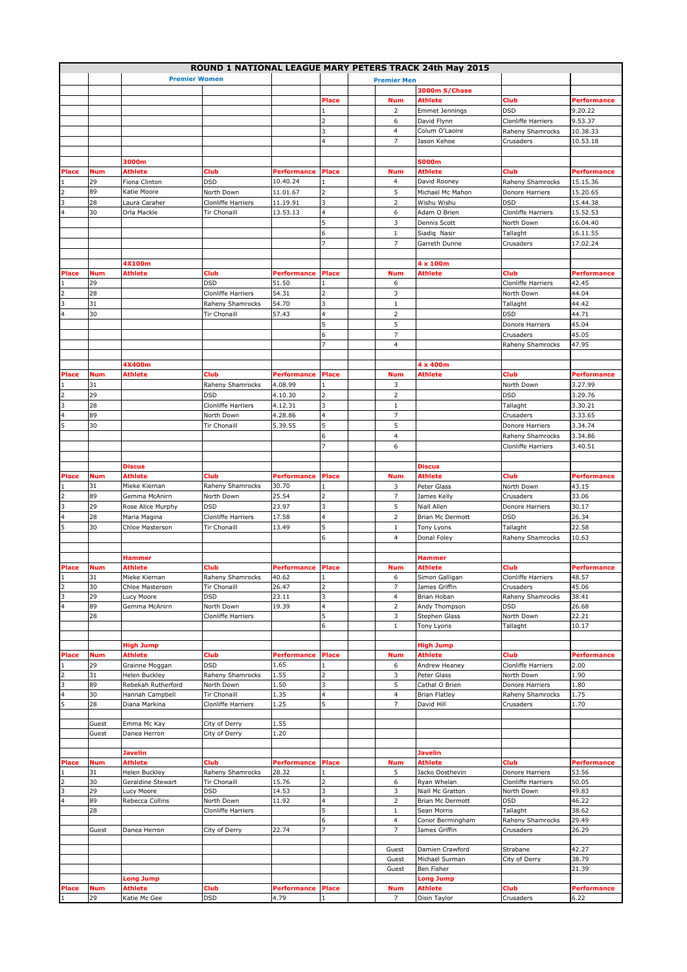|                |            |                             |                           |                    |                         |                    | ROUND 1 NATIONAL LEAGUE MARY PETERS TRACK 24th May 2015 |                                  |                    |
|----------------|------------|-----------------------------|---------------------------|--------------------|-------------------------|--------------------|---------------------------------------------------------|----------------------------------|--------------------|
|                |            |                             | <b>Premier Women</b>      |                    |                         | <b>Premier Men</b> |                                                         |                                  |                    |
|                |            |                             |                           |                    |                         |                    | 3000m S/Chase                                           |                                  |                    |
|                |            |                             |                           |                    | Place                   | <b>Num</b>         | Athlete                                                 | Club                             | Performance        |
|                |            |                             |                           |                    |                         | $\overline{2}$     | <b>Emmet Jennings</b>                                   | <b>DSD</b>                       | 9.20.22            |
|                |            |                             |                           |                    | $\overline{2}$          | 6                  | David Flynn                                             | Clonliffe Harriers               | 9.53.37            |
|                |            |                             |                           |                    | 3                       | 4                  | Colum O'Laoire                                          | Raheny Shamrocks                 | 10.38.33           |
|                |            |                             |                           |                    | 4                       | $\overline{7}$     | Jason Kehoe                                             | Crusaders                        | 10.53.18           |
|                |            |                             |                           |                    |                         |                    |                                                         |                                  |                    |
|                |            | 3000m                       |                           |                    |                         |                    | 5000m                                                   |                                  |                    |
| Place          | <b>Num</b> | Athlete                     | Club                      | Performance        | <b>Place</b>            | <b>Num</b>         | Athlete                                                 | Club                             | <b>Performance</b> |
|                | 29         | Fiona Clinton               | <b>DSD</b>                | 10.40.24           | $\mathbf{1}$            | 4                  | David Rooney                                            | Raheny Shamrocks                 | 15.15.36           |
| 2              | 89         | Katie Moore                 | North Down                | 11.01.67           | $\overline{2}$          | 5                  | Michael Mc Mahon                                        | Donore Harriers                  | 15.20.65           |
| 3              | 28         | Laura Caraher               | <b>Clonliffe Harriers</b> | 11.19.91           | 3                       | $\overline{2}$     | Wishu Wishu                                             | <b>DSD</b>                       | 15.44.38           |
| 4              | 30         | Orla Mackle                 | Tir Chonaill              |                    | 4                       | 6                  |                                                         |                                  | 15.52.53           |
|                |            |                             |                           | 13.53.13           | 5                       | 3                  | Adam O Brien<br>Dennis Scott                            | Clonliffe Harriers<br>North Down | 16.04.40           |
|                |            |                             |                           |                    | 6                       | $\,1\,$            |                                                         |                                  |                    |
|                |            |                             |                           |                    | 7                       | $\overline{7}$     | Siadiq Nasir                                            | Tallaght                         | 16.11.55           |
|                |            |                             |                           |                    |                         |                    | Garreth Dunne                                           | Crusaders                        | 17.02.24           |
|                |            | 4X100m                      |                           |                    |                         |                    |                                                         |                                  |                    |
| Place          | <b>Num</b> | Athlete                     | Club                      | Performance        | Place                   | <b>Num</b>         | 4 x 100m<br><b>Athlete</b>                              | Club                             | <b>Performance</b> |
|                |            |                             | <b>DSD</b>                | 51.50              | 1                       |                    |                                                         |                                  |                    |
|                | 29         |                             |                           |                    |                         | 6                  |                                                         | Clonliffe Harriers               | 42.45              |
|                | 28         |                             | Clonliffe Harriers        | 54.31              | $\overline{2}$          | 3                  |                                                         | North Down                       | 44.04              |
| 3              | 31         |                             | Raheny Shamrocks          | 54.70              | 3                       | $\,1\,$            |                                                         | Tallaght                         | 44.42              |
| 4              | 30         |                             | <b>Tir Chonaill</b>       | 57.43              | 4                       | $\overline{2}$     |                                                         | <b>DSD</b>                       | 44.71              |
|                |            |                             |                           |                    | 5                       | 5                  |                                                         | Donore Harriers                  | 45.04              |
|                |            |                             |                           |                    | 6                       | $\overline{7}$     |                                                         | Crusaders                        | 45.05              |
|                |            |                             |                           |                    | 7                       | $\overline{4}$     |                                                         | Raheny Shamrocks                 | 47.95              |
|                |            |                             |                           |                    |                         |                    |                                                         |                                  |                    |
|                |            | 4X400m                      |                           |                    |                         |                    | 4 x 400m                                                |                                  |                    |
| Place          | <b>Num</b> | Athlete                     | Club                      | Performance        | Place                   | <b>Num</b>         | <b>Athlete</b>                                          | Club                             | <b>Performance</b> |
|                | 31         |                             | Raheny Shamrocks          | 4.08.99            | $\mathbf{1}$            | 3                  |                                                         | North Down                       | 3.27.99            |
| $\overline{2}$ | 29         |                             | <b>DSD</b>                | 4.10.30            | $\overline{2}$          | $\overline{2}$     |                                                         | <b>DSD</b>                       | 3.29.76            |
| 3              | 28         |                             | Clonliffe Harriers        | 4.12.31            | 3                       | $\,1\,$            |                                                         | Tallaght                         | 3.30.21            |
| 4              | 89         |                             | North Down                | 4.28.86            | 4                       | $\overline{7}$     |                                                         | Crusaders                        | 3.33.65            |
| 5              | 30         |                             | Tir Chonaill              | 5.39.55            | 5                       | 5                  |                                                         | Donore Harriers                  | 3.34.74            |
|                |            |                             |                           |                    | 6                       | $\overline{4}$     |                                                         | Raheny Shamrocks                 | 3.34.86            |
|                |            |                             |                           |                    | 7                       | 6                  |                                                         | Clonliffe Harriers               | 3.40.51            |
|                |            |                             |                           |                    |                         |                    |                                                         |                                  |                    |
|                |            | <b>Discus</b>               |                           |                    |                         |                    | <b>Discus</b>                                           |                                  |                    |
| Place          | <b>Num</b> | Athlete                     | Club                      | <b>Performance</b> | Place                   | <b>Num</b>         | Athlete                                                 | Club                             | <b>Performance</b> |
|                | 31         | Mieke Kiernan               | Raheny Shamrocks          | 30.70              | $\mathbf{1}$            | 3                  | Peter Glass                                             | North Down                       | 43.15              |
| 2              | 89         | Gemma McAnirn               | North Down                | 25.54              | $\overline{2}$          | $\overline{7}$     | James Kelly                                             | Crusaders                        | 33.06              |
| 3              | 29         | Rose Alice Murphy           | <b>DSD</b>                | 23.97              | 3                       | 5                  | Niall Allen                                             | Donore Harriers                  | 30.17              |
| 4              | 28         | Maria Magina                | Clonliffe Harriers        | 17.58              | 4                       | $\overline{2}$     | Brian Mc Dermott                                        | <b>DSD</b>                       | 26.34              |
| 5              | 30         | Chloe Masterson             | Tir Chonaill              | 13.49              | 5                       | $\mathbf 1$        | Tony Lyons                                              | Tallaght                         | 22.58              |
|                |            |                             |                           |                    | 6                       | 4                  | Donal Foley                                             | Raheny Shamrocks                 | 10.63              |
|                |            |                             |                           |                    |                         |                    |                                                         |                                  |                    |
|                |            | <b>Hammer</b>               |                           |                    |                         |                    | Hammer                                                  |                                  |                    |
| Place          | <b>Num</b> | Athlete                     | Club                      | Performance        | Place                   | <b>Num</b>         | Athlete                                                 | Club                             | Performance        |
|                | 31         | Mieke Kiernan               | Raheny Shamrocks          | 40.62              |                         | 6                  | Simon Galligan                                          | Clonliffe Harriers               | 48.57              |
| 2              | 30         | Chloe Masterson             | Tir Chonaill              | 26.47              | $\overline{\mathbf{z}}$ | $\overline{7}$     | James Griffin                                           | Crusaders                        | 45.06              |
| 3              | 29         | Lucy Moore                  | DSD                       | 23.11              | 3                       | $\overline{4}$     | Brian Hoban                                             | Raheny Shamrocks                 | 38.41              |
| 4              | 89         | Gemma McAnirn               | North Down                | 19.39              | 4                       | $\overline{2}$     | Andy Thompson                                           | DSD                              | 26.68              |
|                | 28         |                             | Clonliffe Harriers        |                    | 5                       | 3                  | Stephen Glass                                           | North Down                       | 22.21              |
|                |            |                             |                           |                    | 6                       | $\mathbf{1}$       | Tony Lyons                                              | Tallaght                         | 10.17              |
|                |            |                             |                           |                    |                         |                    |                                                         |                                  |                    |
|                |            | High Jump                   |                           |                    |                         |                    | <b>High Jump</b>                                        |                                  |                    |
| Place          | <b>Num</b> | Athlete                     | Club                      | Performance        | Place                   | <b>Num</b>         | Athlete                                                 | Club                             | <b>Performance</b> |
|                | 29         | Grainne Moggan              | <b>DSD</b>                | 1.65               | 1                       | 6                  | Andrew Heaney                                           | Clonliffe Harriers               | 2.00               |
|                | 31         | Helen Buckley               | Raheny Shamrocks          | 1.55               | 2                       | 3                  | Peter Glass                                             | North Down                       | 1.90               |
| 3              | 89         | Rebekah Rutherford          | North Down                | 1.50               | 3                       | 5                  | Cathal O Brien                                          | Donore Harriers                  | 1.80               |
| 4              | 30         | Hannah Campbell             | Tir Chonaill              | 1.35               | 4                       | $\overline{4}$     | <b>Brian Flatley</b>                                    | Raheny Shamrocks                 | 1.75               |
| 5              | 28         | Diana Markina               | Clonliffe Harriers        | 1.25               | 5                       | 7                  | David Hill                                              | Crusaders                        | 1.70               |
|                |            |                             |                           |                    |                         |                    |                                                         |                                  |                    |
|                | Guest      | Emma Mc Kay                 | City of Derry             | 1.55               |                         |                    |                                                         |                                  |                    |
|                | Guest      | Danea Herron                | City of Derry             | 1.20               |                         |                    |                                                         |                                  |                    |
|                |            |                             |                           |                    |                         |                    |                                                         |                                  |                    |
|                |            | Javelin                     |                           |                    |                         |                    | <b>Javelin</b>                                          |                                  |                    |
| Place          | <b>Num</b> | <b>Athlete</b>              | Club                      | <b>Performance</b> | Place                   | <b>Num</b>         | Athlete                                                 | Club                             | <b>Performance</b> |
|                | 31         | Helen Buckley               | Raheny Shamrocks          | 28.32              |                         | 5                  | Jacko Oosthevin                                         | Donore Harriers                  | 53.56              |
| 2              | 30         | Geraldine Stewart           | Tir Chonaill              | 15.76              | 2                       | 6                  | Ryan Whelan                                             | Clonliffe Harriers               | 50.05              |
| 3              | 29         | Lucy Moore                  | <b>DSD</b>                | 14.53              | 3                       | 3                  | Niall Mc Gratton                                        | North Down                       | 49.83              |
| 4              | 89         | Rebecca Collins             | North Down                | 11.92              | 4                       | $\overline{2}$     | Brian Mc Dermott                                        | DSD                              | 46.22              |
|                | 28         |                             | Clonliffe Harriers        |                    | 5                       | $1\,$              | Sean Morris                                             | Tallaght                         | 38.62              |
|                |            |                             |                           |                    | 6<br>7                  | 4                  | Conor Bermingham                                        | Raheny Shamrocks                 | 29.49              |
|                | Guest      | Danea Herron                | City of Derry             | 22.74              |                         | $\overline{7}$     | James Griffin                                           | Crusaders                        | 26.29              |
|                |            |                             |                           |                    |                         |                    |                                                         |                                  |                    |
|                |            |                             |                           |                    |                         | Guest<br>Guest     | Damien Crawford<br>Michael Surman                       | Strabane<br>City of Derry        | 42.27<br>38.79     |
|                |            |                             |                           |                    |                         |                    | Ben Fisher                                              |                                  | 21.39              |
|                |            |                             |                           |                    |                         | Guest              | <b>Long Jump</b>                                        |                                  |                    |
|                | <b>Num</b> | <b>Long Jump</b><br>Athlete | Club                      | Performance        | Place                   | <b>Num</b>         | Athlete                                                 | Club                             | <b>Performance</b> |
| Place          | 29         | Katie Mc Gee                | DSD                       | 4.79               | 1                       | $\overline{7}$     |                                                         | Crusaders                        | 6.22               |
|                |            |                             |                           |                    |                         |                    | Oisin Taylor                                            |                                  |                    |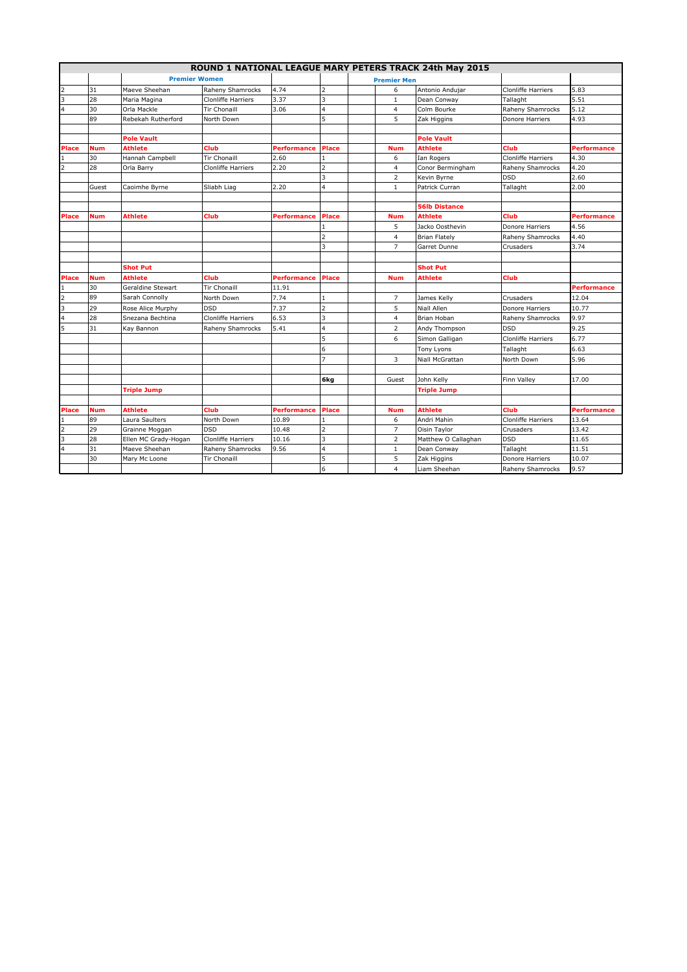|                |            |                      |                           |                    |                |                    | ROUND 1 NATIONAL LEAGUE MARY PETERS TRACK 24th May 2015 |                           |                    |
|----------------|------------|----------------------|---------------------------|--------------------|----------------|--------------------|---------------------------------------------------------|---------------------------|--------------------|
|                |            | <b>Premier Women</b> |                           |                    |                | <b>Premier Men</b> |                                                         |                           |                    |
| $\overline{2}$ | 31         | Maeve Sheehan        | Raheny Shamrocks          | 4.74               | 2              | 6                  | Antonio Andujar                                         | Clonliffe Harriers        | 5.83               |
| 3              | 28         | Maria Magina         | Clonliffe Harriers        | 3.37               | 3              | $\mathbf{1}$       | Dean Conway                                             | Tallaght                  | 5.51               |
| 4              | 30         | Orla Mackle          | Tir Chonaill              | 3.06               | 4              | 4                  | Colm Bourke                                             | Raheny Shamrocks          | 5.12               |
|                | 89         | Rebekah Rutherford   | North Down                |                    | 5              | 5                  | Zak Higgins                                             | Donore Harriers           | 4.93               |
|                |            |                      |                           |                    |                |                    |                                                         |                           |                    |
|                |            | <b>Pole Vault</b>    |                           |                    |                |                    | <b>Pole Vault</b>                                       |                           |                    |
| Place          | <b>Num</b> | <b>Athlete</b>       | Club                      | Performance        | <b>Place</b>   | <b>Num</b>         | <b>Athlete</b>                                          | Club                      | Performance        |
|                | 30         | Hannah Campbell      | <b>Tir Chonaill</b>       | 2.60               | $\mathbf{1}$   | 6                  | Ian Rogers                                              | Clonliffe Harriers        | 4.30               |
| 2              | 28         | Orla Barry           | <b>Clonliffe Harriers</b> | 2.20               | $\overline{2}$ | $\overline{4}$     | Conor Bermingham                                        | Raheny Shamrocks          | 4.20               |
|                |            |                      |                           |                    | 3              | $\overline{2}$     | Kevin Byrne                                             | <b>DSD</b>                | 2.60               |
|                | Guest      | Caoimhe Byrne        | Sliabh Liag               | 2.20               | 4              | $\mathbf{1}$       | Patrick Curran                                          | Tallaght                  | 2.00               |
|                |            |                      |                           |                    |                |                    |                                                         |                           |                    |
|                |            |                      |                           |                    |                |                    | <b>56lb Distance</b>                                    |                           |                    |
| Place          | <b>Num</b> | <b>Athlete</b>       | Club                      | Performance        | Place          | <b>Num</b>         | <b>Athlete</b>                                          | Club                      | <b>Performance</b> |
|                |            |                      |                           |                    | 1              | 5                  | Jacko Oosthevin                                         | Donore Harriers           | 4.56               |
|                |            |                      |                           |                    | $\overline{2}$ | $\overline{4}$     | <b>Brian Flately</b>                                    | Raheny Shamrocks          | 4.40               |
|                |            |                      |                           |                    | 3              | $\overline{7}$     | Garret Dunne                                            | Crusaders                 | 3.74               |
|                |            |                      |                           |                    |                |                    |                                                         |                           |                    |
|                |            | <b>Shot Put</b>      |                           |                    |                |                    | <b>Shot Put</b>                                         |                           |                    |
| <b>Place</b>   | <b>Num</b> | <b>Athlete</b>       | Club                      | <b>Performance</b> | Place          | <b>Num</b>         | <b>Athlete</b>                                          | Club                      |                    |
| 1              | 30         | Geraldine Stewart    | <b>Tir Chonaill</b>       | 11.91              |                |                    |                                                         |                           | <b>Performance</b> |
| $\overline{2}$ | 89         | Sarah Connolly       | North Down                | 7.74               | $\mathbf{1}$   | $\overline{7}$     | James Kelly                                             | Crusaders                 | 12.04              |
| 3              | 29         | Rose Alice Murphy    | <b>DSD</b>                | 7.37               | $\overline{2}$ | 5                  | Niall Allen                                             | Donore Harriers           | 10.77              |
| 4              | 28         | Snezana Bechtina     | Clonliffe Harriers        | 6.53               | 3              | $\overline{4}$     | Brian Hoban                                             | Raheny Shamrocks          | 9.97               |
| 5              | 31         | Kay Bannon           | Raheny Shamrocks          | 5.41               | 4              | $\overline{2}$     | Andy Thompson                                           | <b>DSD</b>                | 9.25               |
|                |            |                      |                           |                    | 5              | 6                  | Simon Galligan                                          | <b>Clonliffe Harriers</b> | 6.77               |
|                |            |                      |                           |                    | 6              |                    | Tony Lyons                                              | Tallaght                  | 6.63               |
|                |            |                      |                           |                    | $\overline{z}$ | 3                  | Niall McGrattan                                         | North Down                | 5.96               |
|                |            |                      |                           |                    |                |                    |                                                         |                           |                    |
|                |            |                      |                           |                    | 6kg            | Guest              | John Kelly                                              | Finn Valley               | 17.00              |
|                |            | <b>Triple Jump</b>   |                           |                    |                |                    | <b>Triple Jump</b>                                      |                           |                    |
|                |            |                      |                           |                    |                |                    |                                                         |                           |                    |
| Place          | <b>Num</b> | <b>Athlete</b>       | Club                      | <b>Performance</b> | <b>Place</b>   | <b>Num</b>         | <b>Athlete</b>                                          | Club                      | <b>Performance</b> |
| 1              | 89         | Laura Saulters       | North Down                | 10.89              | 1              | 6                  | Andri Mahin                                             | <b>Clonliffe Harriers</b> | 13.64              |
| $\overline{2}$ | 29         | Grainne Moggan       | <b>DSD</b>                | 10.48              | $\overline{2}$ | $\overline{7}$     | Oisin Taylor                                            | Crusaders                 | 13.42              |
| 3              | 28         | Ellen MC Grady-Hogan | Clonliffe Harriers        | 10.16              | 3              | $\overline{2}$     | Matthew O Callaghan                                     | <b>DSD</b>                | 11.65              |
| 4              | 31         | Maeve Sheehan        | Raheny Shamrocks          | 9.56               | 4              | $\mathbf{1}$       | Dean Conway                                             | Tallaght                  | 11.51              |
|                | 30         | Mary Mc Loone        | Tir Chonaill              |                    | 5              | 5                  | Zak Higgins                                             | Donore Harriers           | 10.07              |
|                |            |                      |                           |                    | 6              | $\overline{4}$     | Liam Sheehan                                            | Raheny Shamrocks          | 9.57               |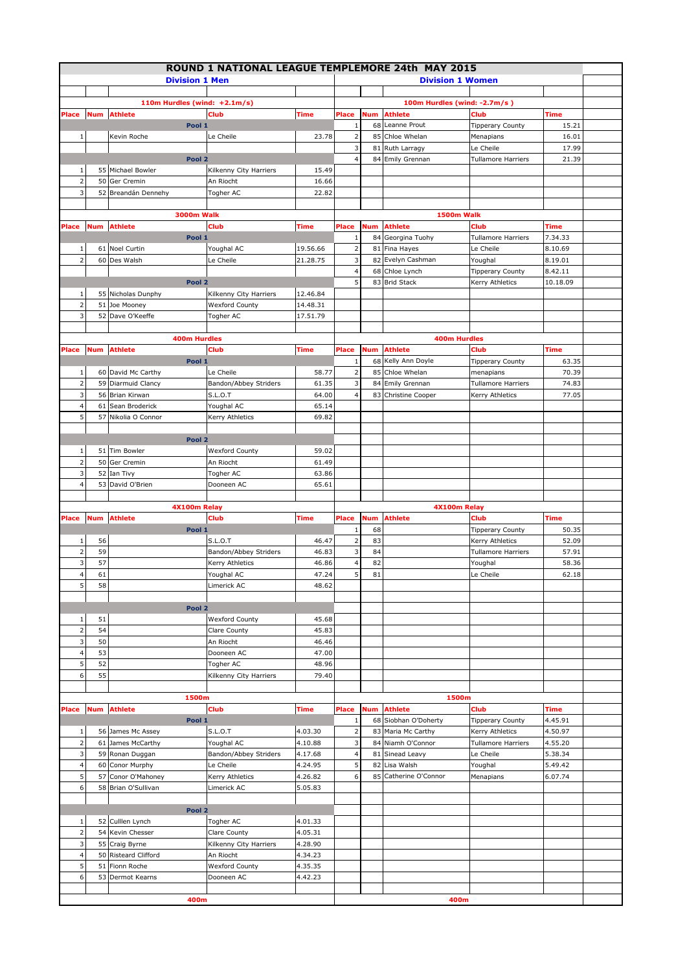|                         |     |                                    | ROUND 1 NATIONAL LEAGUE TEMPLEMORE 24th MAY 2015 |             |                              |     |                                     |                                        |                |  |
|-------------------------|-----|------------------------------------|--------------------------------------------------|-------------|------------------------------|-----|-------------------------------------|----------------------------------------|----------------|--|
|                         |     | <b>Division 1 Men</b>              |                                                  |             |                              |     | <b>Division 1 Women</b>             |                                        |                |  |
|                         |     |                                    |                                                  |             |                              |     |                                     |                                        |                |  |
|                         |     | 110m Hurdles (wind: +2.1m/s)       |                                                  |             |                              |     | 100m Hurdles (wind: -2.7m/s)        |                                        |                |  |
| Place                   |     | <b>Num</b> Athlete                 | <b>Club</b>                                      | Time        | Place                        | Num | <b>Athlete</b>                      | <b>Club</b>                            | Time           |  |
|                         |     | Pool 1                             |                                                  |             | $\mathbf{1}$                 |     | 68 Leanne Prout                     | <b>Tipperary County</b>                | 15.21          |  |
| $1\,$                   |     | Kevin Roche                        | Le Cheile                                        | 23.78       | $\overline{\mathbf{c}}$<br>3 |     | 85 Chloe Whelan                     | Menapians                              | 16.01          |  |
|                         |     | Pool <sub>2</sub>                  |                                                  |             | $\overline{4}$               |     | 81 Ruth Larragy<br>84 Emily Grennan | Le Cheile<br><b>Tullamore Harriers</b> | 17.99<br>21.39 |  |
| 1                       |     | 55 Michael Bowler                  | Kilkenny City Harriers                           | 15.49       |                              |     |                                     |                                        |                |  |
| $\overline{2}$          | 50  | Ger Cremin                         | An Riocht                                        | 16.66       |                              |     |                                     |                                        |                |  |
| 3                       |     | 52 Breandán Dennehy                | Togher AC                                        | 22.82       |                              |     |                                     |                                        |                |  |
|                         |     |                                    |                                                  |             |                              |     |                                     |                                        |                |  |
|                         |     | <b>3000m Walk</b>                  |                                                  |             |                              |     | 1500m Walk                          |                                        |                |  |
| Place                   |     | <b>Num</b> Athlete                 | <b>Club</b>                                      | Time        | Place                        | Num | <b>Athlete</b>                      | Club                                   | <b>Time</b>    |  |
|                         |     | Pool 1                             |                                                  |             | 1                            |     | 84 Georgina Tuohy                   | <b>Tullamore Harriers</b>              | 7.34.33        |  |
| 1                       |     | 61 Noel Curtin                     | Youghal AC                                       | 19.56.66    | $\overline{\mathbf{c}}$      |     | 81 Fina Hayes                       | Le Cheile                              | 8.10.69        |  |
| $\overline{2}$          |     | 60 Des Walsh                       | Le Cheile                                        | 21.28.75    | 3                            |     | 82 Evelyn Cashman                   | Youghal                                | 8.19.01        |  |
|                         |     |                                    |                                                  |             | $\overline{a}$               |     | 68 Chloe Lynch                      | <b>Tipperary County</b>                | 8.42.11        |  |
|                         |     | Pool 2                             |                                                  |             | 5                            |     | 83 Brid Stack                       | Kerry Athletics                        | 10.18.09       |  |
| 1                       |     | 55 Nicholas Dunphy                 | Kilkenny City Harriers                           | 12.46.84    |                              |     |                                     |                                        |                |  |
| $\overline{2}$          | 51  | Joe Mooney                         | <b>Wexford County</b>                            | 14.48.31    |                              |     |                                     |                                        |                |  |
| 3                       | 52  | Dave O'Keeffe                      | Togher AC                                        | 17.51.79    |                              |     |                                     |                                        |                |  |
|                         |     | <b>400m Hurdles</b>                |                                                  |             |                              |     | <b>400m Hurdles</b>                 |                                        |                |  |
| Place                   | Num | <b>Athlete</b>                     | <b>Club</b>                                      | Time        | Place                        | Num | Athlete                             | <b>Club</b>                            | Time           |  |
|                         |     | Pool 1                             |                                                  |             | $\mathbf{1}$                 |     | 68 Kelly Ann Doyle                  | <b>Tipperary County</b>                | 63.35          |  |
| $\,1$                   |     | 60 David Mc Carthy                 | Le Cheile                                        | 58.77       | $\mathbf 2$                  |     | 85 Chloe Whelan                     | menapians                              | 70.39          |  |
| $\overline{\mathbf{c}}$ | 59  | Diarmuid Clancy                    | Bandon/Abbey Striders                            | 61.35       | 3                            |     | 84 Emily Grennan                    | <b>Tullamore Harriers</b>              | 74.83          |  |
| 3                       | 56  | Brian Kirwan                       | <b>S.L.O.T</b>                                   | 64.00       | $\overline{a}$               |     | 83 Christine Cooper                 | Kerry Athletics                        | 77.05          |  |
| $\overline{\mathbf{4}}$ | 61  | Sean Broderick                     | Youghal AC                                       | 65.14       |                              |     |                                     |                                        |                |  |
| 5                       | 57  | Nikolia O Connor                   | Kerry Athletics                                  | 69.82       |                              |     |                                     |                                        |                |  |
|                         |     |                                    |                                                  |             |                              |     |                                     |                                        |                |  |
|                         |     | Pool 2                             |                                                  |             |                              |     |                                     |                                        |                |  |
| $\,1\,$                 |     | 51 Tim Bowler                      | <b>Wexford County</b>                            | 59.02       |                              |     |                                     |                                        |                |  |
| $\overline{2}$          | 50  | Ger Cremin                         | An Riocht                                        | 61.49       |                              |     |                                     |                                        |                |  |
| 3                       |     | 52 Ian Tivy                        | Togher AC                                        | 63.86       |                              |     |                                     |                                        |                |  |
| $\overline{\mathbf{4}}$ | 53  | David O'Brien                      | Dooneen AC                                       | 65.61       |                              |     |                                     |                                        |                |  |
|                         |     |                                    |                                                  |             |                              |     |                                     |                                        |                |  |
|                         |     | 4X100m Relay<br><b>Num</b> Athlete |                                                  | <b>Time</b> | Place                        | Num | 4X100m Relay<br>Athlete             | <b>Club</b>                            | <b>Time</b>    |  |
| Place                   |     | Pool 1                             | <b>Club</b>                                      |             | $\mathbf{1}$                 | 68  |                                     | <b>Tipperary County</b>                | 50.35          |  |
| 1                       | 56  |                                    | <b>S.L.O.T</b>                                   | 46.47       | $\overline{2}$               | 83  |                                     | Kerry Athletics                        | 52.09          |  |
| $\overline{2}$          | 59  |                                    | Bandon/Abbey Striders                            | 46.83       | 3                            | 84  |                                     | <b>Tullamore Harriers</b>              | 57.91          |  |
| 3                       | 57  |                                    | Kerry Athletics                                  | 46.86       | $\overline{\mathbf{4}}$      | 82  |                                     | Youghal                                | 58.36          |  |
| $\overline{\mathbf{4}}$ | 61  |                                    | Youghal AC                                       | 47.24       | 5                            | 81  |                                     | Le Cheile                              | 62.18          |  |
| 5                       | 58  |                                    | Limerick AC                                      | 48.62       |                              |     |                                     |                                        |                |  |
|                         |     |                                    |                                                  |             |                              |     |                                     |                                        |                |  |
|                         |     | Pool <sub>2</sub>                  |                                                  |             |                              |     |                                     |                                        |                |  |
| 1                       | 51  |                                    | <b>Wexford County</b>                            | 45.68       |                              |     |                                     |                                        |                |  |
| $\overline{2}$          | 54  |                                    | Clare County                                     | 45.83       |                              |     |                                     |                                        |                |  |
| 3                       | 50  |                                    | An Riocht                                        | 46.46       |                              |     |                                     |                                        |                |  |
| 4                       | 53  |                                    | Dooneen AC                                       | 47.00       |                              |     |                                     |                                        |                |  |
| 5                       | 52  |                                    | Togher AC                                        | 48.96       |                              |     |                                     |                                        |                |  |
| 6                       | 55  |                                    | Kilkenny City Harriers                           | 79.40       |                              |     |                                     |                                        |                |  |
|                         |     | 1500m                              |                                                  |             |                              |     | 1500m                               |                                        |                |  |
| Place                   |     | <b>Num</b> Athlete                 | <b>Club</b>                                      | Time        | Place                        | Num | <b>Athlete</b>                      | <b>Club</b>                            | Time           |  |
|                         |     | Pool 1                             |                                                  |             | $1\,$                        |     | 68 Siobhan O'Doherty                | <b>Tipperary County</b>                | 4.45.91        |  |
| 1                       |     | 56 James Mc Assey                  | <b>S.L.O.T</b>                                   | 4.03.30     | $\overline{2}$               |     | 83 Maria Mc Carthy                  | Kerry Athletics                        | 4.50.97        |  |
| $\overline{2}$          |     | 61 James McCarthy                  | Youghal AC                                       | 4.10.88     | 3                            |     | 84 Niamh O'Connor                   | <b>Tullamore Harriers</b>              | 4.55.20        |  |
| 3                       |     | 59 Ronan Duggan                    | Bandon/Abbey Striders                            | 4.17.68     | 4                            |     | 81 Sinead Leavy                     | Le Cheile                              | 5.38.34        |  |
| 4                       |     | 60 Conor Murphy                    | Le Cheile                                        | 4.24.95     | 5                            |     | 82 Lisa Walsh                       | Youghal                                | 5.49.42        |  |
| 5                       | 57  | Conor O'Mahoney                    | Kerry Athletics                                  | 4.26.82     | 6                            |     | 85 Catherine O'Connor               | Menapians                              | 6.07.74        |  |
| 6                       |     | 58 Brian O'Sullivan                | Limerick AC                                      | 5.05.83     |                              |     |                                     |                                        |                |  |
|                         |     |                                    |                                                  |             |                              |     |                                     |                                        |                |  |
|                         |     | Pool <sub>2</sub>                  |                                                  |             |                              |     |                                     |                                        |                |  |
| $\,1\,$                 |     | 52 Culllen Lynch                   | Togher AC                                        | 4.01.33     |                              |     |                                     |                                        |                |  |
| $\mathbf 2$             | 54  | Kevin Chesser                      | Clare County                                     | 4.05.31     |                              |     |                                     |                                        |                |  |
| 3                       |     | 55 Craig Byrne                     | Kilkenny City Harriers                           | 4.28.90     |                              |     |                                     |                                        |                |  |
| 4                       | 50  | <b>Risteard Clifford</b>           | An Riocht                                        | 4.34.23     |                              |     |                                     |                                        |                |  |
| 5                       | 51  | Fionn Roche                        | <b>Wexford County</b>                            | 4.35.35     |                              |     |                                     |                                        |                |  |
| 6                       |     | 53 Dermot Kearns                   | Dooneen AC                                       | 4.42.23     |                              |     |                                     |                                        |                |  |
|                         |     | 400m                               |                                                  |             |                              |     | 400m                                |                                        |                |  |
|                         |     |                                    |                                                  |             |                              |     |                                     |                                        |                |  |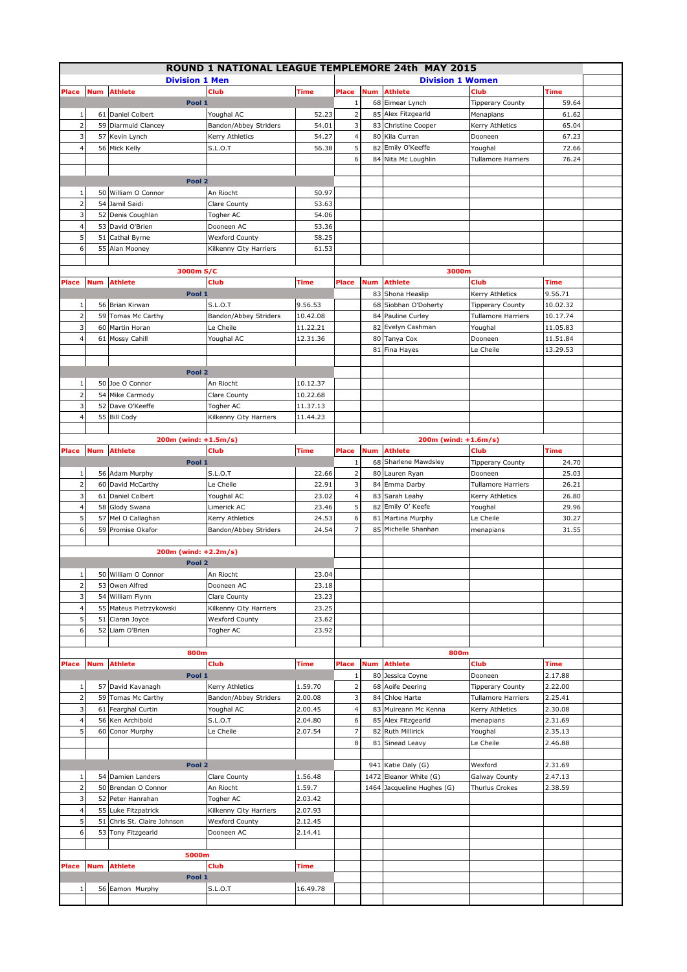|                |            |                          | ROUND 1 NATIONAL LEAGUE TEMPLEMORE 24th MAY 2015 |                |                         |            |                                       |                           |                 |  |
|----------------|------------|--------------------------|--------------------------------------------------|----------------|-------------------------|------------|---------------------------------------|---------------------------|-----------------|--|
|                |            | <b>Division 1 Men</b>    |                                                  |                |                         |            | <b>Division 1 Women</b>               |                           |                 |  |
| Place          | <b>Num</b> | <b>Athlete</b>           | Club                                             | Time           | Place                   | Num        | <b>Athlete</b>                        | Club                      | Time            |  |
|                |            | Pool 1                   |                                                  |                | $1\,$                   |            | 68 Eimear Lynch                       | <b>Tipperary County</b>   | 59.64           |  |
| 1              | 61         | Daniel Colbert           | Youghal AC                                       | 52.23          | $\overline{2}$          |            | 85 Alex Fitzgearld                    | Menapians                 | 61.62           |  |
| $\overline{2}$ | 59         | Diarmuid Clancey         | Bandon/Abbey Striders                            | 54.01          | 3                       |            | 83 Christine Cooper                   | Kerry Athletics           | 65.04           |  |
| 3              | 57         | Kevin Lynch              | Kerry Athletics                                  | 54.27          | $\overline{\mathbf{4}}$ |            | 80 Kila Curran                        | Dooneen                   | 67.23           |  |
| $\overline{4}$ | 56 l       | Mick Kelly               | <b>S.L.O.T</b>                                   | 56.38          | 5                       |            | 82 Emily O'Keeffe                     | Youghal                   | 72.66           |  |
|                |            |                          |                                                  |                | 6                       |            | 84 Nita Mc Loughlin                   | <b>Tullamore Harriers</b> | 76.24           |  |
|                |            | Pool <sub>2</sub>        |                                                  |                |                         |            |                                       |                           |                 |  |
| 1              |            | 50 William O Connor      | An Riocht                                        | 50.97          |                         |            |                                       |                           |                 |  |
| 2              | 54         | Jamil Saidi              | Clare County                                     | 53.63          |                         |            |                                       |                           |                 |  |
| 3              | 52         | Denis Coughlan           | Togher AC                                        | 54.06          |                         |            |                                       |                           |                 |  |
| 4              | 53         | David O'Brien            | Dooneen AC                                       | 53.36          |                         |            |                                       |                           |                 |  |
| 5              | 51         | Cathal Byrne             | <b>Wexford County</b>                            | 58.25          |                         |            |                                       |                           |                 |  |
| 6              | 55         | Alan Mooney              | Kilkenny City Harriers                           | 61.53          |                         |            |                                       |                           |                 |  |
|                |            |                          |                                                  |                |                         |            |                                       |                           |                 |  |
|                |            | 3000m S/C                |                                                  |                |                         |            | 3000m                                 |                           |                 |  |
| Place          | Num        | <b>Athlete</b>           | <b>Club</b>                                      | Time           | Place                   | Num        | Athlete                               | Club                      | Time            |  |
|                |            | Pool 1                   |                                                  |                |                         | 83         | Shona Heaslip                         | Kerry Athletics           | 9.56.71         |  |
| 1              | 56         | Brian Kirwan             | <b>S.L.O.T</b>                                   | 9.56.53        |                         |            | 68 Siobhan O'Doherty                  | Tipperary County          | 10.02.32        |  |
| $\overline{2}$ | 59         | Tomas Mc Carthy          | Bandon/Abbey Striders                            | 10.42.08       |                         | 84         | Pauline Curley                        | <b>Tullamore Harriers</b> | 10.17.74        |  |
| 3              | 60         | Martin Horan             | Le Cheile                                        | 11.22.21       |                         |            | 82 Evelyn Cashman                     | Youghal                   | 11.05.83        |  |
| $\overline{4}$ | 61         | Mossy Cahill             | Youghal AC                                       | 12.31.36       |                         | 80         | Tanya Cox                             | Dooneen                   | 11.51.84        |  |
|                |            |                          |                                                  |                |                         |            | 81 Fina Hayes                         | Le Cheile                 | 13.29.53        |  |
|                |            | Pool <sub>2</sub>        |                                                  |                |                         |            |                                       |                           |                 |  |
| 1              | 50         | Joe O Connor             | An Riocht                                        | 10.12.37       |                         |            |                                       |                           |                 |  |
| $\overline{2}$ | 54         | Mike Carmody             | Clare County                                     | 10.22.68       |                         |            |                                       |                           |                 |  |
| 3              | 52         | Dave O'Keeffe            | Togher AC                                        | 11.37.13       |                         |            |                                       |                           |                 |  |
| 4              |            | 55 Bill Cody             | Kilkenny City Harriers                           | 11.44.23       |                         |            |                                       |                           |                 |  |
|                |            |                          |                                                  |                |                         |            |                                       |                           |                 |  |
|                |            | 200m (wind: +1.5m/s)     |                                                  |                |                         |            | 200m (wind: +1.6m/s)                  |                           |                 |  |
| Place          | Num        | <b>Athlete</b>           | <b>Club</b>                                      | Time           | Place                   | Num        | <b>Athlete</b>                        | <b>Club</b>               | Time            |  |
|                |            | Pool 1                   |                                                  |                | 1                       |            | 68 Sharlene Mawdsley                  | <b>Tipperary County</b>   | 24.70           |  |
| 1              |            | 56 Adam Murphy           | S.L.O.T                                          | 22.66          | $\overline{2}$          |            | 80 Lauren Ryan                        | Dooneen                   | 25.03           |  |
| $\overline{2}$ | 60         | David McCarthy           | Le Cheile                                        | 22.91          | 3                       | 84         | Emma Darby                            | <b>Tullamore Harriers</b> | 26.21           |  |
| 3              | 61         | Daniel Colbert           | Youghal AC                                       | 23.02          | 4                       |            | 83 Sarah Leahy                        | Kerry Athletics           | 26.80           |  |
| 4              | 58         | Glody Swana              | Limerick AC                                      | 23.46          | 5                       |            | 82 Emily O' Keefe                     | Youghal                   | 29.96           |  |
| 5<br>6         | 57<br>59   | Mel O Callaghan          | Kerry Athletics                                  | 24.53<br>24.54 | 6<br>$\overline{7}$     | 81         | Martina Murphy<br>85 Michelle Shanhan | Le Cheile                 | 30.27           |  |
|                |            | Promise Okafor           | Bandon/Abbey Striders                            |                |                         |            |                                       | menapians                 | 31.55           |  |
|                |            | 200m (wind: +2.2m/s)     |                                                  |                |                         |            |                                       |                           |                 |  |
|                |            | Pool <sub>2</sub>        |                                                  |                |                         |            |                                       |                           |                 |  |
| $1\vert$       |            | 50 William O Connor      | An Riocht                                        | 23.04          |                         |            |                                       |                           |                 |  |
| $\overline{2}$ | 53         | Owen Alfred              | Dooneen AC                                       | 23.18          |                         |            |                                       |                           |                 |  |
| 3              | 54         | William Flynn            | Clare County                                     | 23.23          |                         |            |                                       |                           |                 |  |
| $\overline{4}$ | 55         | Mateus Pietrzykowski     | Kilkenny City Harriers                           | 23.25          |                         |            |                                       |                           |                 |  |
| 5              | 51         | Ciaran Joyce             | <b>Wexford County</b>                            | 23.62          |                         |            |                                       |                           |                 |  |
| 6              | 52         | Liam O'Brien             | Togher AC                                        | 23.92          |                         |            |                                       |                           |                 |  |
|                |            |                          |                                                  |                |                         |            |                                       |                           |                 |  |
|                |            | 800m                     |                                                  |                |                         |            | 800m                                  |                           |                 |  |
| Place          | Num        | <b>Athlete</b><br>Pool 1 | Club                                             | Time           | Place<br>1              | <b>Num</b> | Athlete<br>80 Jessica Coyne           | Club<br>Dooneen           | Time<br>2.17.88 |  |
| 1              |            | 57 David Kavanagh        | Kerry Athletics                                  | 1.59.70        | $\overline{2}$          |            | 68 Aoife Deering                      | <b>Tipperary County</b>   | 2.22.00         |  |
| $\overline{2}$ |            | 59 Tomas Mc Carthy       | Bandon/Abbey Striders                            | 2.00.08        | 3                       |            | 84 Chloe Harte                        | <b>Tullamore Harriers</b> | 2.25.41         |  |
| 3              | 61         | Fearghal Curtin          | Youghal AC                                       | 2.00.45        | $\overline{4}$          |            | 83 Muireann Mc Kenna                  | Kerry Athletics           | 2.30.08         |  |
| $\overline{4}$ | 56         | Ken Archibold            | S.L.O.T                                          | 2.04.80        | 6                       |            | 85 Alex Fitzgearld                    | menapians                 | 2.31.69         |  |
| 5              |            | 60 Conor Murphy          | Le Cheile                                        | 2.07.54        | $\overline{7}$          |            | 82 Ruth Millirick                     | Youghal                   | 2.35.13         |  |
|                |            |                          |                                                  |                | 8                       |            | 81 Sinead Leavy                       | Le Cheile                 | 2.46.88         |  |
|                |            |                          |                                                  |                |                         |            |                                       |                           |                 |  |
|                |            | Pool <sub>2</sub>        |                                                  |                |                         |            | 941 Katie Daly (G)                    | Wexford                   | 2.31.69         |  |
| $1\,$          | 54         | Damien Landers           | Clare County                                     | 1.56.48        |                         |            | 1472 Eleanor White (G)                | Galway County             | 2.47.13         |  |
| $\overline{2}$ | 50         | Brendan O Connor         | An Riocht                                        | 1.59.7         |                         |            | 1464 Jacqueline Hughes (G)            | <b>Thurlus Crokes</b>     | 2.38.59         |  |
| 3              | 52         | Peter Hanrahan           | Togher AC                                        | 2.03.42        |                         |            |                                       |                           |                 |  |
| 4              | 55         | Luke Fitzpatrick         | Kilkenny City Harriers                           | 2.07.93        |                         |            |                                       |                           |                 |  |
| 5              | 51         | Chris St. Claire Johnson | <b>Wexford County</b>                            | 2.12.45        |                         |            |                                       |                           |                 |  |
| 6              |            | 53 Tony Fitzgearld       | Dooneen AC                                       | 2.14.41        |                         |            |                                       |                           |                 |  |
|                |            | 5000m                    |                                                  |                |                         |            |                                       |                           |                 |  |
| Place          | <b>Num</b> | <b>Athlete</b>           | Club                                             | Time           |                         |            |                                       |                           |                 |  |
|                |            | Pool 1                   |                                                  |                |                         |            |                                       |                           |                 |  |
| 1              |            | 56 Eamon Murphy          | S.L.O.T                                          | 16.49.78       |                         |            |                                       |                           |                 |  |
|                |            |                          |                                                  |                |                         |            |                                       |                           |                 |  |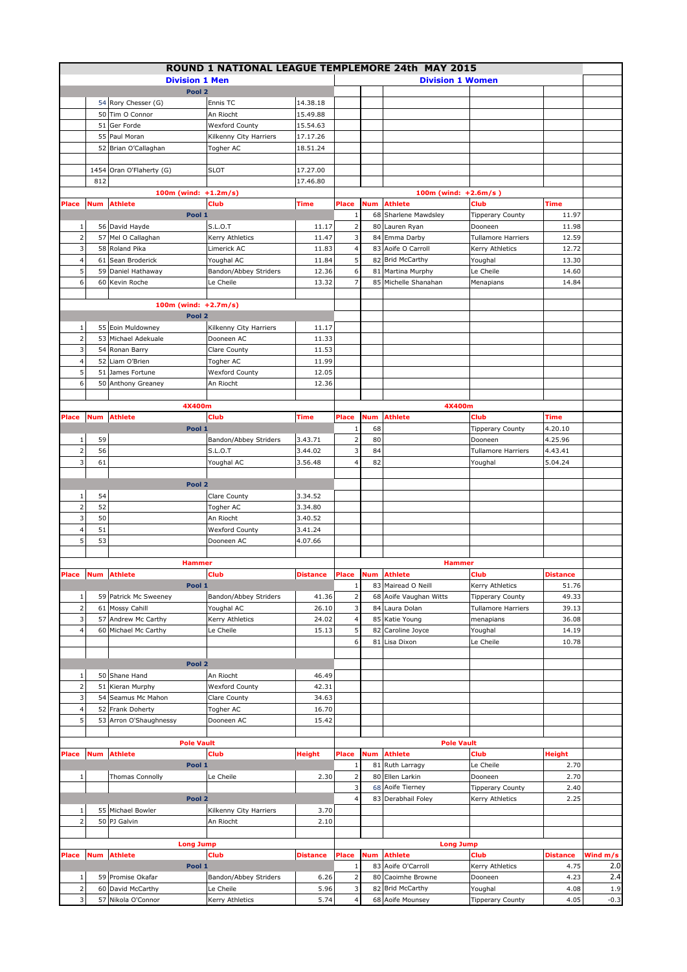|                     |            |                                         | ROUND 1 NATIONAL LEAGUE TEMPLEMORE 24th MAY 2015 |                      |                     |            |                           |                         |                 |          |
|---------------------|------------|-----------------------------------------|--------------------------------------------------|----------------------|---------------------|------------|---------------------------|-------------------------|-----------------|----------|
|                     |            | <b>Division 1 Men</b>                   |                                                  |                      |                     |            | <b>Division 1 Women</b>   |                         |                 |          |
|                     |            | Pool <sub>2</sub>                       |                                                  |                      |                     |            |                           |                         |                 |          |
|                     |            | 54 Rory Chesser (G)                     | Ennis TC                                         | 14.38.18             |                     |            |                           |                         |                 |          |
|                     |            | 50 Tim O Connor                         | An Riocht                                        | 15.49.88             |                     |            |                           |                         |                 |          |
|                     | 51         | Ger Forde                               | <b>Wexford County</b>                            | 15.54.63             |                     |            |                           |                         |                 |          |
|                     |            | 55 Paul Moran                           | Kilkenny City Harriers                           | 17.17.26             |                     |            |                           |                         |                 |          |
|                     |            | 52 Brian O'Callaghan                    | Togher AC                                        | 18.51.24             |                     |            |                           |                         |                 |          |
|                     |            |                                         |                                                  |                      |                     |            |                           |                         |                 |          |
|                     |            | 1454 Oran O'Flaherty (G)                | <b>SLOT</b>                                      |                      |                     |            |                           |                         |                 |          |
|                     | 812        |                                         |                                                  | 17.27.00<br>17.46.80 |                     |            |                           |                         |                 |          |
|                     |            |                                         |                                                  |                      |                     |            |                           |                         |                 |          |
|                     |            | 100m (wind: +1.2m/s)                    | <b>Club</b>                                      |                      |                     |            | $100m$ (wind: $+2.6m/s$ ) | Club                    |                 |          |
| Place               |            | <b>Num</b> Athlete                      |                                                  | <b>Time</b>          | Place               | Num        | <b>Athlete</b>            |                         | Time            |          |
|                     |            | Pool 1                                  |                                                  |                      | 1                   |            | 68 Sharlene Mawdsley      | <b>Tipperary County</b> | 11.97           |          |
| 1                   |            | 56 David Hayde                          | S.L.O.T                                          | 11.17                | $\mathbf 2$         |            | 80 Lauren Ryan            | Dooneen                 | 11.98           |          |
| $\overline{2}$      |            | 57 Mel O Callaghan                      | Kerry Athletics                                  | 11.47                | 3                   |            | 84 Emma Darby             | Tullamore Harriers      | 12.59           |          |
| 3                   | 58         | Roland Pika                             | Limerick AC                                      | 11.83                | 4                   |            | 83 Aoife O Carroll        | Kerry Athletics         | 12.72           |          |
| $\overline{4}$      | 61         | Sean Broderick                          | Youghal AC                                       | 11.84                | 5                   |            | 82 Brid McCarthy          | Youghal                 | 13.30           |          |
| 5                   | 59         | Daniel Hathaway                         | Bandon/Abbey Striders                            | 12.36                | 6                   |            | 81 Martina Murphy         | Le Cheile               | 14.60           |          |
| 6                   | 60         | Kevin Roche                             | Le Cheile                                        | 13.32                | $\overline{7}$      |            | 85 Michelle Shanahan      | Menapians               | 14.84           |          |
|                     |            |                                         |                                                  |                      |                     |            |                           |                         |                 |          |
|                     |            | 100m (wind: $+2.7m/s$ )                 |                                                  |                      |                     |            |                           |                         |                 |          |
|                     |            | Pool 2                                  |                                                  |                      |                     |            |                           |                         |                 |          |
| $\mathbf{1}$        |            | 55 Eoin Muldowney                       | Kilkenny City Harriers                           | 11.17                |                     |            |                           |                         |                 |          |
| $\overline{2}$      | 53         | Michael Adekuale                        | Dooneen AC                                       | 11.33                |                     |            |                           |                         |                 |          |
| 3                   |            | 54 Ronan Barry                          | Clare County                                     | 11.53                |                     |            |                           |                         |                 |          |
| $\overline{4}$      | 52         | Liam O'Brien                            | Togher AC                                        | 11.99                |                     |            |                           |                         |                 |          |
| 5                   | 51         | James Fortune                           | <b>Wexford County</b>                            | 12.05                |                     |            |                           |                         |                 |          |
| 6                   |            | 50 Anthony Greaney                      | An Riocht                                        | 12.36                |                     |            |                           |                         |                 |          |
|                     |            |                                         |                                                  |                      |                     |            |                           |                         |                 |          |
|                     |            | 4X400m                                  |                                                  |                      |                     |            | 4X400m                    |                         |                 |          |
| Place               | <b>Num</b> | <b>Athlete</b>                          | <b>Club</b>                                      | <b>Time</b>          | Place               | <b>Num</b> | Athlete                   | Club                    | Time            |          |
|                     |            | Pool 1                                  |                                                  |                      | 1                   | 68         |                           | <b>Tipperary County</b> | 4.20.10         |          |
| 1                   | 59         |                                         | Bandon/Abbey Striders                            | 3.43.71              | $\mathbf 2$         | 80         |                           | Dooneen                 | 4.25.96         |          |
| $\overline{2}$      | 56         |                                         | <b>S.L.O.T</b>                                   | 3.44.02              | 3                   | 84         |                           | Tullamore Harriers      | 4.43.41         |          |
| 3                   | 61         |                                         | Youghal AC                                       | 3.56.48              | $\overline{4}$      | 82         |                           | Youghal                 | 5.04.24         |          |
|                     |            |                                         |                                                  |                      |                     |            |                           |                         |                 |          |
|                     |            | Pool <sub>2</sub>                       |                                                  |                      |                     |            |                           |                         |                 |          |
| $\mathbf{1}$        | 54         |                                         | Clare County                                     | 3.34.52              |                     |            |                           |                         |                 |          |
| $\overline{2}$      | 52         |                                         | <b>Togher AC</b>                                 | 3.34.80              |                     |            |                           |                         |                 |          |
| 3                   | 50         |                                         | An Riocht                                        | 3.40.52              |                     |            |                           |                         |                 |          |
|                     | 51         |                                         |                                                  |                      |                     |            |                           |                         |                 |          |
| $\overline{a}$      |            |                                         | <b>Wexford County</b>                            | 3.41.24              |                     |            |                           |                         |                 |          |
| 5                   | 53         |                                         | Dooneen AC                                       | 4.07.66              |                     |            |                           |                         |                 |          |
|                     |            |                                         |                                                  |                      |                     |            |                           |                         |                 |          |
|                     |            | <b>Hammer</b>                           |                                                  |                      |                     |            | <b>Hammer</b>             |                         |                 |          |
|                     |            | Place Num Athlete                       | <b>Club</b>                                      | <b>Distance</b>      |                     |            | Place Num Athlete         | <b>Club</b>             | <b>Distance</b> |          |
|                     |            | Pool 1                                  |                                                  |                      | $\,1$               |            | 83 Mairead O Neill        | Kerry Athletics         | 51.76           |          |
| $\mathbf{1}$        |            | 59 Patrick Mc Sweeney                   | Bandon/Abbey Striders                            | 41.36                | $\overline{2}$      |            | 68 Aoife Vaughan Witts    | <b>Tipperary County</b> | 49.33           |          |
| $\overline{2}$      | 61         | Mossy Cahill                            | Youghal AC                                       | 26.10                | 3                   |            | 84 Laura Dolan            | Tullamore Harriers      | 39.13           |          |
| 3                   | 57         | Andrew Mc Carthy                        | Kerry Athletics                                  | 24.02                | $\overline{a}$      |            | 85 Katie Young            | menapians               | 36.08           |          |
| $\overline{4}$      | 60         | Michael Mc Carthy                       | Le Cheile                                        | 15.13                | 5                   | 82         | Caroline Joyce            | Youghal                 | 14.19           |          |
|                     |            |                                         |                                                  |                      | 6                   |            | 81 Lisa Dixon             | Le Cheile               | 10.78           |          |
|                     |            |                                         |                                                  |                      |                     |            |                           |                         |                 |          |
|                     |            | Pool <sub>2</sub>                       |                                                  |                      |                     |            |                           |                         |                 |          |
| $\mathbf{1}$        |            | 50 Shane Hand                           | An Riocht                                        | 46.49                |                     |            |                           |                         |                 |          |
| $\mathbf 2$         |            | 51 Kieran Murphy                        | <b>Wexford County</b>                            | 42.31                |                     |            |                           |                         |                 |          |
| 3                   | 54         | Seamus Mc Mahon                         | Clare County                                     | 34.63                |                     |            |                           |                         |                 |          |
| $\overline{4}$      |            | 52 Frank Doherty                        | Togher AC                                        | 16.70                |                     |            |                           |                         |                 |          |
| 5                   |            | 53 Arron O'Shaughnessy                  | Dooneen AC                                       | 15.42                |                     |            |                           |                         |                 |          |
|                     |            |                                         |                                                  |                      |                     |            |                           |                         |                 |          |
|                     |            | <b>Pole Vault</b>                       |                                                  |                      |                     |            | <b>Pole Vault</b>         |                         |                 |          |
| Place               | <b>Num</b> | <b>Athlete</b>                          | <b>Club</b>                                      | <b>Height</b>        | Place               | <b>Num</b> | <b>Athlete</b>            | Club                    | Height          |          |
|                     |            | Pool 1                                  |                                                  |                      | $\,1\,$             |            | 81 Ruth Larragy           | Le Cheile               | 2.70            |          |
| 1                   |            | Thomas Connolly                         | Le Cheile                                        | 2.30                 | $\mathbf 2$         |            | 80 Ellen Larkin           | Dooneen                 | 2.70            |          |
|                     |            |                                         |                                                  |                      | 3                   |            | 68 Aoife Tierney          | <b>Tipperary County</b> | 2.40            |          |
|                     |            | Pool <sub>2</sub>                       |                                                  |                      | $\overline{4}$      |            | 83 Derabhail Foley        | Kerry Athletics         | 2.25            |          |
| 1                   |            | 55 Michael Bowler                       | Kilkenny City Harriers                           | 3.70                 |                     |            |                           |                         |                 |          |
| $\overline{2}$      |            | 50 PJ Galvin                            | An Riocht                                        | 2.10                 |                     |            |                           |                         |                 |          |
|                     |            |                                         |                                                  |                      |                     |            |                           |                         |                 |          |
|                     |            | <b>Long Jump</b>                        |                                                  |                      |                     |            | <b>Long Jump</b>          |                         |                 |          |
| Place               | <b>Num</b> | <b>Athlete</b>                          | <b>Club</b>                                      | <b>Distance</b>      | Place               | Num        | <b>Athlete</b>            | Club                    | <b>Distance</b> | Wind m/s |
|                     |            | Pool 1                                  |                                                  |                      |                     |            |                           |                         | 4.75            | 2.0      |
| 1                   |            | 59 Promise Okafar                       |                                                  |                      | 1<br>$\overline{2}$ |            | 83 Aoife O'Carroll        | Kerry Athletics         | 4.23            | 2.4      |
|                     |            |                                         | Bandon/Abbey Striders                            | 6.26<br>5.96         | 3                   |            | 80 Caoimhe Browne         | Dooneen                 | 4.08            | 1.9      |
|                     |            |                                         |                                                  |                      |                     |            | 82 Brid McCarthy          | Youghal                 |                 |          |
| $\overline{2}$<br>3 |            | 60 David McCarthy<br>57 Nikola O'Connor | Le Cheile<br>Kerry Athletics                     | 5.74                 | $\overline{4}$      |            | 68 Aoife Mounsey          | Tipperary County        | 4.05            | $-0.3$   |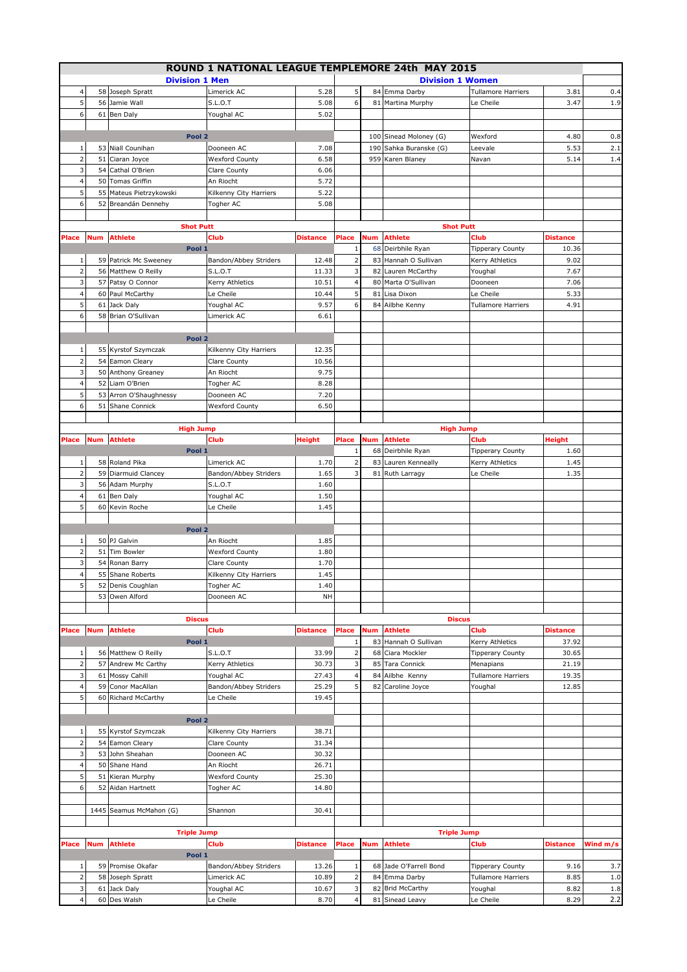|                               |            |                                 | ROUND 1 NATIONAL LEAGUE TEMPLEMORE 24th MAY 2015 |                 |                         |            |                                                  |                           |                 |            |
|-------------------------------|------------|---------------------------------|--------------------------------------------------|-----------------|-------------------------|------------|--------------------------------------------------|---------------------------|-----------------|------------|
|                               |            | <b>Division 1 Men</b>           |                                                  |                 |                         |            | <b>Division 1 Women</b>                          |                           |                 |            |
| $\overline{4}$                |            | 58 Joseph Spratt                | Limerick AC                                      | 5.28            | 5                       |            | 84 Emma Darby                                    | <b>Tullamore Harriers</b> | 3.81            | 0.4        |
| 5                             | 56         | Jamie Wall                      | S.L.O.T                                          | 5.08            | 6                       |            | 81 Martina Murphy                                | Le Cheile                 | 3.47            | 1.9        |
| 6                             |            | 61 Ben Daly                     | Youghal AC                                       | 5.02            |                         |            |                                                  |                           |                 |            |
|                               |            | Pool <sub>2</sub>               |                                                  |                 |                         |            |                                                  |                           |                 |            |
| 1                             |            | 53 Niall Counihan               | Dooneen AC                                       | 7.08            |                         |            | 100 Sinead Moloney (G)<br>190 Sahka Buranske (G) | Wexford<br>Leevale        | 4.80<br>5.53    | 0.8<br>2.1 |
| $\overline{2}$                | 51         | Ciaran Joyce                    | <b>Wexford County</b>                            | 6.58            |                         |            | 959 Karen Blaney                                 | Navan                     | 5.14            | 1.4        |
| 3                             | 54         | Cathal O'Brien                  | Clare County                                     | 6.06            |                         |            |                                                  |                           |                 |            |
| 4                             | 50         | Tomas Griffin                   | An Riocht                                        | 5.72            |                         |            |                                                  |                           |                 |            |
| 5                             | 55         | Mateus Pietrzykowski            | Kilkenny City Harriers                           | 5.22            |                         |            |                                                  |                           |                 |            |
| 6                             | 52         | Breandán Dennehy                | Togher AC                                        | 5.08            |                         |            |                                                  |                           |                 |            |
|                               |            |                                 |                                                  |                 |                         |            |                                                  |                           |                 |            |
|                               |            | <b>Shot Putt</b>                |                                                  |                 |                         |            | <b>Shot Putt</b>                                 |                           |                 |            |
| Place                         | <b>Num</b> | <b>Athlete</b>                  | Club                                             | <b>Distance</b> | Place                   | <b>Num</b> | <b>Athlete</b>                                   | <b>Club</b>               | <b>Distance</b> |            |
|                               |            | Pool 1                          |                                                  |                 | $\mathbf 1$             |            | 68 Deirbhile Ryan                                | <b>Tipperary County</b>   | 10.36           |            |
| 1                             |            | 59 Patrick Mc Sweeney           | Bandon/Abbey Striders                            | 12.48           | 2                       |            | 83 Hannah O Sullivan                             | Kerry Athletics           | 9.02            |            |
| $\overline{2}$                |            | 56 Matthew O Reilly             | <b>S.L.O.T</b>                                   | 11.33           | 3                       |            | 82 Lauren McCarthy                               | Youghal                   | 7.67            |            |
| 3                             | 57         | Patsy O Connor                  | Kerry Athletics                                  | 10.51           | 4                       |            | 80 Marta O'Sullivan                              | Dooneen                   | 7.06            |            |
| $\overline{4}$                |            | 60 Paul McCarthy                | Le Cheile                                        | 10.44           | 5                       |            | 81 Lisa Dixon                                    | Le Cheile                 | 5.33            |            |
| 5                             |            | 61 Jack Daly                    | Youghal AC                                       | 9.57            | 6                       |            | 84 Ailbhe Kenny                                  | <b>Tullamore Harriers</b> | 4.91            |            |
| 6                             | 58         | Brian O'Sullivan                | Limerick AC                                      | 6.61            |                         |            |                                                  |                           |                 |            |
|                               |            | Pool <sub>2</sub>               |                                                  |                 |                         |            |                                                  |                           |                 |            |
| $\mathbf{1}$                  |            | 55 Kyrstof Szymczak             | Kilkenny City Harriers                           | 12.35           |                         |            |                                                  |                           |                 |            |
| $\overline{2}$                | 54         | Eamon Cleary                    | Clare County                                     | 10.56           |                         |            |                                                  |                           |                 |            |
| 3                             | 50         | Anthony Greaney                 | An Riocht                                        | 9.75            |                         |            |                                                  |                           |                 |            |
| $\overline{4}$                |            | 52 Liam O'Brien                 | Togher AC                                        | 8.28            |                         |            |                                                  |                           |                 |            |
| 5                             | 53         | Arron O'Shaughnessy             | Dooneen AC                                       | 7.20            |                         |            |                                                  |                           |                 |            |
| 6                             | 51         | Shane Connick                   | <b>Wexford County</b>                            | 6.50            |                         |            |                                                  |                           |                 |            |
|                               |            |                                 |                                                  |                 |                         |            |                                                  |                           |                 |            |
|                               |            | <b>High Jump</b>                |                                                  |                 |                         |            | <b>High Jump</b>                                 |                           |                 |            |
| Place                         | <b>Num</b> | <b>Athlete</b>                  | Club                                             | <b>Height</b>   | Place                   | <b>Num</b> | <b>Athlete</b>                                   | <b>Club</b>               | Height          |            |
|                               |            | Pool 1                          |                                                  |                 | $\,1\,$                 |            | 68 Deirbhile Ryan                                | <b>Tipperary County</b>   | 1.60            |            |
| 1                             |            | 58 Roland Pika                  | Limerick AC                                      | 1.70            | $\overline{2}$          |            | 83 Lauren Kenneally                              | Kerry Athletics           | 1.45            |            |
| $\overline{2}$                |            | 59 Diarmuid Clancey             | Bandon/Abbey Striders                            | 1.65            | 3                       |            | 81 Ruth Larragy                                  | Le Cheile                 | 1.35            |            |
| 3                             |            | 56 Adam Murphy                  | <b>S.L.O.T</b>                                   | 1.60            |                         |            |                                                  |                           |                 |            |
| $\overline{4}$                | 61         | Ben Daly                        | Youghal AC                                       | 1.50            |                         |            |                                                  |                           |                 |            |
| 5                             | 60         | Kevin Roche                     | Le Cheile                                        | 1.45            |                         |            |                                                  |                           |                 |            |
|                               |            |                                 |                                                  |                 |                         |            |                                                  |                           |                 |            |
|                               |            | Pool 2                          |                                                  |                 |                         |            |                                                  |                           |                 |            |
| 1<br>$\overline{\phantom{0}}$ | 51         | 50 PJ Galvin<br>Tim Bowler      | An Riocht                                        | 1.85            |                         |            |                                                  |                           |                 |            |
| 3                             |            | 54 Ronan Barry                  | <b>Wexford County</b><br>Clare County            | 1.80<br>1.70    |                         |            |                                                  |                           |                 |            |
| $\overline{4}$                | 55         | Shane Roberts                   | Kilkenny City Harriers                           | 1.45            |                         |            |                                                  |                           |                 |            |
| 5                             |            | 52 Denis Coughlan               | Togher AC                                        | 1.40            |                         |            |                                                  |                           |                 |            |
|                               |            | 53 Owen Alford                  | Dooneen AC                                       | NH              |                         |            |                                                  |                           |                 |            |
|                               |            |                                 |                                                  |                 |                         |            |                                                  |                           |                 |            |
|                               |            | <b>Discus</b>                   |                                                  |                 |                         |            | <b>Discus</b>                                    |                           |                 |            |
| Place                         | <b>Num</b> | <b>Athlete</b>                  | <b>Club</b>                                      | <b>Distance</b> | Place                   | <b>Num</b> | <b>Athlete</b>                                   | <b>Club</b>               | Distance        |            |
|                               |            | Pool 1                          |                                                  |                 | $\mathbf 1$             |            | 83 Hannah O Sullivan                             | Kerry Athletics           | 37.92           |            |
| $1\,$                         |            | 56 Matthew O Reilly             | S.L.O.T                                          | 33.99           | $\overline{\mathbf{c}}$ |            | 68 Ciara Mockler                                 | <b>Tipperary County</b>   | 30.65           |            |
| $\mathbf 2$                   | 57         | Andrew Mc Carthy                | Kerry Athletics                                  | 30.73           | 3                       |            | 85 Tara Connick                                  | Menapians                 | 21.19           |            |
| 3                             | 61         | Mossy Cahill                    | Youghal AC                                       | 27.43           | $\overline{4}$          |            | 84 Ailbhe Kenny                                  | <b>Tullamore Harriers</b> | 19.35           |            |
| 4                             | 59         | Conor MacAllan                  | Bandon/Abbey Striders                            | 25.29           | 5                       |            | 82 Caroline Joyce                                | Youghal                   | 12.85           |            |
| 5                             | 60         | Richard McCarthy                | Le Cheile                                        | 19.45           |                         |            |                                                  |                           |                 |            |
|                               |            |                                 |                                                  |                 |                         |            |                                                  |                           |                 |            |
|                               |            | Pool <sub>2</sub>               |                                                  |                 |                         |            |                                                  |                           |                 |            |
| $\mathbf{1}$                  |            | 55 Kyrstof Szymczak             | Kilkenny City Harriers                           | 38.71           |                         |            |                                                  |                           |                 |            |
| $\overline{2}$                | 54         | Eamon Cleary                    | Clare County                                     | 31.34           |                         |            |                                                  |                           |                 |            |
| 3                             | 53         | John Sheahan                    | Dooneen AC                                       | 30.32           |                         |            |                                                  |                           |                 |            |
| 4<br>5                        | 51         | 50 Shane Hand                   | An Riocht                                        | 26.71<br>25.30  |                         |            |                                                  |                           |                 |            |
| 6                             | 52         | Kieran Murphy<br>Aidan Hartnett | <b>Wexford County</b><br>Togher AC               | 14.80           |                         |            |                                                  |                           |                 |            |
|                               |            |                                 |                                                  |                 |                         |            |                                                  |                           |                 |            |
|                               |            | 1445 Seamus McMahon (G)         | Shannon                                          | 30.41           |                         |            |                                                  |                           |                 |            |
|                               |            |                                 |                                                  |                 |                         |            |                                                  |                           |                 |            |
|                               |            | <b>Triple Jump</b>              |                                                  |                 |                         |            | <b>Triple Jump</b>                               |                           |                 |            |
| Place                         | <b>Num</b> | <b>Athlete</b>                  | Club                                             | <b>Distance</b> | Place                   | Num        | <b>Athlete</b>                                   | <b>Club</b>               | <b>Distance</b> | Wind m/s   |
|                               |            | Pool 1                          |                                                  |                 |                         |            |                                                  |                           |                 |            |
| $1\,$                         |            | 59 Promise Okafar               | Bandon/Abbey Striders                            | 13.26           | $\mathbf 1$             |            | 68 Jade O'Farrell Bond                           | <b>Tipperary County</b>   | 9.16            | 3.7        |
| $\overline{2}$                |            | 58 Joseph Spratt                | Limerick AC                                      | 10.89           | $\overline{2}$          |            | 84 Emma Darby                                    | <b>Tullamore Harriers</b> | 8.85            | 1.0        |
| 3                             |            | 61 Jack Daly                    | Youghal AC                                       | 10.67           | 3                       |            | 82 Brid McCarthy                                 | Youghal                   | 8.82            | 1.8        |
| $\overline{\mathbf{4}}$       |            | 60 Des Walsh                    | Le Cheile                                        | 8.70            | 4                       |            | 81 Sinead Leavy                                  | Le Cheile                 | 8.29            | $2.2\,$    |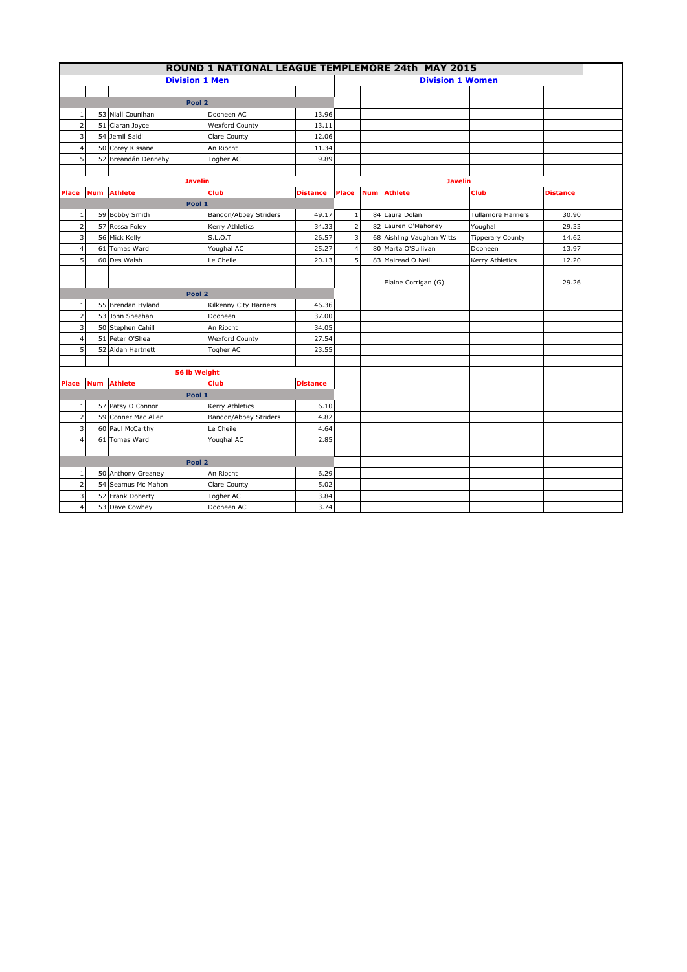| ROUND 1 NATIONAL LEAGUE TEMPLEMORE 24th MAY 2015 |                       |                     |                        |                 |                |                         |                           |                           |          |  |
|--------------------------------------------------|-----------------------|---------------------|------------------------|-----------------|----------------|-------------------------|---------------------------|---------------------------|----------|--|
|                                                  | <b>Division 1 Men</b> |                     |                        |                 |                | <b>Division 1 Women</b> |                           |                           |          |  |
|                                                  |                       |                     |                        |                 |                |                         |                           |                           |          |  |
|                                                  |                       | Pool 2              |                        |                 |                |                         |                           |                           |          |  |
| $\mathbf{1}$                                     |                       | 53 Niall Counihan   | Dooneen AC             | 13.96           |                |                         |                           |                           |          |  |
| $\overline{2}$                                   |                       | 51 Ciaran Joyce     | <b>Wexford County</b>  | 13.11           |                |                         |                           |                           |          |  |
| 3                                                |                       | 54 Jemil Saidi      | Clare County           | 12.06           |                |                         |                           |                           |          |  |
| $\overline{4}$                                   |                       | 50 Corey Kissane    | An Riocht              | 11.34           |                |                         |                           |                           |          |  |
| 5                                                |                       | 52 Breandán Dennehy | Togher AC              | 9.89            |                |                         |                           |                           |          |  |
|                                                  |                       |                     |                        |                 |                |                         |                           |                           |          |  |
|                                                  |                       | <b>Javelin</b>      |                        |                 |                |                         | <b>Javelin</b>            |                           |          |  |
| Place                                            | <b>Num</b>            | <b>Athlete</b>      | <b>Club</b>            | <b>Distance</b> | Place          | <b>Num</b>              | <b>Athlete</b>            | Club                      | Distance |  |
|                                                  |                       | Pool 1              |                        |                 |                |                         |                           |                           |          |  |
| 1                                                |                       | 59 Bobby Smith      | Bandon/Abbey Striders  | 49.17           | $1\,$          |                         | 84 Laura Dolan            | <b>Tullamore Harriers</b> | 30.90    |  |
| $\overline{2}$                                   |                       | 57 Rossa Foley      | Kerry Athletics        | 34.33           | $\mathbf 2$    |                         | 82 Lauren O'Mahoney       | Youghal                   | 29.33    |  |
| 3                                                |                       | 56 Mick Kelly       | <b>S.L.O.T</b>         | 26.57           | 3              |                         | 68 Aishling Vaughan Witts | <b>Tipperary County</b>   | 14.62    |  |
| $\overline{4}$                                   | 61                    | <b>Tomas Ward</b>   | Youghal AC             | 25.27           | $\overline{4}$ |                         | 80 Marta O'Sullivan       | Dooneen                   | 13.97    |  |
| 5                                                |                       | 60 Des Walsh        | Le Cheile              | 20.13           | 5              |                         | 83 Mairead O Neill        | Kerry Athletics           | 12.20    |  |
|                                                  |                       |                     |                        |                 |                |                         |                           |                           |          |  |
|                                                  |                       |                     |                        |                 |                |                         | Elaine Corrigan (G)       |                           | 29.26    |  |
|                                                  |                       | Pool <sub>2</sub>   |                        |                 |                |                         |                           |                           |          |  |
| $\mathbf{1}$                                     |                       | 55 Brendan Hyland   | Kilkenny City Harriers | 46.36           |                |                         |                           |                           |          |  |
| $\overline{2}$                                   |                       | 53 John Sheahan     | Dooneen                | 37.00           |                |                         |                           |                           |          |  |
| 3                                                |                       | 50 Stephen Cahill   | An Riocht              | 34.05           |                |                         |                           |                           |          |  |
| 4                                                |                       | 51 Peter O'Shea     | <b>Wexford County</b>  | 27.54           |                |                         |                           |                           |          |  |
| 5                                                |                       | 52 Aidan Hartnett   | Togher AC              | 23.55           |                |                         |                           |                           |          |  |
|                                                  |                       |                     |                        |                 |                |                         |                           |                           |          |  |
|                                                  |                       | 56 lb Weight        |                        |                 |                |                         |                           |                           |          |  |
| Place                                            |                       | <b>Num</b> Athlete  | Club                   | <b>Distance</b> |                |                         |                           |                           |          |  |
|                                                  |                       | Pool 1              |                        |                 |                |                         |                           |                           |          |  |
| 1                                                |                       | 57 Patsy O Connor   | Kerry Athletics        | 6.10            |                |                         |                           |                           |          |  |
| $\overline{2}$                                   |                       | 59 Conner Mac Allen | Bandon/Abbey Striders  | 4.82            |                |                         |                           |                           |          |  |
| 3                                                |                       | 60 Paul McCarthy    | Le Cheile              | 4.64            |                |                         |                           |                           |          |  |
| $\overline{4}$                                   |                       | 61 Tomas Ward       | Youghal AC             | 2.85            |                |                         |                           |                           |          |  |
|                                                  |                       |                     |                        |                 |                |                         |                           |                           |          |  |
|                                                  |                       | Pool 2              |                        |                 |                |                         |                           |                           |          |  |
| 1                                                |                       | 50 Anthony Greaney  | An Riocht              | 6.29            |                |                         |                           |                           |          |  |
| $\overline{2}$                                   |                       | 54 Seamus Mc Mahon  | Clare County           | 5.02            |                |                         |                           |                           |          |  |
| 3                                                |                       | 52 Frank Doherty    | Togher AC              | 3.84            |                |                         |                           |                           |          |  |
| $\overline{4}$                                   |                       | 53 Dave Cowhey      | Dooneen AC             | 3.74            |                |                         |                           |                           |          |  |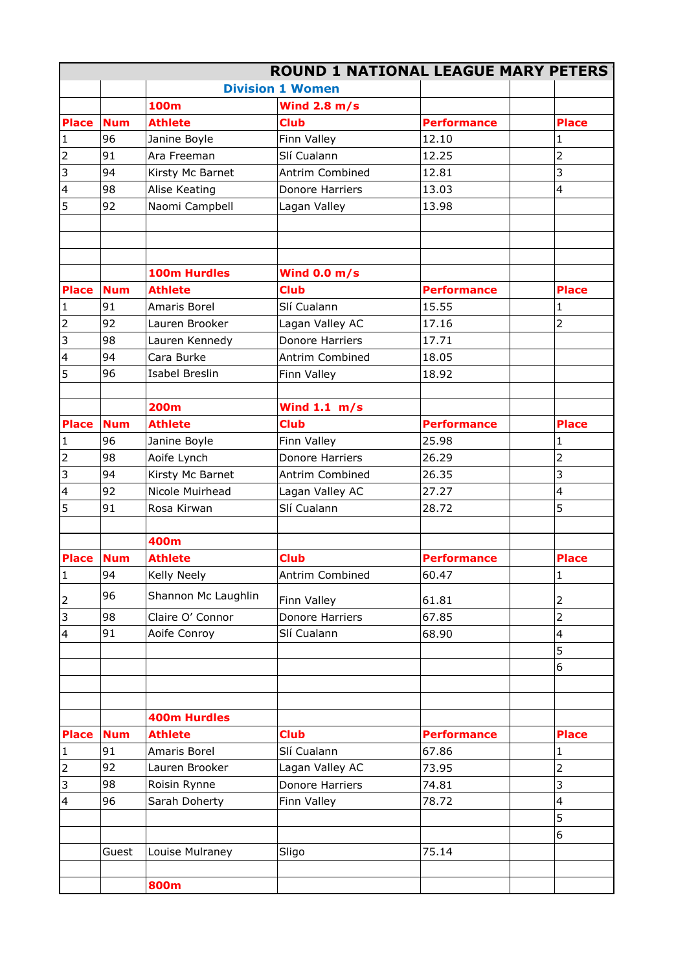|                         |            |                       |                         | <b>ROUND 1 NATIONAL LEAGUE MARY PETERS</b> |                |
|-------------------------|------------|-----------------------|-------------------------|--------------------------------------------|----------------|
|                         |            |                       | <b>Division 1 Women</b> |                                            |                |
|                         |            | <b>100m</b>           | Wind $2.8$ m/s          |                                            |                |
| <b>Place</b>            | <b>Num</b> | <b>Athlete</b>        | <b>Club</b>             | <b>Performance</b>                         | <b>Place</b>   |
| $\mathbf{1}$            | 96         | Janine Boyle          | Finn Valley             | 12.10                                      |                |
| $\mathbf 2$             | 91         | Ara Freeman           | Slí Cualann             | 12.25                                      | $\overline{2}$ |
| $\overline{3}$          | 94         | Kirsty Mc Barnet      | Antrim Combined         | 12.81                                      | 3              |
| $\overline{\mathbf{4}}$ | 98         | Alise Keating         | Donore Harriers         | 13.03                                      | 4              |
| 5                       | 92         | Naomi Campbell        | Lagan Valley            | 13.98                                      |                |
|                         |            |                       |                         |                                            |                |
|                         |            |                       |                         |                                            |                |
|                         |            |                       |                         |                                            |                |
|                         |            | 100m Hurdles          | Wind $0.0 m/s$          |                                            |                |
| <b>Place</b>            | <b>Num</b> | <b>Athlete</b>        | <b>Club</b>             | <b>Performance</b>                         | <b>Place</b>   |
| $\mathbf{1}$            | 91         | Amaris Borel          | Slí Cualann             | 15.55                                      | 1              |
| $\overline{2}$          | 92         | Lauren Brooker        | Lagan Valley AC         | 17.16                                      | $\overline{2}$ |
| 3                       | 98         | Lauren Kennedy        | Donore Harriers         | 17.71                                      |                |
| $\overline{\mathbf{4}}$ | 94         | Cara Burke            | Antrim Combined         | 18.05                                      |                |
| 5                       | 96         | <b>Isabel Breslin</b> | Finn Valley             | 18.92                                      |                |
|                         |            |                       |                         |                                            |                |
|                         |            | <b>200m</b>           | Wind $1.1 \text{ m/s}$  |                                            |                |
| <b>Place</b>            | <b>Num</b> | <b>Athlete</b>        | <b>Club</b>             | <b>Performance</b>                         | <b>Place</b>   |
| $\mathbf{1}$            | 96         | Janine Boyle          | Finn Valley             | 25.98                                      | 1              |
| $\mathbf 2$             | 98         | Aoife Lynch           | Donore Harriers         | 26.29                                      | $\overline{2}$ |
| 3                       | 94         | Kirsty Mc Barnet      | Antrim Combined         | 26.35                                      | 3              |
| 4                       | 92         | Nicole Muirhead       | Lagan Valley AC         | 27.27                                      | 4              |
| 5                       | 91         | Rosa Kirwan           | Slí Cualann             | 28.72                                      | 5              |
|                         |            |                       |                         |                                            |                |
|                         |            | 400m                  |                         |                                            |                |
| <b>Place</b>            | <b>Num</b> | <b>Athlete</b>        | <b>Club</b>             | <b>Performance</b>                         | <b>Place</b>   |
| $\mathbf{1}$            | 94         | Kelly Neely           | Antrim Combined         | 60.47                                      | 1              |
|                         | 96         | Shannon Mc Laughlin   |                         |                                            |                |
| 2                       |            |                       | Finn Valley             | 61.81                                      | 2              |
| 3                       | 98         | Claire O' Connor      | Donore Harriers         | 67.85                                      | $\overline{2}$ |
| $\overline{4}$          | 91         | Aoife Conroy          | Slí Cualann             | 68.90                                      | 4              |
|                         |            |                       |                         |                                            | 5              |
|                         |            |                       |                         |                                            | 6              |
|                         |            |                       |                         |                                            |                |
|                         |            |                       |                         |                                            |                |
|                         |            | <b>400m Hurdles</b>   |                         |                                            |                |
| <b>Place</b>            | <b>Num</b> | <b>Athlete</b>        | <b>Club</b>             | <b>Performance</b>                         | <b>Place</b>   |
| $\mathbf{1}$            | 91         | Amaris Borel          | Slí Cualann             | 67.86                                      | 1              |
| $\overline{2}$          | 92         | Lauren Brooker        | Lagan Valley AC         | 73.95                                      | $\overline{2}$ |
| 3                       | 98         | Roisin Rynne          | Donore Harriers         | 74.81                                      | 3              |
| $\overline{\mathbf{4}}$ | 96         | Sarah Doherty         | Finn Valley             | 78.72                                      | 4              |
|                         |            |                       |                         |                                            | 5              |
|                         |            |                       |                         |                                            | 6              |
|                         | Guest      | Louise Mulraney       | Sligo                   | 75.14                                      |                |
|                         |            |                       |                         |                                            |                |
|                         |            | 800m                  |                         |                                            |                |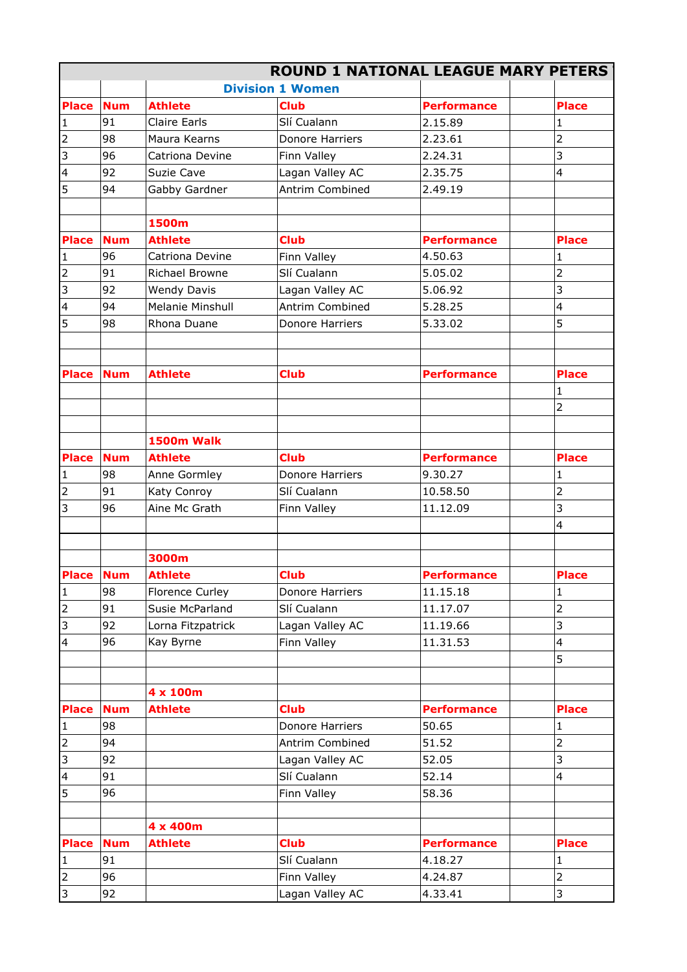|                                |            |                     |                         | <b>ROUND 1 NATIONAL LEAGUE MARY PETERS</b> |                |
|--------------------------------|------------|---------------------|-------------------------|--------------------------------------------|----------------|
|                                |            |                     | <b>Division 1 Women</b> |                                            |                |
| <b>Place</b>                   | <b>Num</b> | <b>Athlete</b>      | <b>Club</b>             | <b>Performance</b>                         | <b>Place</b>   |
| $\mathbf{1}$                   | 91         | <b>Claire Earls</b> | Slí Cualann             | 2.15.89                                    | 1              |
| $\mathbf 2$                    | 98         | Maura Kearns        | Donore Harriers         | 2.23.61                                    | 2              |
| 3                              | 96         | Catriona Devine     | Finn Valley             | 2.24.31                                    | 3              |
| $\overline{\mathbf{4}}$        | 92         | Suzie Cave          | Lagan Valley AC         | 2.35.75                                    | 4              |
| 5                              | 94         | Gabby Gardner       | Antrim Combined         | 2.49.19                                    |                |
|                                |            |                     |                         |                                            |                |
|                                |            | 1500m               |                         |                                            |                |
| <b>Place</b>                   | <b>Num</b> | <b>Athlete</b>      | <b>Club</b>             | <b>Performance</b>                         | <b>Place</b>   |
| $\mathbf{1}$                   | 96         | Catriona Devine     | Finn Valley             | 4.50.63                                    |                |
| $\mathbf 2$                    | 91         | Richael Browne      | Slí Cualann             | 5.05.02                                    | $\overline{2}$ |
| 3                              | 92         | <b>Wendy Davis</b>  | Lagan Valley AC         | 5.06.92                                    | 3              |
| $\overline{\mathbf{4}}$        | 94         | Melanie Minshull    | Antrim Combined         | 5.28.25                                    | 4              |
| 5                              | 98         | Rhona Duane         | Donore Harriers         | 5.33.02                                    | 5              |
|                                |            |                     |                         |                                            |                |
| <b>Place</b>                   | <b>Num</b> | <b>Athlete</b>      | <b>Club</b>             | <b>Performance</b>                         | <b>Place</b>   |
|                                |            |                     |                         |                                            |                |
|                                |            |                     |                         |                                            | $\overline{2}$ |
|                                |            | 1500m Walk          |                         |                                            |                |
| <b>Place</b>                   | <b>Num</b> | <b>Athlete</b>      | <b>Club</b>             | <b>Performance</b>                         | <b>Place</b>   |
|                                | 98         | Anne Gormley        | Donore Harriers         | 9.30.27                                    |                |
| $\mathbf{1}$<br>$\overline{2}$ |            |                     |                         |                                            | 1              |
|                                | 91<br>96   | Katy Conroy         | Slí Cualann             | 10.58.50                                   | $\overline{2}$ |
| 3                              |            | Aine Mc Grath       | Finn Valley             | 11.12.09                                   | 3<br>4         |
|                                |            |                     |                         |                                            |                |
|                                |            | 3000m               |                         |                                            |                |
| Place Num                      |            | <b>Athlete</b>      | <b>Club</b>             | <b>Performance</b>                         | <b>Place</b>   |
| 1                              | 98         | Florence Curley     | Donore Harriers         | 11.15.18                                   | 1              |
| $\mathbf 2$                    | 91         | Susie McParland     | Slí Cualann             | 11.17.07                                   | $\overline{2}$ |
| 3                              | 92         | Lorna Fitzpatrick   | Lagan Valley AC         | 11.19.66                                   | 3              |
| 4                              | 96         |                     | Finn Valley             | 11.31.53                                   | 4              |
|                                |            | Kay Byrne           |                         |                                            | 5              |
|                                |            |                     |                         |                                            |                |
|                                |            | 4 x 100m            |                         |                                            |                |
| <b>Place</b>                   | <b>Num</b> | <b>Athlete</b>      | <b>Club</b>             | <b>Performance</b>                         | <b>Place</b>   |
| $\mathbf{1}$                   | 98         |                     | Donore Harriers         | 50.65                                      | 1              |
| $\mathbf 2$                    | 94         |                     | Antrim Combined         | 51.52                                      | $\overline{2}$ |
| 3                              | 92         |                     | Lagan Valley AC         | 52.05                                      | 3              |
| 4                              | 91         |                     | Slí Cualann             | 52.14                                      | 4              |
| 5                              | 96         |                     | Finn Valley             | 58.36                                      |                |
|                                |            |                     |                         |                                            |                |
|                                |            | 4 x 400m            |                         |                                            |                |
| <b>Place</b>                   | <b>Num</b> | <b>Athlete</b>      | <b>Club</b>             | <b>Performance</b>                         | <b>Place</b>   |
| $\mathbf{1}$                   | 91         |                     | Slí Cualann             | 4.18.27                                    | 1              |
| $\overline{2}$                 | 96         |                     | Finn Valley             | 4.24.87                                    | $\overline{2}$ |
| 3                              | 92         |                     | Lagan Valley AC         | 4.33.41                                    | 3              |
|                                |            |                     |                         |                                            |                |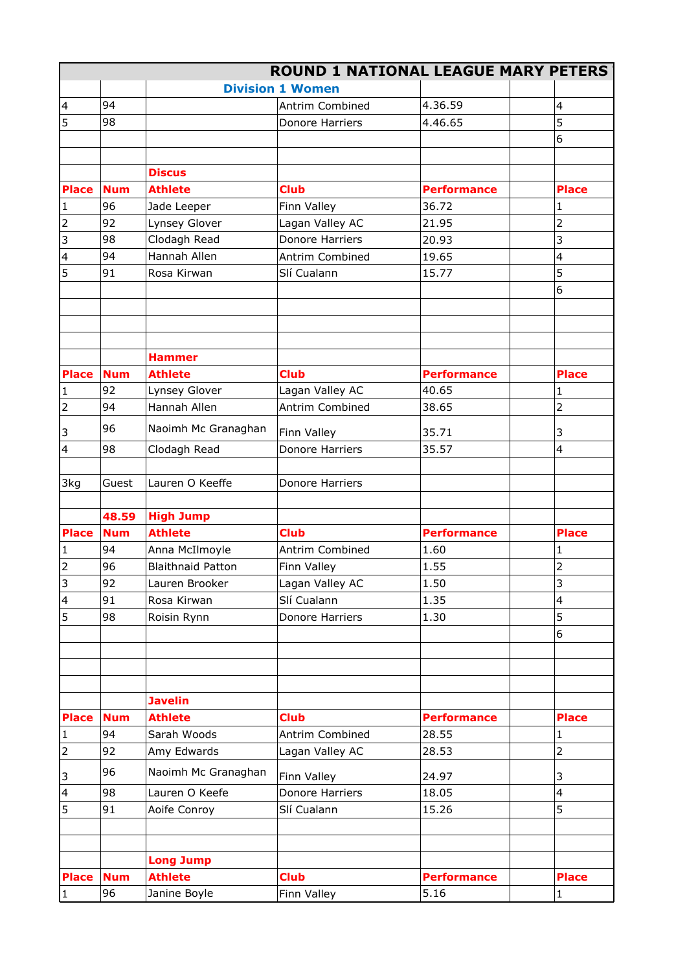|                           |            |                          |                         | <b>ROUND 1 NATIONAL LEAGUE MARY PETERS</b> |                         |
|---------------------------|------------|--------------------------|-------------------------|--------------------------------------------|-------------------------|
|                           |            |                          | <b>Division 1 Women</b> |                                            |                         |
| $\overline{4}$            | 94         |                          | Antrim Combined         | 4.36.59                                    | 4                       |
| 5                         | 98         |                          | Donore Harriers         | 4.46.65                                    | 5                       |
|                           |            |                          |                         |                                            | 6                       |
|                           |            |                          |                         |                                            |                         |
|                           |            | <b>Discus</b>            |                         |                                            |                         |
| <b>Place</b>              | <b>Num</b> | <b>Athlete</b>           | <b>Club</b>             | <b>Performance</b>                         | <b>Place</b>            |
| $\mathbf 1$               | 96         | Jade Leeper              | Finn Valley             | 36.72                                      |                         |
| $\overline{2}$            | 92         | Lynsey Glover            | Lagan Valley AC         | 21.95                                      | $\overline{2}$          |
| 3                         | 98         | Clodagh Read             | Donore Harriers         | 20.93                                      | 3                       |
| $\overline{\mathbf{4}}$   | 94         | Hannah Allen             | Antrim Combined         | 19.65                                      | 4                       |
| 5                         | 91         | Rosa Kirwan              | Slí Cualann             | 15.77                                      | 5                       |
|                           |            |                          |                         |                                            | 6                       |
|                           |            |                          |                         |                                            |                         |
|                           |            | <b>Hammer</b>            |                         |                                            |                         |
| <b>Place</b>              | <b>Num</b> | <b>Athlete</b>           | <b>Club</b>             | <b>Performance</b>                         | <b>Place</b>            |
| $\mathbf 1$               | 92         | Lynsey Glover            | Lagan Valley AC         | 40.65                                      |                         |
| $\mathbf 2$               | 94         | Hannah Allen             | Antrim Combined         | 38.65                                      | $\overline{2}$          |
| 3                         | 96         | Naoimh Mc Granaghan      | Finn Valley             | 35.71                                      | 3                       |
| $\overline{\mathbf{4}}$   | 98         | Clodagh Read             | Donore Harriers         | 35.57                                      | 4                       |
| 3kg                       | Guest      | Lauren O Keeffe          | Donore Harriers         |                                            |                         |
|                           | 48.59      | <b>High Jump</b>         |                         |                                            |                         |
| <b>Place</b>              | <b>Num</b> | <b>Athlete</b>           | <b>Club</b>             | <b>Performance</b>                         | <b>Place</b>            |
| $\mathbf 1$               | 94         | Anna McIlmoyle           | Antrim Combined         | 1.60                                       |                         |
| $\overline{2}$            | 96         | <b>Blaithnaid Patton</b> | Finn Valley             | 1.55                                       | $\overline{2}$          |
| 3                         | 92         | Lauren Brooker           | Lagan Valley AC         | 1.50                                       | 3                       |
| 4                         | 91         | Rosa Kirwan              | Slí Cualann             | 1.35                                       | $\overline{\mathbf{4}}$ |
| 5                         | 98         | Roisin Rynn              | Donore Harriers         | 1.30                                       | 5                       |
|                           |            |                          |                         |                                            | 6                       |
|                           |            | <b>Javelin</b>           |                         |                                            |                         |
| <b>Place</b>              | <b>Num</b> | <b>Athlete</b>           | <b>Club</b>             | <b>Performance</b>                         | <b>Place</b>            |
| $\mathbf{1}$              | 94         | Sarah Woods              | Antrim Combined         | 28.55                                      | 1                       |
| $\overline{2}$            | 92         | Amy Edwards              | Lagan Valley AC         | 28.53                                      | $\overline{2}$          |
| $\ensuremath{\mathsf{3}}$ | 96         | Naoimh Mc Granaghan      | Finn Valley             | 24.97                                      | 3                       |
| $\overline{\mathbf{4}}$   | 98         | Lauren O Keefe           | Donore Harriers         | 18.05                                      | $\overline{\mathbf{4}}$ |
| 5                         | 91         | Aoife Conroy             | Slí Cualann             | 15.26                                      | 5                       |
|                           |            |                          |                         |                                            |                         |
|                           |            | <b>Long Jump</b>         |                         |                                            |                         |
| <b>Place</b>              | <b>Num</b> | <b>Athlete</b>           | <b>Club</b>             | <b>Performance</b>                         | <b>Place</b>            |
| $\mathbf{1}$              | 96         | Janine Boyle             | Finn Valley             | 5.16                                       | 1                       |
|                           |            |                          |                         |                                            |                         |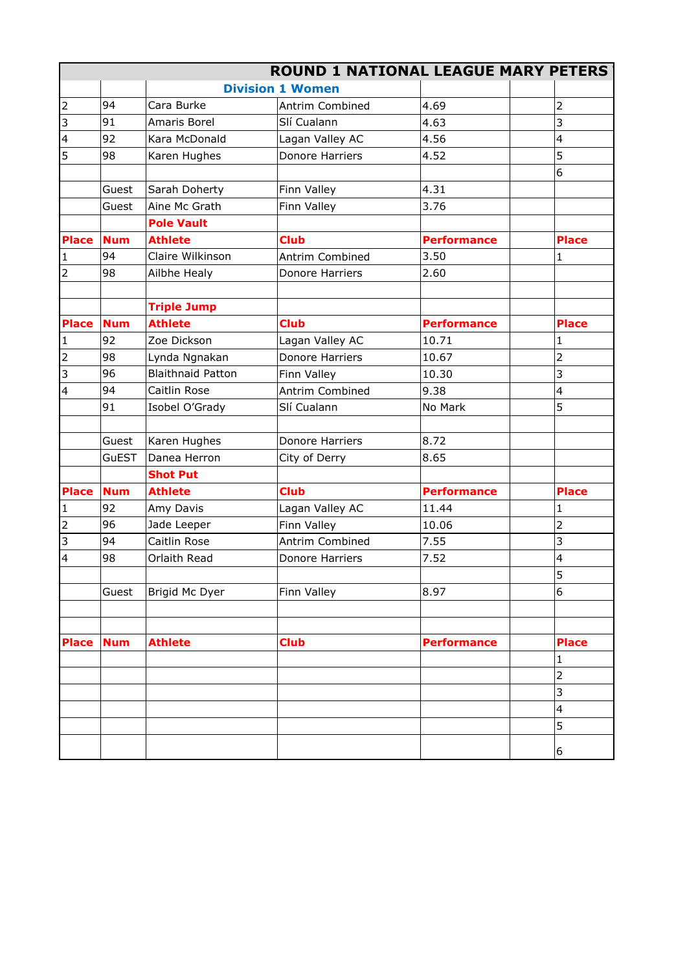|                         |            |                          |                         | <b>ROUND 1 NATIONAL LEAGUE MARY PETERS</b> |                |
|-------------------------|------------|--------------------------|-------------------------|--------------------------------------------|----------------|
|                         |            |                          | <b>Division 1 Women</b> |                                            |                |
| $\mathbf 2$             | 94         | Cara Burke               | Antrim Combined         | 4.69                                       | 2              |
| $\overline{3}$          | 91         | Amaris Borel             | Slí Cualann             | 4.63                                       | 3              |
| $\overline{\mathbf{4}}$ | 92         | Kara McDonald            | Lagan Valley AC         | 4.56                                       | 4              |
| 5                       | 98         | Karen Hughes             | Donore Harriers         | 4.52                                       | 5              |
|                         |            |                          |                         |                                            | 6              |
|                         | Guest      | Sarah Doherty            | Finn Valley             | 4.31                                       |                |
|                         | Guest      | Aine Mc Grath            | Finn Valley             | 3.76                                       |                |
|                         |            | <b>Pole Vault</b>        |                         |                                            |                |
| <b>Place</b>            | <b>Num</b> | <b>Athlete</b>           | <b>Club</b>             | <b>Performance</b>                         | <b>Place</b>   |
| $\mathbf{1}$            | 94         | Claire Wilkinson         | Antrim Combined         | 3.50                                       | $\mathbf{1}$   |
| $\mathbf 2$             | 98         | Ailbhe Healy             | Donore Harriers         | 2.60                                       |                |
|                         |            |                          |                         |                                            |                |
|                         |            | <b>Triple Jump</b>       |                         |                                            |                |
| <b>Place</b>            | <b>Num</b> | <b>Athlete</b>           | <b>Club</b>             | <b>Performance</b>                         | <b>Place</b>   |
| $\mathbf{1}$            | 92         | Zoe Dickson              | Lagan Valley AC         | 10.71                                      | 1              |
| $\mathbf 2$             | 98         | Lynda Ngnakan            | <b>Donore Harriers</b>  | 10.67                                      | $\overline{2}$ |
| 3                       | 96         | <b>Blaithnaid Patton</b> | Finn Valley             | 10.30                                      | 3              |
| 4                       | 94         | Caitlin Rose             | Antrim Combined         | 9.38                                       | 4              |
|                         | 91         | Isobel O'Grady           | Slí Cualann             | No Mark                                    | 5              |
|                         |            |                          |                         |                                            |                |
|                         | Guest      | Karen Hughes             | Donore Harriers         | 8.72                                       |                |
|                         | GuEST      | Danea Herron             | City of Derry           | 8.65                                       |                |
|                         |            | <b>Shot Put</b>          |                         |                                            |                |
| <b>Place</b>            | <b>Num</b> | <b>Athlete</b>           | <b>Club</b>             | <b>Performance</b>                         | <b>Place</b>   |
| $\mathbf{1}$            | 92         | Amy Davis                | Lagan Valley AC         | 11.44                                      |                |
| $\overline{2}$          | 96         | Jade Leeper              | Finn Valley             | 10.06                                      | 2              |
| 3                       | 94         | Caitlin Rose             | Antrim Combined         | 7.55                                       | 3              |
| $\overline{\mathbf{4}}$ | 98         | Orlaith Read             | Donore Harriers         | 7.52                                       | 4              |
|                         |            |                          |                         |                                            | 5              |
|                         | Guest      | Brigid Mc Dyer           | Finn Valley             | 8.97                                       | 6              |
|                         |            |                          |                         |                                            |                |
|                         |            |                          |                         |                                            |                |
| <b>Place</b>            | <b>Num</b> | <b>Athlete</b>           | <b>Club</b>             | <b>Performance</b>                         | <b>Place</b>   |
|                         |            |                          |                         |                                            | 1              |
|                         |            |                          |                         |                                            | $\overline{2}$ |
|                         |            |                          |                         |                                            |                |
|                         |            |                          |                         |                                            | 3              |
|                         |            |                          |                         |                                            | 4              |
|                         |            |                          |                         |                                            | 5              |
|                         |            |                          |                         |                                            | 6              |
|                         |            |                          |                         |                                            |                |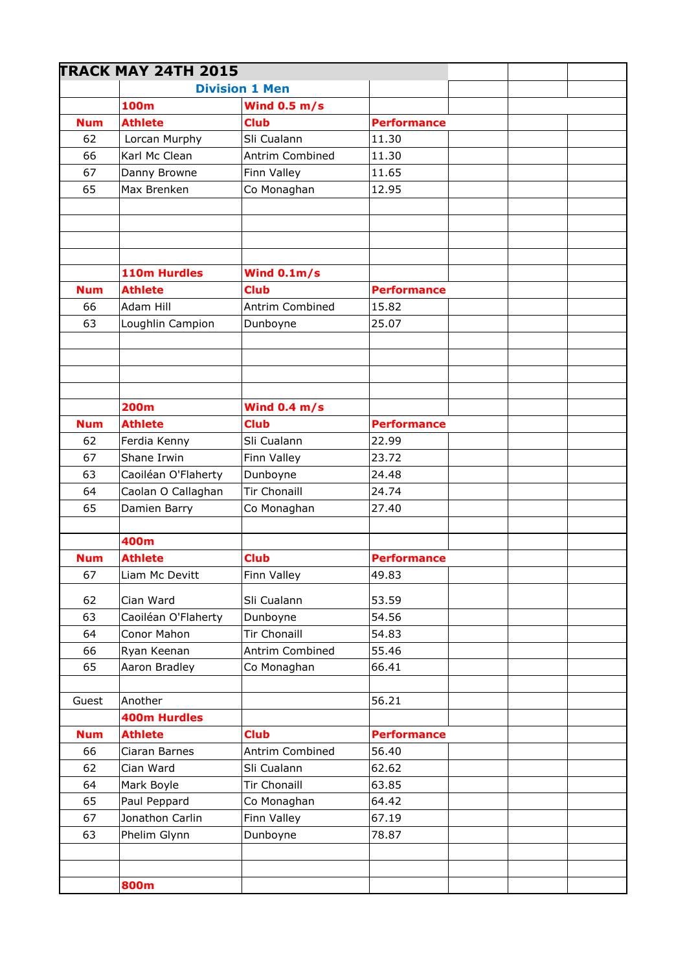|            | <b>TRACK MAY 24TH 2015</b> |                       |                    |  |
|------------|----------------------------|-----------------------|--------------------|--|
|            |                            | <b>Division 1 Men</b> |                    |  |
|            | 100m                       | Wind $0.5 m/s$        |                    |  |
| <b>Num</b> | <b>Athlete</b>             | <b>Club</b>           | <b>Performance</b> |  |
| 62         | Lorcan Murphy              | Sli Cualann           | 11.30              |  |
| 66         | Karl Mc Clean              | Antrim Combined       | 11.30              |  |
| 67         | Danny Browne               | Finn Valley           | 11.65              |  |
| 65         | Max Brenken                | Co Monaghan           | 12.95              |  |
|            |                            |                       |                    |  |
|            |                            |                       |                    |  |
|            |                            |                       |                    |  |
|            |                            |                       |                    |  |
|            | 110m Hurdles               | Wind $0.1m/s$         |                    |  |
| <b>Num</b> | <b>Athlete</b>             | <b>Club</b>           | <b>Performance</b> |  |
| 66         | Adam Hill                  | Antrim Combined       | 15.82              |  |
| 63         | Loughlin Campion           | Dunboyne              | 25.07              |  |
|            |                            |                       |                    |  |
|            |                            |                       |                    |  |
|            |                            |                       |                    |  |
|            | <b>200m</b>                | Wind $0.4 m/s$        |                    |  |
| <b>Num</b> | <b>Athlete</b>             | <b>Club</b>           | <b>Performance</b> |  |
| 62         | Ferdia Kenny               | Sli Cualann           | 22.99              |  |
| 67         | Shane Irwin                | Finn Valley           | 23.72              |  |
| 63         | Caoiléan O'Flaherty        | Dunboyne              | 24.48              |  |
| 64         | Caolan O Callaghan         | <b>Tir Chonaill</b>   | 24.74              |  |
| 65         | Damien Barry               | Co Monaghan           | 27.40              |  |
|            | 400m                       |                       |                    |  |
| <b>Num</b> | <b>Athlete</b>             | <b>Club</b>           | <b>Performance</b> |  |
| 67         | Liam Mc Devitt             | Finn Valley           | 49.83              |  |
| 62         | Cian Ward                  | Sli Cualann           | 53.59              |  |
| 63         | Caoiléan O'Flaherty        | Dunboyne              | 54.56              |  |
| 64         | Conor Mahon                | Tir Chonaill          | 54.83              |  |
| 66         | Ryan Keenan                | Antrim Combined       | 55.46              |  |
| 65         | Aaron Bradley              | Co Monaghan           | 66.41              |  |
|            |                            |                       |                    |  |
| Guest      | Another                    |                       | 56.21              |  |
|            | <b>400m Hurdles</b>        |                       |                    |  |
| <b>Num</b> | <b>Athlete</b>             | <b>Club</b>           | <b>Performance</b> |  |
| 66         | Ciaran Barnes              | Antrim Combined       | 56.40              |  |
| 62         | Cian Ward                  | Sli Cualann           | 62.62              |  |
| 64         | Mark Boyle                 | <b>Tir Chonaill</b>   | 63.85              |  |
| 65         | Paul Peppard               | Co Monaghan           | 64.42              |  |
| 67         | Jonathon Carlin            | Finn Valley           | 67.19              |  |
| 63         | Phelim Glynn               | Dunboyne              | 78.87              |  |
|            |                            |                       |                    |  |
|            |                            |                       |                    |  |
|            | 800m                       |                       |                    |  |
|            |                            |                       |                    |  |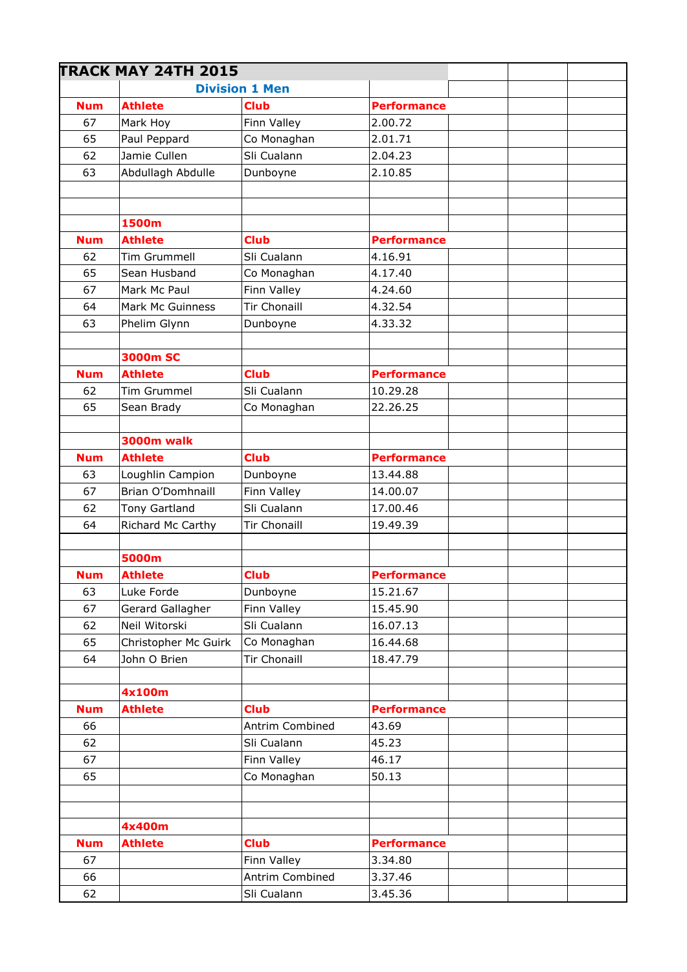|            | <b>TRACK MAY 24TH 2015</b> |                       |                    |  |
|------------|----------------------------|-----------------------|--------------------|--|
|            |                            | <b>Division 1 Men</b> |                    |  |
| <b>Num</b> | <b>Athlete</b>             | <b>Club</b>           | <b>Performance</b> |  |
| 67         | Mark Hoy                   | Finn Valley           | 2.00.72            |  |
| 65         | Paul Peppard               | Co Monaghan           | 2.01.71            |  |
| 62         | Jamie Cullen               | Sli Cualann           | 2.04.23            |  |
| 63         | Abdullagh Abdulle          | Dunboyne              | 2.10.85            |  |
|            |                            |                       |                    |  |
|            |                            |                       |                    |  |
|            | 1500m                      |                       |                    |  |
| <b>Num</b> | <b>Athlete</b>             | <b>Club</b>           | <b>Performance</b> |  |
| 62         | Tim Grummell               | Sli Cualann           | 4.16.91            |  |
| 65         | Sean Husband               | Co Monaghan           | 4.17.40            |  |
| 67         | Mark Mc Paul               | Finn Valley           | 4.24.60            |  |
| 64         | Mark Mc Guinness           | <b>Tir Chonaill</b>   | 4.32.54            |  |
| 63         | Phelim Glynn               | Dunboyne              | 4.33.32            |  |
|            |                            |                       |                    |  |
|            | <b>3000m SC</b>            |                       |                    |  |
| <b>Num</b> | <b>Athlete</b>             | <b>Club</b>           | <b>Performance</b> |  |
| 62         | <b>Tim Grummel</b>         | Sli Cualann           | 10.29.28           |  |
| 65         | Sean Brady                 | Co Monaghan           | 22.26.25           |  |
|            | 3000m walk                 |                       |                    |  |
| <b>Num</b> | <b>Athlete</b>             | <b>Club</b>           | <b>Performance</b> |  |
| 63         | Loughlin Campion           | Dunboyne              | 13.44.88           |  |
| 67         | Brian O'Domhnaill          | Finn Valley           | 14.00.07           |  |
| 62         | <b>Tony Gartland</b>       | Sli Cualann           | 17.00.46           |  |
| 64         | Richard Mc Carthy          | <b>Tir Chonaill</b>   | 19.49.39           |  |
|            |                            |                       |                    |  |
|            | 5000m                      |                       |                    |  |
| <b>Num</b> | <b>Athlete</b>             | <b>Club</b>           | <b>Performance</b> |  |
| 63         | Luke Forde                 | Dunboyne              | 15.21.67           |  |
| 67         | Gerard Gallagher           | Finn Valley           | 15.45.90           |  |
| 62         | Neil Witorski              | Sli Cualann           | 16.07.13           |  |
| 65         | Christopher Mc Guirk       | Co Monaghan           | 16.44.68           |  |
| 64         | John O Brien               | <b>Tir Chonaill</b>   | 18.47.79           |  |
|            |                            |                       |                    |  |
|            | 4x100m                     |                       |                    |  |
| <b>Num</b> | <b>Athlete</b>             | <b>Club</b>           | <b>Performance</b> |  |
| 66         |                            | Antrim Combined       | 43.69              |  |
| 62         |                            | Sli Cualann           | 45.23              |  |
| 67         |                            | Finn Valley           | 46.17              |  |
| 65         |                            | Co Monaghan           | 50.13              |  |
|            |                            |                       |                    |  |
|            |                            |                       |                    |  |
|            | 4x400m                     |                       |                    |  |
| <b>Num</b> | <b>Athlete</b>             | <b>Club</b>           | <b>Performance</b> |  |
| 67         |                            | Finn Valley           | 3.34.80            |  |
| 66         |                            | Antrim Combined       | 3.37.46            |  |
| 62         |                            | Sli Cualann           | 3.45.36            |  |
|            |                            |                       |                    |  |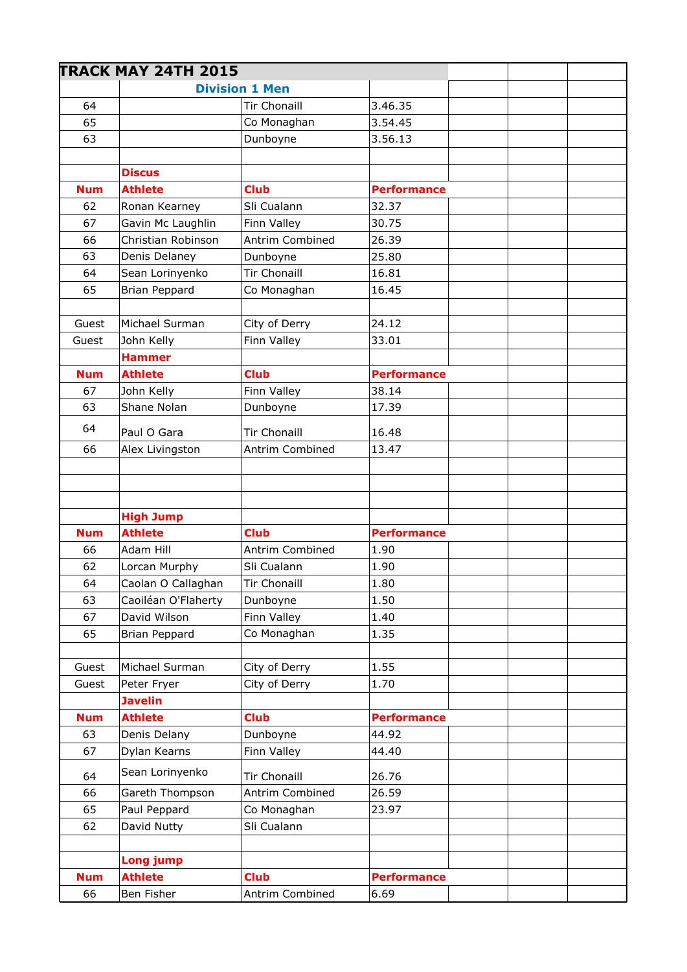|            | <b>TRACK MAY 24TH 2015</b> |                                        |                    |  |
|------------|----------------------------|----------------------------------------|--------------------|--|
|            |                            | <b>Division 1 Men</b>                  |                    |  |
| 64         |                            | <b>Tir Chonaill</b>                    | 3.46.35            |  |
| 65         |                            | Co Monaghan                            | 3.54.45            |  |
| 63         |                            | Dunboyne                               | 3.56.13            |  |
|            | <b>Discus</b>              |                                        |                    |  |
| <b>Num</b> | <b>Athlete</b>             | <b>Club</b>                            | <b>Performance</b> |  |
| 62         | Ronan Kearney              | Sli Cualann                            | 32.37              |  |
| 67         | Gavin Mc Laughlin          | Finn Valley                            | 30.75              |  |
| 66         | Christian Robinson         | Antrim Combined                        | 26.39              |  |
| 63         | Denis Delaney              | Dunboyne                               | 25.80              |  |
| 64         | Sean Lorinyenko            | <b>Tir Chonaill</b>                    | 16.81              |  |
| 65         | <b>Brian Peppard</b>       | Co Monaghan                            | 16.45              |  |
|            |                            |                                        |                    |  |
| Guest      | Michael Surman             | City of Derry                          | 24.12              |  |
| Guest      | John Kelly                 | Finn Valley                            | 33.01              |  |
|            | <b>Hammer</b>              |                                        |                    |  |
| <b>Num</b> | <b>Athlete</b>             | <b>Club</b>                            | <b>Performance</b> |  |
| 67         | John Kelly                 | Finn Valley                            | 38.14              |  |
| 63         | Shane Nolan                | Dunboyne                               | 17.39              |  |
| 64         | Paul O Gara                | <b>Tir Chonaill</b>                    | 16.48              |  |
| 66         | Alex Livingston            | Antrim Combined                        | 13.47              |  |
|            |                            |                                        |                    |  |
|            |                            |                                        |                    |  |
|            | <b>High Jump</b>           |                                        |                    |  |
| <b>Num</b> | <b>Athlete</b>             | <b>Club</b>                            | <b>Performance</b> |  |
| 66         | Adam Hill                  | Antrim Combined                        | 1.90               |  |
| 62         | Lorcan Murphy              | Sli Cualann                            | 1.90               |  |
| 64         | Caolan O Callaghan         | Tir Chonaill                           | 1.80               |  |
| 63         | Caoiléan O'Flaherty        | Dunboyne                               | 1.50               |  |
| 67         | David Wilson               | Finn Valley                            | 1.40               |  |
| 65         | Brian Peppard              | Co Monaghan                            | 1.35               |  |
| Guest      | Michael Surman             | City of Derry                          | 1.55               |  |
|            | Peter Fryer                |                                        | 1.70               |  |
| Guest      | <b>Javelin</b>             | City of Derry                          |                    |  |
| <b>Num</b> | <b>Athlete</b>             | <b>Club</b>                            | <b>Performance</b> |  |
| 63         | Denis Delany               | Dunboyne                               | 44.92              |  |
| 67         | Dylan Kearns               | Finn Valley                            | 44.40              |  |
|            | Sean Lorinyenko            |                                        |                    |  |
| 64<br>66   | Gareth Thompson            | <b>Tir Chonaill</b><br>Antrim Combined | 26.76<br>26.59     |  |
| 65         | Paul Peppard               | Co Monaghan                            | 23.97              |  |
| 62         | David Nutty                | Sli Cualann                            |                    |  |
|            |                            |                                        |                    |  |
|            | Long jump                  |                                        |                    |  |
| <b>Num</b> | <b>Athlete</b>             | <b>Club</b>                            | <b>Performance</b> |  |
| 66         | Ben Fisher                 | Antrim Combined                        | 6.69               |  |
|            |                            |                                        |                    |  |